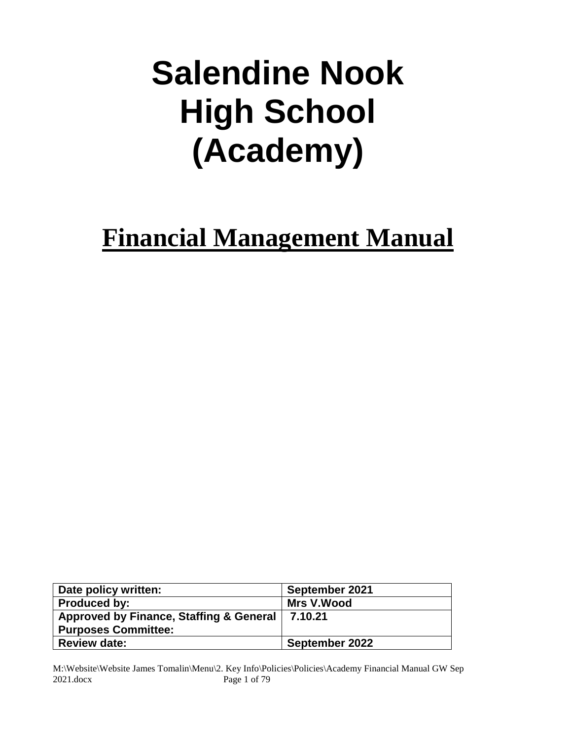# **Salendine Nook High School (Academy)**

# **Financial Management Manual**

| Date policy written:                    | September 2021 |
|-----------------------------------------|----------------|
| <b>Produced by:</b>                     | Mrs V.Wood     |
| Approved by Finance, Staffing & General | 7.10.21        |
| <b>Purposes Committee:</b>              |                |
| <b>Review date:</b>                     | September 2022 |

M:\Website\Website James Tomalin\Menu\2. Key Info\Policies\Policies\Academy Financial Manual GW Sep 2021.docx Page 1 of 79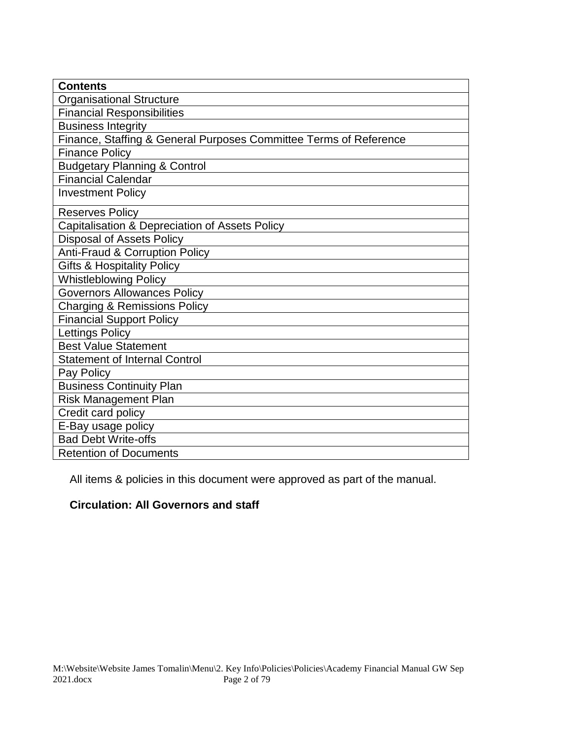| <b>Contents</b>                                                   |
|-------------------------------------------------------------------|
| <b>Organisational Structure</b>                                   |
| <b>Financial Responsibilities</b>                                 |
| <b>Business Integrity</b>                                         |
| Finance, Staffing & General Purposes Committee Terms of Reference |
| <b>Finance Policy</b>                                             |
| <b>Budgetary Planning &amp; Control</b>                           |
| <b>Financial Calendar</b>                                         |
| <b>Investment Policy</b>                                          |
| <b>Reserves Policy</b>                                            |
| Capitalisation & Depreciation of Assets Policy                    |
| <b>Disposal of Assets Policy</b>                                  |
| <b>Anti-Fraud &amp; Corruption Policy</b>                         |
| <b>Gifts &amp; Hospitality Policy</b>                             |
| <b>Whistleblowing Policy</b>                                      |
| <b>Governors Allowances Policy</b>                                |
| <b>Charging &amp; Remissions Policy</b>                           |
| <b>Financial Support Policy</b>                                   |
| <b>Lettings Policy</b>                                            |
| <b>Best Value Statement</b>                                       |
| <b>Statement of Internal Control</b>                              |
| Pay Policy                                                        |
| <b>Business Continuity Plan</b>                                   |
| <b>Risk Management Plan</b>                                       |
| Credit card policy                                                |
| E-Bay usage policy                                                |
| <b>Bad Debt Write-offs</b>                                        |
| <b>Retention of Documents</b>                                     |

All items & policies in this document were approved as part of the manual.

#### **Circulation: All Governors and staff**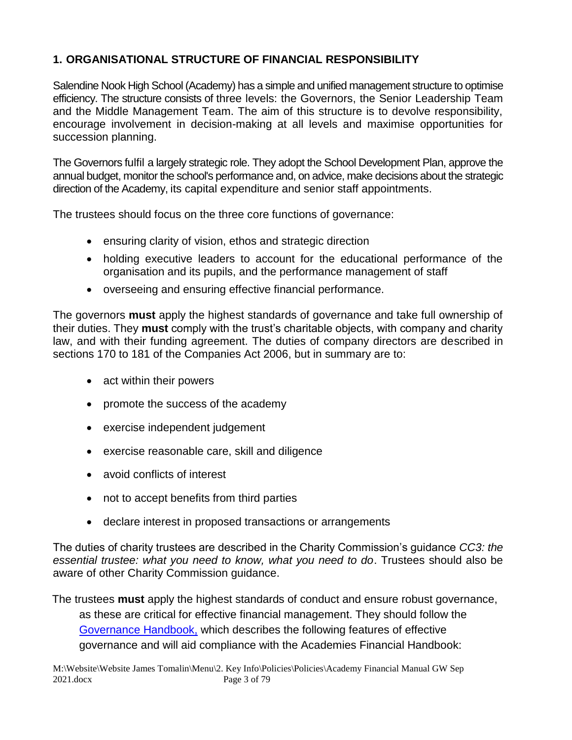#### **1. ORGANISATIONAL STRUCTURE OF FINANCIAL RESPONSIBILITY**

Salendine Nook High School (Academy) has a simple and unified management structure to optimise efficiency. The structure consists of three levels: the Governors, the Senior Leadership Team and the Middle Management Team. The aim of this structure is to devolve responsibility, encourage involvement in decision-making at all levels and maximise opportunities for succession planning.

The Governors fulfil a largely strategic role. They adopt the School Development Plan, approve the annual budget, monitor the school's performance and, on advice, make decisions about the strategic direction of the Academy, its capital expenditure and senior staff appointments.

The trustees should focus on the three core functions of governance:

- ensuring clarity of vision, ethos and strategic direction
- holding executive leaders to account for the educational performance of the organisation and its pupils, and the performance management of staff
- overseeing and ensuring effective financial performance.

The governors **must** apply the highest standards of governance and take full ownership of their duties. They **must** comply with the trust's charitable objects, with company and charity law, and with their funding agreement. The duties of company directors are described in sections 170 to 181 of the Companies Act 2006, but in summary are to:

- act within their powers
- promote the success of the academy
- exercise independent judgement
- exercise reasonable care, skill and diligence
- avoid conflicts of interest
- not to accept benefits from third parties
- declare interest in proposed transactions or arrangements

The duties of charity trustees are described in the Charity Commission's guidance *CC3: the essential trustee: what you need to know, what you need to do*. Trustees should also be aware of other Charity Commission guidance.

The trustees **must** apply the highest standards of conduct and ensure robust governance, as these are critical for effective financial management. They should follow the [Governance Handbook,](https://www.gov.uk/government/publications/governance-handbook) which describes the following features of effective governance and will aid compliance with the Academies Financial Handbook: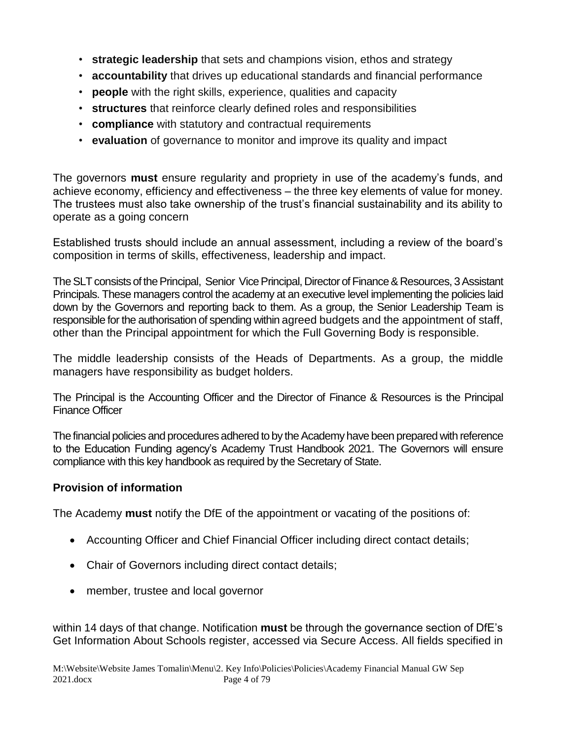- **strategic leadership** that sets and champions vision, ethos and strategy
- **accountability** that drives up educational standards and financial performance
- **people** with the right skills, experience, qualities and capacity
- **structures** that reinforce clearly defined roles and responsibilities
- **compliance** with statutory and contractual requirements
- **evaluation** of governance to monitor and improve its quality and impact

The governors **must** ensure regularity and propriety in use of the academy's funds, and achieve economy, efficiency and effectiveness – the three key elements of value for money. The trustees must also take ownership of the trust's financial sustainability and its ability to operate as a going concern

Established trusts should include an annual assessment, including a review of the board's composition in terms of skills, effectiveness, leadership and impact.

The SLT consists of the Principal, Senior Vice Principal, Director of Finance & Resources, 3 Assistant Principals. These managers control the academy at an executive level implementing the policies laid down by the Governors and reporting back to them. As a group, the Senior Leadership Team is responsible for the authorisation of spending within agreed budgets and the appointment of staff, other than the Principal appointment for which the Full Governing Body is responsible.

The middle leadership consists of the Heads of Departments. As a group, the middle managers have responsibility as budget holders.

The Principal is the Accounting Officer and the Director of Finance & Resources is the Principal Finance Officer

The financial policies and procedures adhered to by the Academy have been prepared with reference to the Education Funding agency's Academy Trust Handbook 2021. The Governors will ensure compliance with this key handbook as required by the Secretary of State.

#### **Provision of information**

The Academy **must** notify the DfE of the appointment or vacating of the positions of:

- Accounting Officer and Chief Financial Officer including direct contact details;
- Chair of Governors including direct contact details;
- member, trustee and local governor

within 14 days of that change. Notification **must** be through the governance section of DfE's Get Information About Schools register, accessed via Secure Access. All fields specified in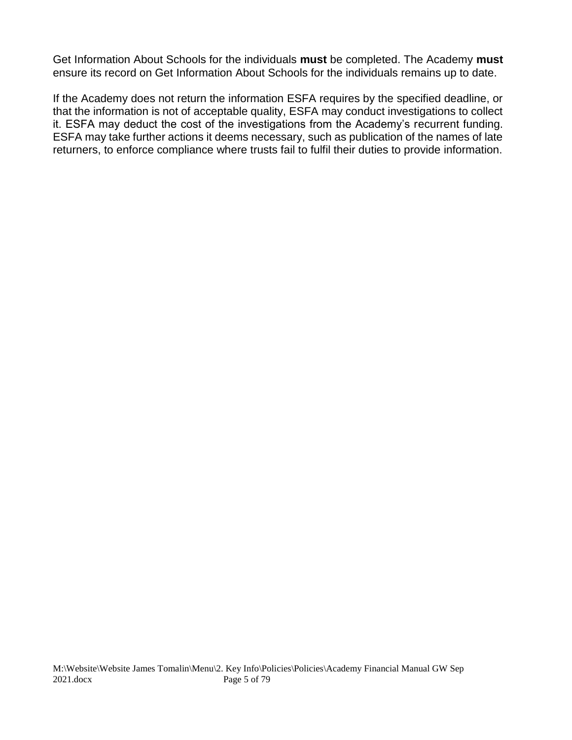Get Information About Schools for the individuals **must** be completed. The Academy **must**  ensure its record on Get Information About Schools for the individuals remains up to date.

If the Academy does not return the information ESFA requires by the specified deadline, or that the information is not of acceptable quality, ESFA may conduct investigations to collect it. ESFA may deduct the cost of the investigations from the Academy's recurrent funding. ESFA may take further actions it deems necessary, such as publication of the names of late returners, to enforce compliance where trusts fail to fulfil their duties to provide information.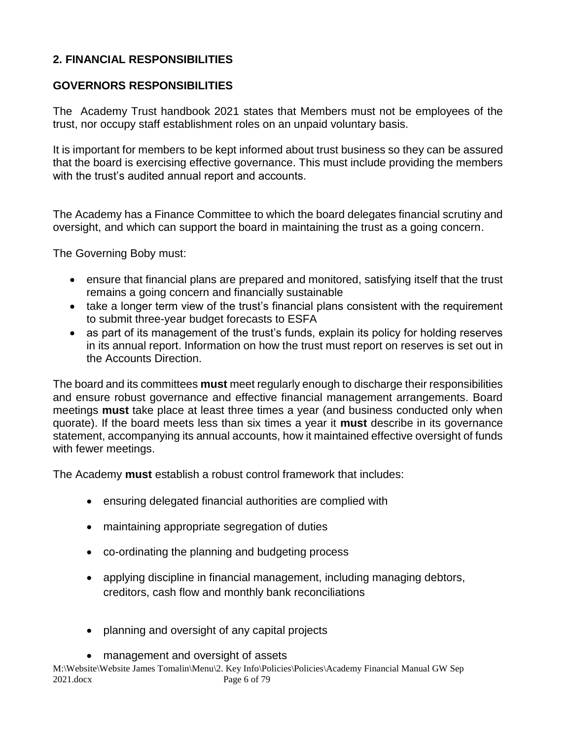#### **2. FINANCIAL RESPONSIBILITIES**

#### **GOVERNORS RESPONSIBILITIES**

The Academy Trust handbook 2021 states that Members must not be employees of the trust, nor occupy staff establishment roles on an unpaid voluntary basis.

It is important for members to be kept informed about trust business so they can be assured that the board is exercising effective governance. This must include providing the members with the trust's audited annual report and accounts.

The Academy has a Finance Committee to which the board delegates financial scrutiny and oversight, and which can support the board in maintaining the trust as a going concern.

The Governing Boby must:

- ensure that financial plans are prepared and monitored, satisfying itself that the trust remains a going concern and financially sustainable
- take a longer term view of the trust's financial plans consistent with the requirement to submit three-year budget forecasts to ESFA
- as part of its management of the trust's funds, explain its policy for holding reserves in its annual report. Information on how the trust must report on reserves is set out in the Accounts Direction.

The board and its committees **must** meet regularly enough to discharge their responsibilities and ensure robust governance and effective financial management arrangements. Board meetings **must** take place at least three times a year (and business conducted only when quorate). If the board meets less than six times a year it **must** describe in its governance statement, accompanying its annual accounts, how it maintained effective oversight of funds with fewer meetings.

The Academy **must** establish a robust control framework that includes:

- ensuring delegated financial authorities are complied with
- maintaining appropriate segregation of duties
- co-ordinating the planning and budgeting process
- applying discipline in financial management, including managing debtors, creditors, cash flow and monthly bank reconciliations
- planning and oversight of any capital projects
- management and oversight of assets

M:\Website\Website James Tomalin\Menu\2. Key Info\Policies\Policies\Academy Financial Manual GW Sep 2021.docx Page 6 of 79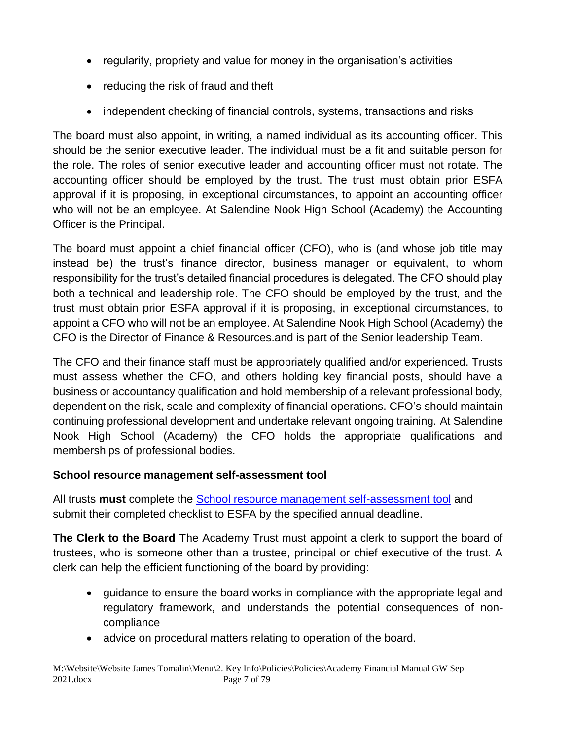- regularity, propriety and value for money in the organisation's activities
- reducing the risk of fraud and theft
- independent checking of financial controls, systems, transactions and risks

The board must also appoint, in writing, a named individual as its accounting officer. This should be the senior executive leader. The individual must be a fit and suitable person for the role. The roles of senior executive leader and accounting officer must not rotate. The accounting officer should be employed by the trust. The trust must obtain prior ESFA approval if it is proposing, in exceptional circumstances, to appoint an accounting officer who will not be an employee. At Salendine Nook High School (Academy) the Accounting Officer is the Principal.

The board must appoint a chief financial officer (CFO), who is (and whose job title may instead be) the trust's finance director, business manager or equivalent, to whom responsibility for the trust's detailed financial procedures is delegated. The CFO should play both a technical and leadership role. The CFO should be employed by the trust, and the trust must obtain prior ESFA approval if it is proposing, in exceptional circumstances, to appoint a CFO who will not be an employee. At Salendine Nook High School (Academy) the CFO is the Director of Finance & Resources.and is part of the Senior leadership Team.

The CFO and their finance staff must be appropriately qualified and/or experienced. Trusts must assess whether the CFO, and others holding key financial posts, should have a business or accountancy qualification and hold membership of a relevant professional body, dependent on the risk, scale and complexity of financial operations. CFO's should maintain continuing professional development and undertake relevant ongoing training. At Salendine Nook High School (Academy) the CFO holds the appropriate qualifications and memberships of professional bodies.

#### **School resource management self-assessment tool**

All trusts **must** complete the [School resource management self-assessment tool](https://www.gov.uk/government/publications/school-resource-management-self-assessment-tool) and submit their completed checklist to ESFA by the specified annual deadline.

**The Clerk to the Board** The Academy Trust must appoint a clerk to support the board of trustees, who is someone other than a trustee, principal or chief executive of the trust. A clerk can help the efficient functioning of the board by providing:

- guidance to ensure the board works in compliance with the appropriate legal and regulatory framework, and understands the potential consequences of noncompliance
- advice on procedural matters relating to operation of the board.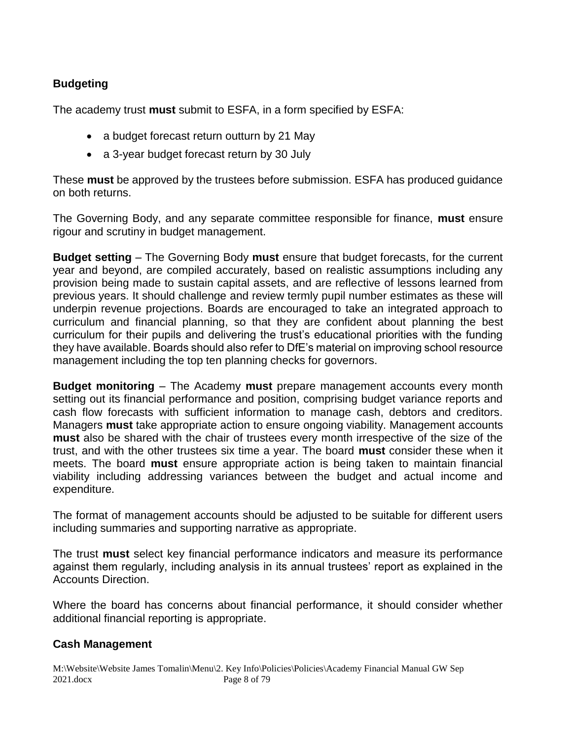#### **Budgeting**

The academy trust **must** submit to ESFA, in a form specified by ESFA:

- a budget forecast return outturn by 21 May
- a 3-year budget forecast return by 30 July

These **must** be approved by the trustees before submission. ESFA has produced guidance on both returns.

The Governing Body, and any separate committee responsible for finance, **must** ensure rigour and scrutiny in budget management.

**Budget setting** – The Governing Body **must** ensure that budget forecasts, for the current year and beyond, are compiled accurately, based on realistic assumptions including any provision being made to sustain capital assets, and are reflective of lessons learned from previous years. It should challenge and review termly pupil number estimates as these will underpin revenue projections. Boards are encouraged to take an integrated approach to curriculum and financial planning, so that they are confident about planning the best curriculum for their pupils and delivering the trust's educational priorities with the funding they have available. Boards should also refer to DfE's material on improving school resource management including the top ten planning checks for governors.

**Budget monitoring** – The Academy **must** prepare management accounts every month setting out its financial performance and position, comprising budget variance reports and cash flow forecasts with sufficient information to manage cash, debtors and creditors. Managers **must** take appropriate action to ensure ongoing viability. Management accounts **must** also be shared with the chair of trustees every month irrespective of the size of the trust, and with the other trustees six time a year. The board **must** consider these when it meets. The board **must** ensure appropriate action is being taken to maintain financial viability including addressing variances between the budget and actual income and expenditure.

The format of management accounts should be adjusted to be suitable for different users including summaries and supporting narrative as appropriate.

The trust **must** select key financial performance indicators and measure its performance against them regularly, including analysis in its annual trustees' report as explained in the Accounts Direction.

Where the board has concerns about financial performance, it should consider whether additional financial reporting is appropriate.

#### **Cash Management**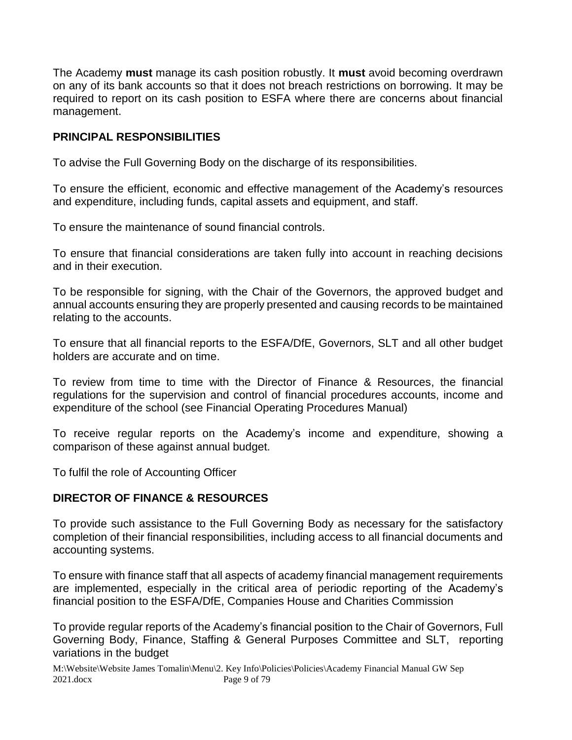The Academy **must** manage its cash position robustly. It **must** avoid becoming overdrawn on any of its bank accounts so that it does not breach restrictions on borrowing. It may be required to report on its cash position to ESFA where there are concerns about financial management.

#### **PRINCIPAL RESPONSIBILITIES**

To advise the Full Governing Body on the discharge of its responsibilities.

To ensure the efficient, economic and effective management of the Academy's resources and expenditure, including funds, capital assets and equipment, and staff.

To ensure the maintenance of sound financial controls.

To ensure that financial considerations are taken fully into account in reaching decisions and in their execution.

To be responsible for signing, with the Chair of the Governors, the approved budget and annual accounts ensuring they are properly presented and causing records to be maintained relating to the accounts.

To ensure that all financial reports to the ESFA/DfE, Governors, SLT and all other budget holders are accurate and on time.

To review from time to time with the Director of Finance & Resources, the financial regulations for the supervision and control of financial procedures accounts, income and expenditure of the school (see Financial Operating Procedures Manual)

To receive regular reports on the Academy's income and expenditure, showing a comparison of these against annual budget.

To fulfil the role of Accounting Officer

#### **DIRECTOR OF FINANCE & RESOURCES**

To provide such assistance to the Full Governing Body as necessary for the satisfactory completion of their financial responsibilities, including access to all financial documents and accounting systems.

To ensure with finance staff that all aspects of academy financial management requirements are implemented, especially in the critical area of periodic reporting of the Academy's financial position to the ESFA/DfE, Companies House and Charities Commission

To provide regular reports of the Academy's financial position to the Chair of Governors, Full Governing Body, Finance, Staffing & General Purposes Committee and SLT, reporting variations in the budget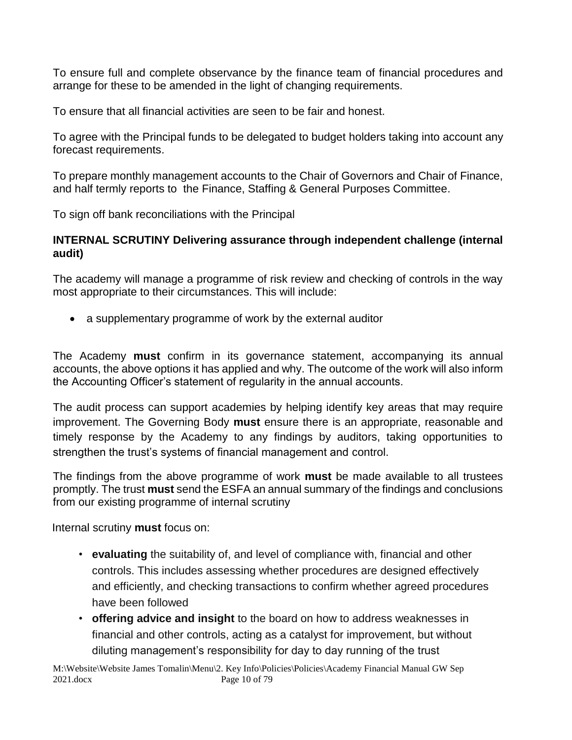To ensure full and complete observance by the finance team of financial procedures and arrange for these to be amended in the light of changing requirements.

To ensure that all financial activities are seen to be fair and honest.

To agree with the Principal funds to be delegated to budget holders taking into account any forecast requirements.

To prepare monthly management accounts to the Chair of Governors and Chair of Finance, and half termly reports to the Finance, Staffing & General Purposes Committee.

To sign off bank reconciliations with the Principal

#### **INTERNAL SCRUTINY Delivering assurance through independent challenge (internal audit)**

The academy will manage a programme of risk review and checking of controls in the way most appropriate to their circumstances. This will include:

• a supplementary programme of work by the external auditor

The Academy **must** confirm in its governance statement, accompanying its annual accounts, the above options it has applied and why. The outcome of the work will also inform the Accounting Officer's statement of regularity in the annual accounts.

The audit process can support academies by helping identify key areas that may require improvement. The Governing Body **must** ensure there is an appropriate, reasonable and timely response by the Academy to any findings by auditors, taking opportunities to strengthen the trust's systems of financial management and control.

The findings from the above programme of work **must** be made available to all trustees promptly. The trust **must** send the ESFA an annual summary of the findings and conclusions from our existing programme of internal scrutiny

Internal scrutiny **must** focus on:

- **evaluating** the suitability of, and level of compliance with, financial and other controls. This includes assessing whether procedures are designed effectively and efficiently, and checking transactions to confirm whether agreed procedures have been followed
- **offering advice and insight** to the board on how to address weaknesses in financial and other controls, acting as a catalyst for improvement, but without diluting management's responsibility for day to day running of the trust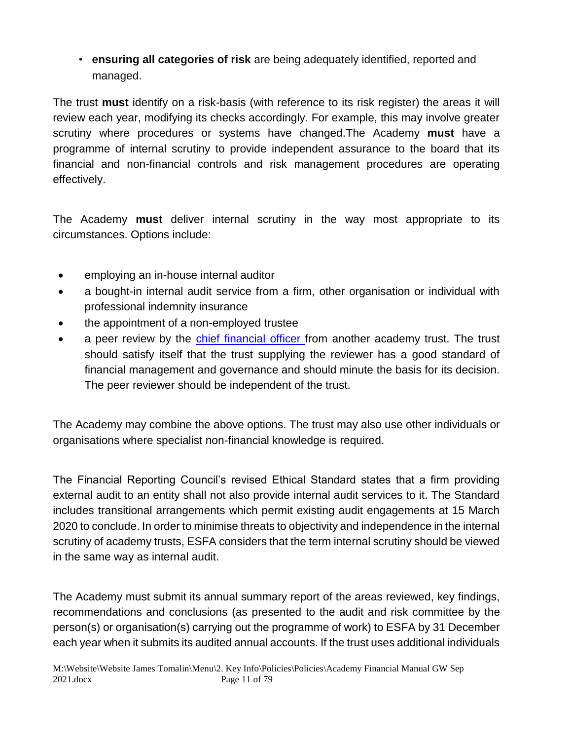• **ensuring all categories of risk** are being adequately identified, reported and managed.

The trust **must** identify on a risk-basis (with reference to its risk register) the areas it will review each year, modifying its checks accordingly. For example, this may involve greater scrutiny where procedures or systems have changed.The Academy **must** have a programme of internal scrutiny to provide independent assurance to the board that its financial and non-financial controls and risk management procedures are operating effectively.

The Academy **must** deliver internal scrutiny in the way most appropriate to its circumstances. Options include:

- employing an in-house internal auditor
- a bought-in internal audit service from a firm, other organisation or individual with professional indemnity insurance
- the appointment of a non-employed trustee
- a peer review by the chief financial officer from another academy trust. The trust should satisfy itself that the trust supplying the reviewer has a good standard of financial management and governance and should minute the basis for its decision. The peer reviewer should be independent of the trust.

The Academy may combine the above options. The trust may also use other individuals or organisations where specialist non-financial knowledge is required.

The Financial Reporting Council's revised Ethical Standard states that a firm providing external audit to an entity shall not also provide internal audit services to it. The Standard includes transitional arrangements which permit existing audit engagements at 15 March 2020 to conclude. In order to minimise threats to objectivity and independence in the internal scrutiny of academy trusts, ESFA considers that the term internal scrutiny should be viewed in the same way as internal audit.

The Academy must submit its annual summary report of the areas reviewed, key findings, recommendations and conclusions (as presented to the audit and risk committee by the person(s) or organisation(s) carrying out the programme of work) to ESFA by 31 December each year when it submits its audited annual accounts. If the trust uses additional individuals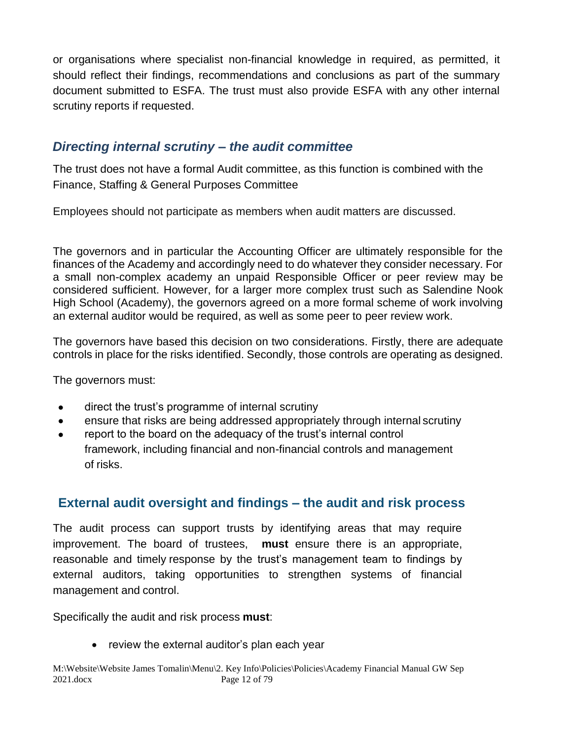or organisations where specialist non-financial knowledge in required, as permitted, it should reflect their findings, recommendations and conclusions as part of the summary document submitted to ESFA. The trust must also provide ESFA with any other internal scrutiny reports if requested.

#### *Directing internal scrutiny – the audit committee*

The trust does not have a formal Audit committee, as this function is combined with the Finance, Staffing & General Purposes Committee

Employees should not participate as members when audit matters are discussed.

The governors and in particular the Accounting Officer are ultimately responsible for the finances of the Academy and accordingly need to do whatever they consider necessary. For a small non-complex academy an unpaid Responsible Officer or peer review may be considered sufficient. However, for a larger more complex trust such as Salendine Nook High School (Academy), the governors agreed on a more formal scheme of work involving an external auditor would be required, as well as some peer to peer review work.

The governors have based this decision on two considerations. Firstly, there are adequate controls in place for the risks identified. Secondly, those controls are operating as designed.

The governors must:

- direct the trust's programme of internal scrutiny
- ensure that risks are being addressed appropriately through internal scrutiny
- report to the board on the adequacy of the trust's internal control framework, including financial and non-financial controls and management of risks.

#### **External audit oversight and findings – the audit and risk process**

The audit process can support trusts by identifying areas that may require improvement. The board of trustees, **must** ensure there is an appropriate, reasonable and timely response by the trust's management team to findings by external auditors, taking opportunities to strengthen systems of financial management and control.

Specifically the audit and risk process **must**:

• review the external auditor's plan each year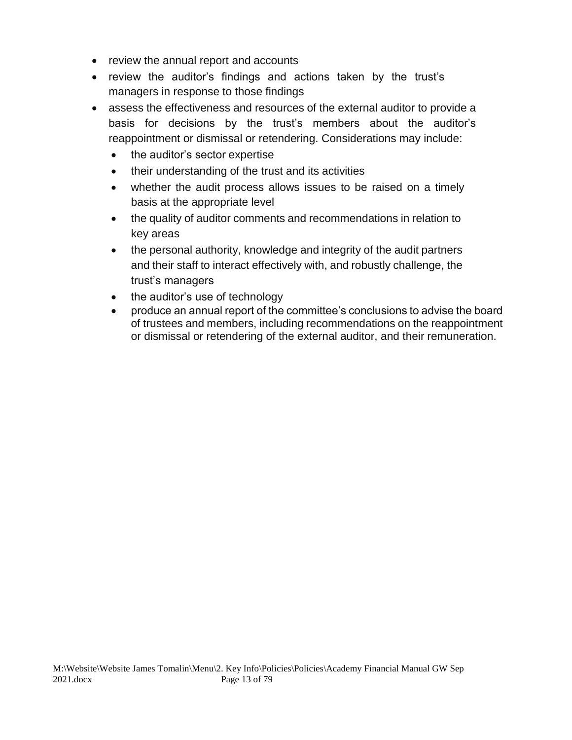- review the annual report and accounts
- review the auditor's findings and actions taken by the trust's managers in response to those findings
- assess the effectiveness and resources of the external auditor to provide a basis for decisions by the trust's members about the auditor's reappointment or dismissal or retendering. Considerations may include:
	- the auditor's sector expertise
	- their understanding of the trust and its activities
	- whether the audit process allows issues to be raised on a timely basis at the appropriate level
	- the quality of auditor comments and recommendations in relation to key areas
	- the personal authority, knowledge and integrity of the audit partners and their staff to interact effectively with, and robustly challenge, the trust's managers
	- the auditor's use of technology
	- produce an annual report of the committee's conclusions to advise the board of trustees and members, including recommendations on the reappointment or dismissal or retendering of the external auditor, and their remuneration.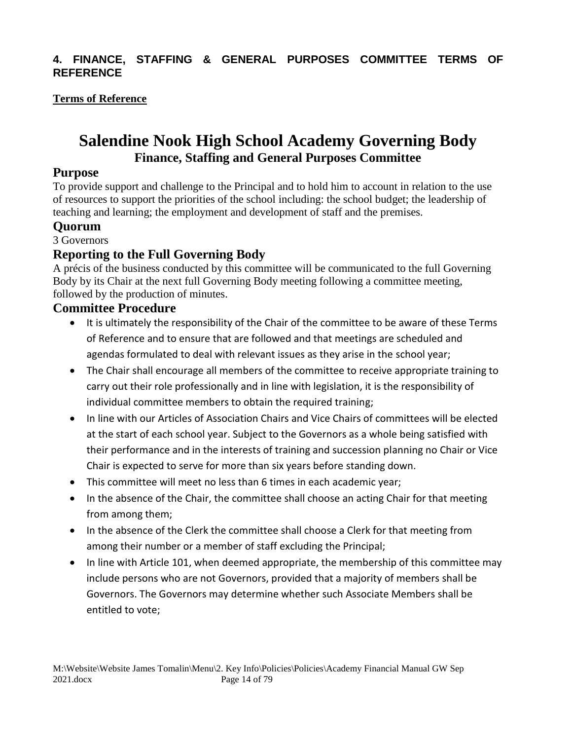#### **4. FINANCE, STAFFING & GENERAL PURPOSES COMMITTEE TERMS OF REFERENCE**

#### **Terms of Reference**

### **Salendine Nook High School Academy Governing Body Finance, Staffing and General Purposes Committee**

#### **Purpose**

To provide support and challenge to the Principal and to hold him to account in relation to the use of resources to support the priorities of the school including: the school budget; the leadership of teaching and learning; the employment and development of staff and the premises.

#### **Quorum**

3 Governors

#### **Reporting to the Full Governing Body**

A précis of the business conducted by this committee will be communicated to the full Governing Body by its Chair at the next full Governing Body meeting following a committee meeting, followed by the production of minutes.

#### **Committee Procedure**

- It is ultimately the responsibility of the Chair of the committee to be aware of these Terms of Reference and to ensure that are followed and that meetings are scheduled and agendas formulated to deal with relevant issues as they arise in the school year;
- The Chair shall encourage all members of the committee to receive appropriate training to carry out their role professionally and in line with legislation, it is the responsibility of individual committee members to obtain the required training:
- In line with our Articles of Association Chairs and Vice Chairs of committees will be elected at the start of each school year. Subject to the Governors as a whole being satisfied with their performance and in the interests of training and succession planning no Chair or Vice Chair is expected to serve for more than six years before standing down.
- This committee will meet no less than 6 times in each academic year;
- In the absence of the Chair, the committee shall choose an acting Chair for that meeting from among them;
- In the absence of the Clerk the committee shall choose a Clerk for that meeting from among their number or a member of staff excluding the Principal;
- In line with Article 101, when deemed appropriate, the membership of this committee may include persons who are not Governors, provided that a majority of members shall be Governors. The Governors may determine whether such Associate Members shall be entitled to vote;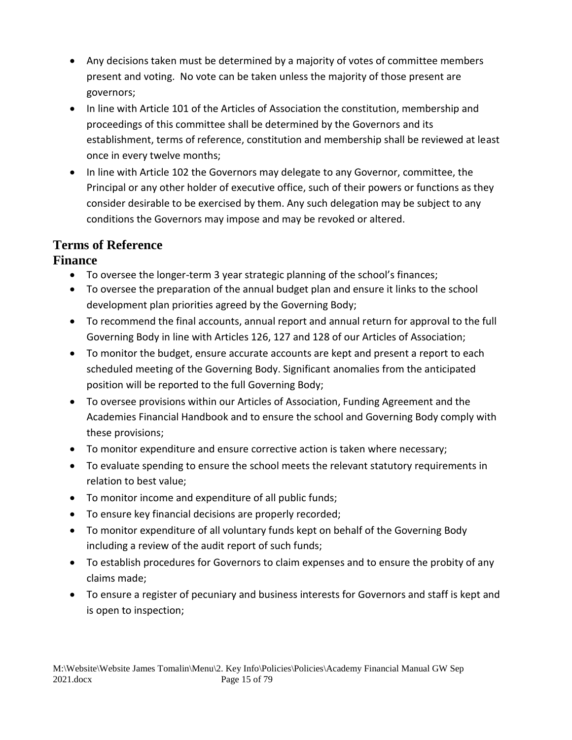- Any decisions taken must be determined by a majority of votes of committee members present and voting. No vote can be taken unless the majority of those present are governors;
- In line with Article 101 of the Articles of Association the constitution, membership and proceedings of this committee shall be determined by the Governors and its establishment, terms of reference, constitution and membership shall be reviewed at least once in every twelve months;
- In line with Article 102 the Governors may delegate to any Governor, committee, the Principal or any other holder of executive office, such of their powers or functions as they consider desirable to be exercised by them. Any such delegation may be subject to any conditions the Governors may impose and may be revoked or altered.

## **Terms of Reference**

#### **Finance**

- To oversee the longer-term 3 year strategic planning of the school's finances;
- To oversee the preparation of the annual budget plan and ensure it links to the school development plan priorities agreed by the Governing Body;
- To recommend the final accounts, annual report and annual return for approval to the full Governing Body in line with Articles 126, 127 and 128 of our Articles of Association;
- To monitor the budget, ensure accurate accounts are kept and present a report to each scheduled meeting of the Governing Body. Significant anomalies from the anticipated position will be reported to the full Governing Body;
- To oversee provisions within our Articles of Association, Funding Agreement and the Academies Financial Handbook and to ensure the school and Governing Body comply with these provisions;
- To monitor expenditure and ensure corrective action is taken where necessary;
- To evaluate spending to ensure the school meets the relevant statutory requirements in relation to best value;
- To monitor income and expenditure of all public funds;
- To ensure key financial decisions are properly recorded;
- To monitor expenditure of all voluntary funds kept on behalf of the Governing Body including a review of the audit report of such funds;
- To establish procedures for Governors to claim expenses and to ensure the probity of any claims made;
- To ensure a register of pecuniary and business interests for Governors and staff is kept and is open to inspection;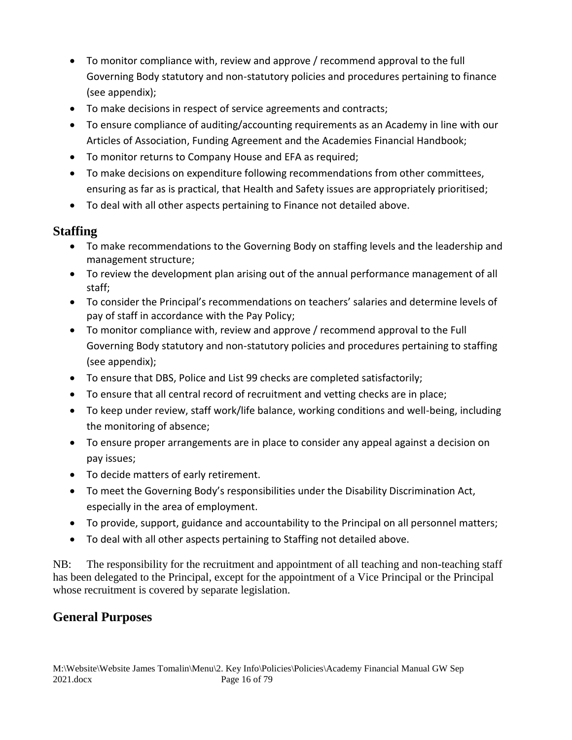- To monitor compliance with, review and approve / recommend approval to the full Governing Body statutory and non-statutory policies and procedures pertaining to finance (see appendix);
- To make decisions in respect of service agreements and contracts;
- To ensure compliance of auditing/accounting requirements as an Academy in line with our Articles of Association, Funding Agreement and the Academies Financial Handbook;
- To monitor returns to Company House and EFA as required;
- To make decisions on expenditure following recommendations from other committees, ensuring as far as is practical, that Health and Safety issues are appropriately prioritised;
- To deal with all other aspects pertaining to Finance not detailed above.

#### **Staffing**

- To make recommendations to the Governing Body on staffing levels and the leadership and management structure;
- To review the development plan arising out of the annual performance management of all staff;
- To consider the Principal's recommendations on teachers' salaries and determine levels of pay of staff in accordance with the Pay Policy;
- To monitor compliance with, review and approve / recommend approval to the Full Governing Body statutory and non-statutory policies and procedures pertaining to staffing (see appendix);
- To ensure that DBS, Police and List 99 checks are completed satisfactorily;
- To ensure that all central record of recruitment and vetting checks are in place;
- To keep under review, staff work/life balance, working conditions and well-being, including the monitoring of absence;
- To ensure proper arrangements are in place to consider any appeal against a decision on pay issues;
- To decide matters of early retirement.
- To meet the Governing Body's responsibilities under the Disability Discrimination Act, especially in the area of employment.
- To provide, support, guidance and accountability to the Principal on all personnel matters;
- To deal with all other aspects pertaining to Staffing not detailed above.

NB: The responsibility for the recruitment and appointment of all teaching and non-teaching staff has been delegated to the Principal, except for the appointment of a Vice Principal or the Principal whose recruitment is covered by separate legislation.

#### **General Purposes**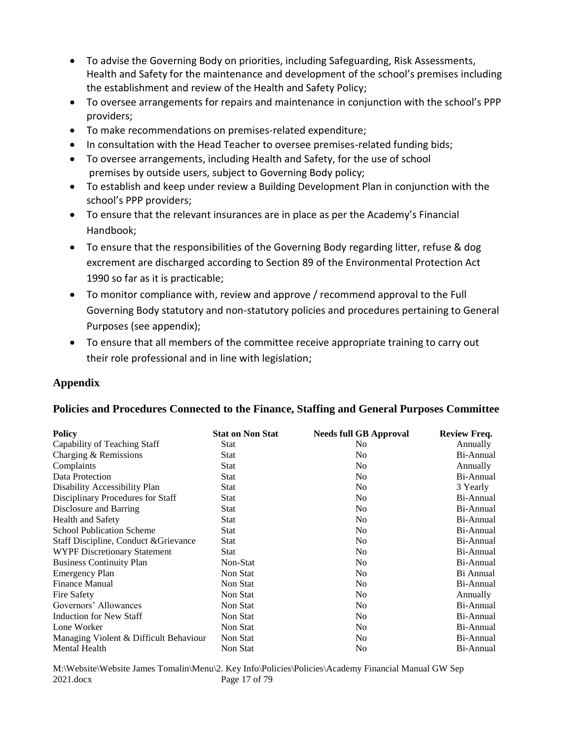- To advise the Governing Body on priorities, including Safeguarding, Risk Assessments, Health and Safety for the maintenance and development of the school's premises including the establishment and review of the Health and Safety Policy;
- To oversee arrangements for repairs and maintenance in conjunction with the school's PPP providers;
- To make recommendations on premises-related expenditure;
- In consultation with the Head Teacher to oversee premises-related funding bids;
- To oversee arrangements, including Health and Safety, for the use of school premises by outside users, subject to Governing Body policy;
- To establish and keep under review a Building Development Plan in conjunction with the school's PPP providers;
- To ensure that the relevant insurances are in place as per the Academy's Financial Handbook;
- To ensure that the responsibilities of the Governing Body regarding litter, refuse & dog excrement are discharged according to Section 89 of the Environmental Protection Act 1990 so far as it is practicable;
- To monitor compliance with, review and approve / recommend approval to the Full Governing Body statutory and non-statutory policies and procedures pertaining to General Purposes (see appendix);
- To ensure that all members of the committee receive appropriate training to carry out their role professional and in line with legislation;

#### **Appendix**

#### **Policies and Procedures Connected to the Finance, Staffing and General Purposes Committee**

| <b>Policy</b>                          | <b>Stat on Non Stat</b> | <b>Needs full GB Approval</b> | <b>Review Freq.</b> |
|----------------------------------------|-------------------------|-------------------------------|---------------------|
| Capability of Teaching Staff           | Stat                    | N <sub>0</sub>                | Annually            |
| Charging & Remissions                  | Stat                    | N <sub>0</sub>                | Bi-Annual           |
| Complaints                             | Stat                    | N <sub>0</sub>                | Annually            |
| Data Protection                        | Stat                    | N <sub>0</sub>                | Bi-Annual           |
| Disability Accessibility Plan          | Stat                    | N <sub>0</sub>                | 3 Yearly            |
| Disciplinary Procedures for Staff      | <b>Stat</b>             | N <sub>0</sub>                | Bi-Annual           |
| Disclosure and Barring                 | Stat                    | N <sub>0</sub>                | Bi-Annual           |
| Health and Safety                      | Stat                    | N <sub>0</sub>                | Bi-Annual           |
| <b>School Publication Scheme</b>       | <b>Stat</b>             | N <sub>0</sub>                | Bi-Annual           |
| Staff Discipline, Conduct & Grievance  | <b>Stat</b>             | N <sub>0</sub>                | Bi-Annual           |
| <b>WYPF Discretionary Statement</b>    | Stat                    | N <sub>0</sub>                | Bi-Annual           |
| <b>Business Continuity Plan</b>        | Non-Stat                | N <sub>0</sub>                | Bi-Annual           |
| <b>Emergency Plan</b>                  | Non Stat                | N <sub>0</sub>                | Bi Annual           |
| <b>Finance Manual</b>                  | Non Stat                | N <sub>0</sub>                | Bi-Annual           |
| Fire Safety                            | Non Stat                | N <sub>0</sub>                | Annually            |
| Governors' Allowances                  | Non Stat                | N <sub>0</sub>                | Bi-Annual           |
| Induction for New Staff                | Non Stat                | N <sub>0</sub>                | Bi-Annual           |
| Lone Worker                            | Non Stat                | N <sub>0</sub>                | Bi-Annual           |
| Managing Violent & Difficult Behaviour | Non Stat                | N <sub>0</sub>                | Bi-Annual           |
| Mental Health                          | Non Stat                | N <sub>0</sub>                | Bi-Annual           |

M:\Website\Website James Tomalin\Menu\2. Key Info\Policies\Policies\Academy Financial Manual GW Sep 2021.docx Page 17 of 79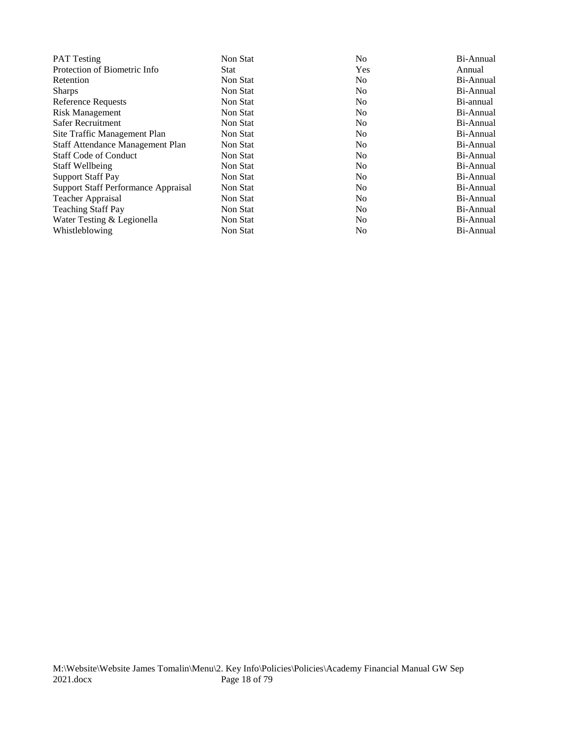| <b>PAT</b> Testing                  | Non Stat | N <sub>0</sub> | Bi-Annual |
|-------------------------------------|----------|----------------|-----------|
| Protection of Biometric Info        | Stat     | Yes            | Annual    |
| Retention                           | Non Stat | No.            | Bi-Annual |
| <b>Sharps</b>                       | Non Stat | No.            | Bi-Annual |
| <b>Reference Requests</b>           | Non Stat | No.            | Bi-annual |
| <b>Risk Management</b>              | Non Stat | N <sub>0</sub> | Bi-Annual |
| Safer Recruitment                   | Non Stat | No.            | Bi-Annual |
| Site Traffic Management Plan        | Non Stat | No.            | Bi-Annual |
| Staff Attendance Management Plan    | Non Stat | N <sub>0</sub> | Bi-Annual |
| <b>Staff Code of Conduct</b>        | Non Stat | No.            | Bi-Annual |
| <b>Staff Wellbeing</b>              | Non Stat | N <sub>0</sub> | Bi-Annual |
| <b>Support Staff Pay</b>            | Non Stat | No.            | Bi-Annual |
| Support Staff Performance Appraisal | Non Stat | N <sub>0</sub> | Bi-Annual |
| Teacher Appraisal                   | Non Stat | No.            | Bi-Annual |
| <b>Teaching Staff Pay</b>           | Non Stat | N <sub>0</sub> | Bi-Annual |
| Water Testing & Legionella          | Non Stat | N <sub>0</sub> | Bi-Annual |
| Whistleblowing                      | Non Stat | No             | Bi-Annual |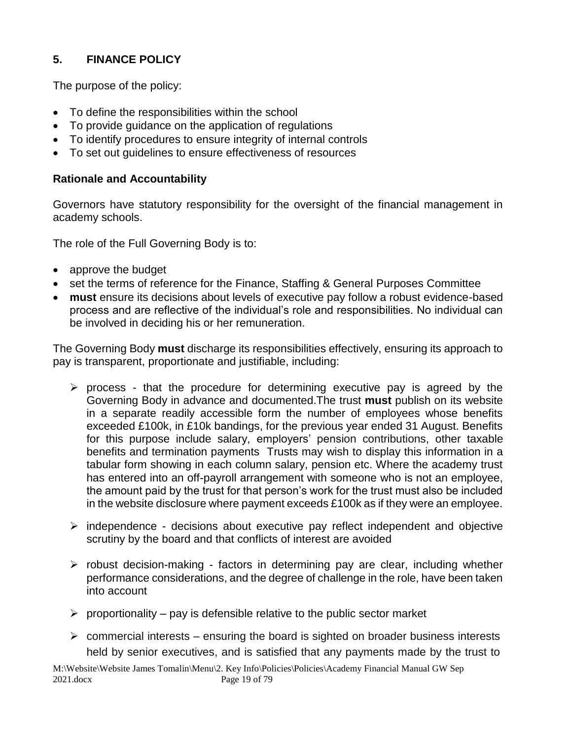#### **5. FINANCE POLICY**

The purpose of the policy:

- To define the responsibilities within the school
- To provide guidance on the application of regulations
- To identify procedures to ensure integrity of internal controls
- To set out guidelines to ensure effectiveness of resources

#### **Rationale and Accountability**

Governors have statutory responsibility for the oversight of the financial management in academy schools.

The role of the Full Governing Body is to:

- approve the budget
- set the terms of reference for the Finance, Staffing & General Purposes Committee
- **must** ensure its decisions about levels of executive pay follow a robust evidence-based process and are reflective of the individual's role and responsibilities. No individual can be involved in deciding his or her remuneration.

The Governing Body **must** discharge its responsibilities effectively, ensuring its approach to pay is transparent, proportionate and justifiable, including:

- $\triangleright$  process that the procedure for determining executive pay is agreed by the Governing Body in advance and documented.The trust **must** publish on its website in a separate readily accessible form the number of employees whose benefits exceeded £100k, in £10k bandings, for the previous year ended 31 August. Benefits for this purpose include salary, employers' pension contributions, other taxable benefits and termination payments Trusts may wish to display this information in a tabular form showing in each column salary, pension etc. Where the academy trust has entered into an off-payroll arrangement with someone who is not an employee, the amount paid by the trust for that person's work for the trust must also be included in the website disclosure where payment exceeds £100k as if they were an employee.
- ➢ independence decisions about executive pay reflect independent and objective scrutiny by the board and that conflicts of interest are avoided
- ➢ robust decision-making factors in determining pay are clear, including whether performance considerations, and the degree of challenge in the role, have been taken into account
- $\triangleright$  proportionality pay is defensible relative to the public sector market
- $\triangleright$  commercial interests ensuring the board is sighted on broader business interests held by senior executives, and is satisfied that any payments made by the trust to

M:\Website\Website James Tomalin\Menu\2. Key Info\Policies\Policies\Academy Financial Manual GW Sep 2021.docx Page 19 of 79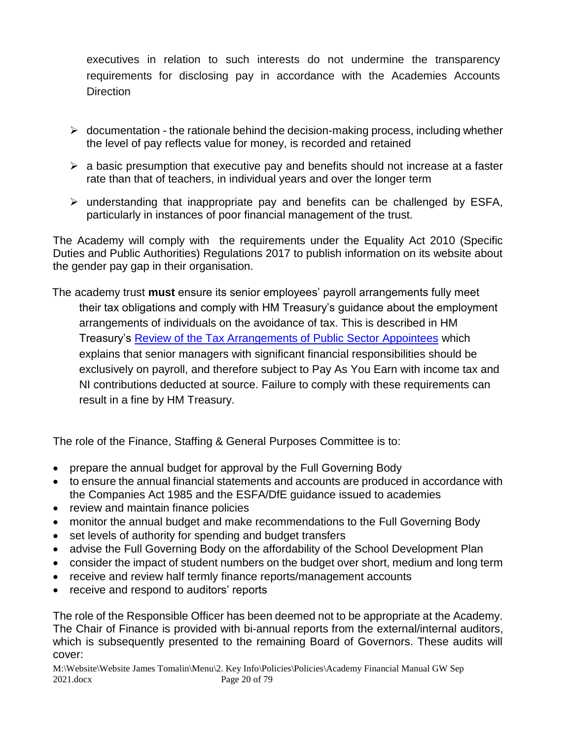executives in relation to such interests do not undermine the transparency requirements for disclosing pay in accordance with the Academies Accounts **Direction** 

- $\triangleright$  documentation the rationale behind the decision-making process, including whether the level of pay reflects value for money, is recorded and retained
- $\triangleright$  a basic presumption that executive pay and benefits should not increase at a faster rate than that of teachers, in individual years and over the longer term
- ➢ understanding that inappropriate pay and benefits can be challenged by ESFA, particularly in instances of poor financial management of the trust.

The Academy will comply with the requirements under the Equality Act 2010 (Specific Duties and Public Authorities) Regulations 2017 to publish information on its website about the gender pay gap in their organisation.

The academy trust **must** ensure its senior employees' payroll arrangements fully meet their tax obligations and comply with HM Treasury's guidance about the employment arrangements of individuals on the avoidance of tax. This is described in HM Treasury's **Review of the Tax Arrangements of Public Sector Appointees** which explains that senior managers with significant financial responsibilities should be exclusively on payroll, and therefore subject to Pay As You Earn with income tax and NI contributions deducted at source. Failure to comply with these requirements can result in a fine by HM Treasury.

The role of the Finance, Staffing & General Purposes Committee is to:

- prepare the annual budget for approval by the Full Governing Body
- to ensure the annual financial statements and accounts are produced in accordance with the Companies Act 1985 and the ESFA/DfE guidance issued to academies
- review and maintain finance policies
- monitor the annual budget and make recommendations to the Full Governing Body
- set levels of authority for spending and budget transfers
- advise the Full Governing Body on the affordability of the School Development Plan
- consider the impact of student numbers on the budget over short, medium and long term
- receive and review half termly finance reports/management accounts
- receive and respond to auditors' reports

The role of the Responsible Officer has been deemed not to be appropriate at the Academy. The Chair of Finance is provided with bi-annual reports from the external/internal auditors, which is subsequently presented to the remaining Board of Governors. These audits will cover:

M:\Website\Website James Tomalin\Menu\2. Key Info\Policies\Policies\Academy Financial Manual GW Sep 2021.docx Page 20 of 79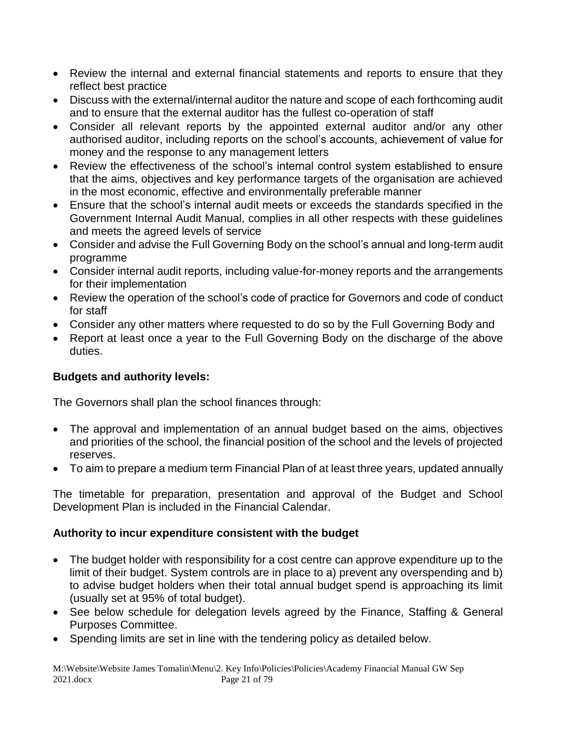- Review the internal and external financial statements and reports to ensure that they reflect best practice
- Discuss with the external/internal auditor the nature and scope of each forthcoming audit and to ensure that the external auditor has the fullest co-operation of staff
- Consider all relevant reports by the appointed external auditor and/or any other authorised auditor, including reports on the school's accounts, achievement of value for money and the response to any management letters
- Review the effectiveness of the school's internal control system established to ensure that the aims, objectives and key performance targets of the organisation are achieved in the most economic, effective and environmentally preferable manner
- Ensure that the school's internal audit meets or exceeds the standards specified in the Government Internal Audit Manual, complies in all other respects with these guidelines and meets the agreed levels of service
- Consider and advise the Full Governing Body on the school's annual and long-term audit programme
- Consider internal audit reports, including value-for-money reports and the arrangements for their implementation
- Review the operation of the school's code of practice for Governors and code of conduct for staff
- Consider any other matters where requested to do so by the Full Governing Body and
- Report at least once a year to the Full Governing Body on the discharge of the above duties.

#### **Budgets and authority levels:**

The Governors shall plan the school finances through:

- The approval and implementation of an annual budget based on the aims, objectives and priorities of the school, the financial position of the school and the levels of projected reserves.
- To aim to prepare a medium term Financial Plan of at least three years, updated annually

The timetable for preparation, presentation and approval of the Budget and School Development Plan is included in the Financial Calendar.

#### **Authority to incur expenditure consistent with the budget**

- The budget holder with responsibility for a cost centre can approve expenditure up to the limit of their budget. System controls are in place to a) prevent any overspending and b) to advise budget holders when their total annual budget spend is approaching its limit (usually set at 95% of total budget).
- See below schedule for delegation levels agreed by the Finance, Staffing & General Purposes Committee.
- Spending limits are set in line with the tendering policy as detailed below.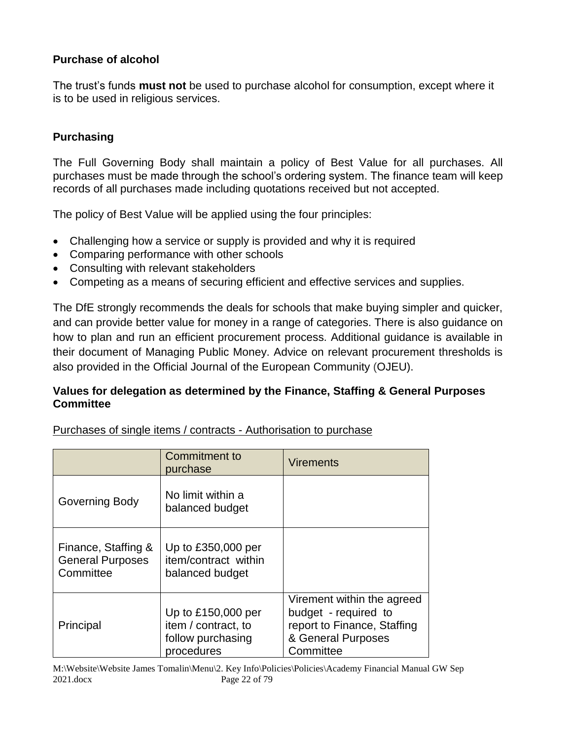#### **Purchase of alcohol**

The trust's funds **must not** be used to purchase alcohol for consumption, except where it is to be used in religious services.

#### **Purchasing**

The Full Governing Body shall maintain a policy of Best Value for all purchases. All purchases must be made through the school's ordering system. The finance team will keep records of all purchases made including quotations received but not accepted.

The policy of Best Value will be applied using the four principles:

- Challenging how a service or supply is provided and why it is required
- Comparing performance with other schools
- Consulting with relevant stakeholders
- Competing as a means of securing efficient and effective services and supplies.

The DfE strongly recommends the deals for schools that make buying simpler and quicker, and can provide better value for money in a range of categories. There is also guidance on how to plan and run an efficient procurement process. Additional guidance is available in their document of Managing Public Money. Advice on relevant procurement thresholds is also provided in the Official Journal of the European Community (OJEU).

#### **Values for delegation as determined by the Finance, Staffing & General Purposes Committee**

| Purchases of single items / contracts - Authorisation to purchase |  |
|-------------------------------------------------------------------|--|
|                                                                   |  |

|                                                             | Commitment to<br>purchase                                                    | <b>Virements</b>                                                                                                     |
|-------------------------------------------------------------|------------------------------------------------------------------------------|----------------------------------------------------------------------------------------------------------------------|
| Governing Body                                              | No limit within a<br>balanced budget                                         |                                                                                                                      |
| Finance, Staffing &<br><b>General Purposes</b><br>Committee | Up to £350,000 per<br>item/contract within<br>balanced budget                |                                                                                                                      |
| Principal                                                   | Up to £150,000 per<br>item / contract, to<br>follow purchasing<br>procedures | Virement within the agreed<br>budget - required to<br>report to Finance, Staffing<br>& General Purposes<br>Committee |

M:\Website\Website James Tomalin\Menu\2. Key Info\Policies\Policies\Academy Financial Manual GW Sep 2021.docx Page 22 of 79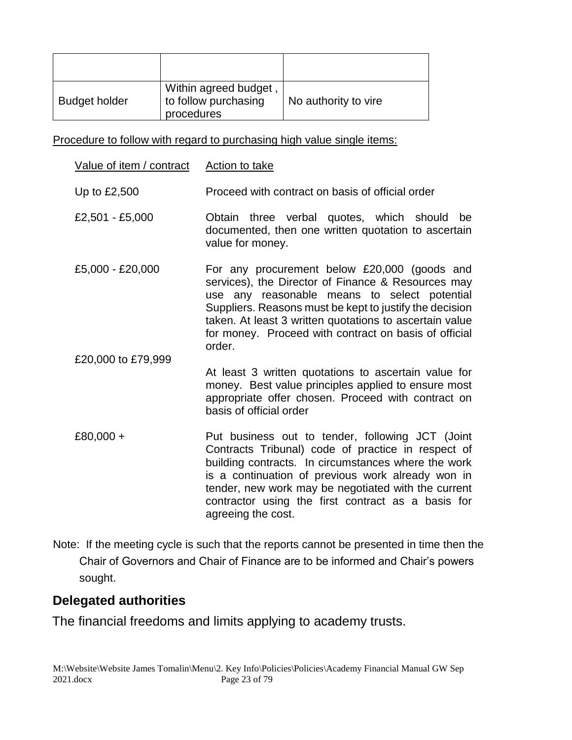| <b>Budget holder</b> | Within agreed budget,<br>to follow purchasing<br>procedures | No authority to vire |
|----------------------|-------------------------------------------------------------|----------------------|

Procedure to follow with regard to purchasing high value single items:

| Value of item / contract | <b>Action to take</b>                                                                                                                                                                                                                                                                                                                                 |
|--------------------------|-------------------------------------------------------------------------------------------------------------------------------------------------------------------------------------------------------------------------------------------------------------------------------------------------------------------------------------------------------|
| Up to £2,500             | Proceed with contract on basis of official order                                                                                                                                                                                                                                                                                                      |
| £2,501 - £5,000          | Obtain three verbal quotes, which should<br>be<br>documented, then one written quotation to ascertain<br>value for money.                                                                                                                                                                                                                             |
| £5,000 - £20,000         | For any procurement below £20,000 (goods and<br>services), the Director of Finance & Resources may<br>use any reasonable means to select potential<br>Suppliers. Reasons must be kept to justify the decision<br>taken. At least 3 written quotations to ascertain value<br>for money. Proceed with contract on basis of official<br>order.           |
| £20,000 to £79,999       | At least 3 written quotations to ascertain value for<br>money. Best value principles applied to ensure most<br>appropriate offer chosen. Proceed with contract on<br>basis of official order                                                                                                                                                          |
| £80,000 +                | Put business out to tender, following JCT (Joint<br>Contracts Tribunal) code of practice in respect of<br>building contracts. In circumstances where the work<br>is a continuation of previous work already won in<br>tender, new work may be negotiated with the current<br>contractor using the first contract as a basis for<br>agreeing the cost. |

Note: If the meeting cycle is such that the reports cannot be presented in time then the Chair of Governors and Chair of Finance are to be informed and Chair's powers sought.

#### **Delegated authorities**

The financial freedoms and limits applying to academy trusts.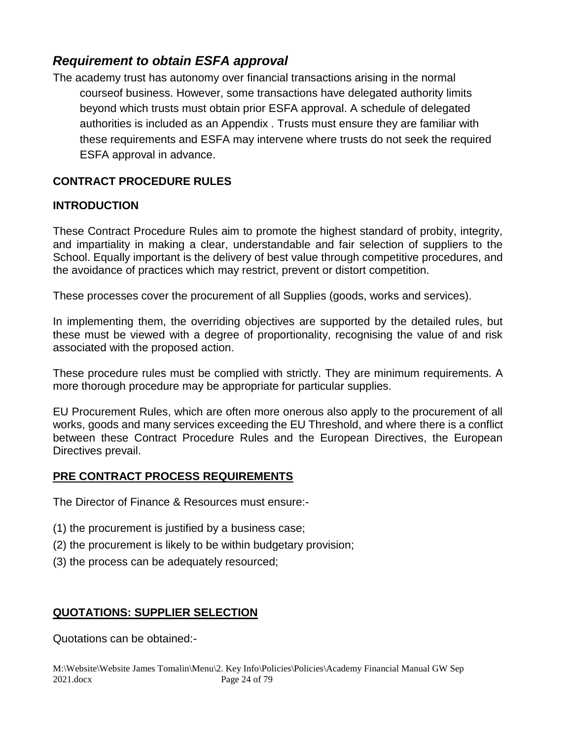#### *Requirement to obtain ESFA approval*

The academy trust has autonomy over financial transactions arising in the normal courseof business. However, some transactions have delegated authority limits beyond which trusts must obtain prior [ESFA](http://www.education.gov.uk/kc-enquiry-form) [a](http://www.education.gov.uk/kc-enquiry-form)pproval. A schedule of delegated authorities is included as an Appendix . Trusts must ensure they are familiar with these requirements and ESFA may intervene where trusts do not seek the required ESFA approval in advance.

#### **CONTRACT PROCEDURE RULES**

#### **INTRODUCTION**

These Contract Procedure Rules aim to promote the highest standard of probity, integrity, and impartiality in making a clear, understandable and fair selection of suppliers to the School. Equally important is the delivery of best value through competitive procedures, and the avoidance of practices which may restrict, prevent or distort competition.

These processes cover the procurement of all Supplies (goods, works and services).

In implementing them, the overriding objectives are supported by the detailed rules, but these must be viewed with a degree of proportionality, recognising the value of and risk associated with the proposed action.

These procedure rules must be complied with strictly. They are minimum requirements. A more thorough procedure may be appropriate for particular supplies.

EU Procurement Rules, which are often more onerous also apply to the procurement of all works, goods and many services exceeding the EU Threshold, and where there is a conflict between these Contract Procedure Rules and the European Directives, the European Directives prevail.

#### **PRE CONTRACT PROCESS REQUIREMENTS**

The Director of Finance & Resources must ensure:-

- (1) the procurement is justified by a business case;
- (2) the procurement is likely to be within budgetary provision;
- (3) the process can be adequately resourced;

#### **QUOTATIONS: SUPPLIER SELECTION**

Quotations can be obtained:-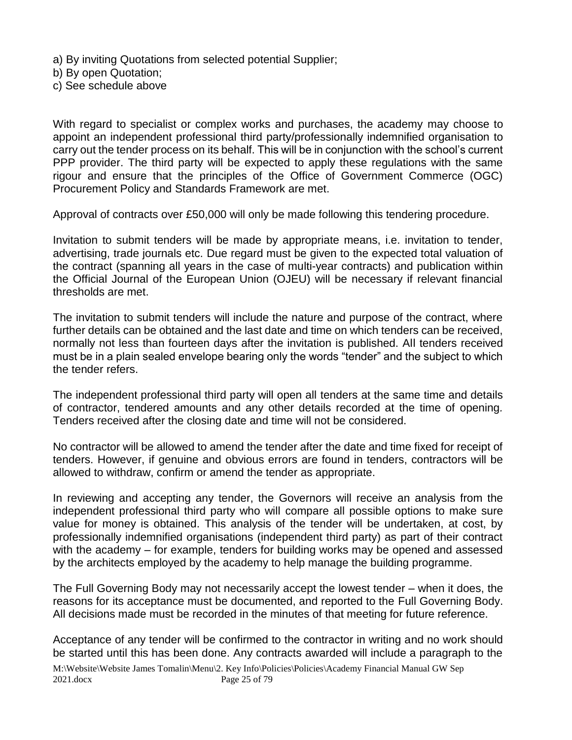a) By inviting Quotations from selected potential Supplier;

b) By open Quotation;

c) See schedule above

With regard to specialist or complex works and purchases, the academy may choose to appoint an independent professional third party/professionally indemnified organisation to carry out the tender process on its behalf. This will be in conjunction with the school's current PPP provider. The third party will be expected to apply these regulations with the same rigour and ensure that the principles of the Office of Government Commerce (OGC) Procurement Policy and Standards Framework are met.

Approval of contracts over £50,000 will only be made following this tendering procedure.

Invitation to submit tenders will be made by appropriate means, i.e. invitation to tender, advertising, trade journals etc. Due regard must be given to the expected total valuation of the contract (spanning all years in the case of multi-year contracts) and publication within the Official Journal of the European Union (OJEU) will be necessary if relevant financial thresholds are met.

The invitation to submit tenders will include the nature and purpose of the contract, where further details can be obtained and the last date and time on which tenders can be received, normally not less than fourteen days after the invitation is published. All tenders received must be in a plain sealed envelope bearing only the words "tender" and the subject to which the tender refers.

The independent professional third party will open all tenders at the same time and details of contractor, tendered amounts and any other details recorded at the time of opening*.*  Tenders received after the closing date and time will not be considered.

No contractor will be allowed to amend the tender after the date and time fixed for receipt of tenders. However, if genuine and obvious errors are found in tenders, contractors will be allowed to withdraw, confirm or amend the tender as appropriate.

In reviewing and accepting any tender, the Governors will receive an analysis from the independent professional third party who will compare all possible options to make sure value for money is obtained. This analysis of the tender will be undertaken, at cost, by professionally indemnified organisations (independent third party) as part of their contract with the academy – for example, tenders for building works may be opened and assessed by the architects employed by the academy to help manage the building programme.

The Full Governing Body may not necessarily accept the lowest tender – when it does, the reasons for its acceptance must be documented, and reported to the Full Governing Body. All decisions made must be recorded in the minutes of that meeting for future reference.

Acceptance of any tender will be confirmed to the contractor in writing and no work should be started until this has been done. Any contracts awarded will include a paragraph to the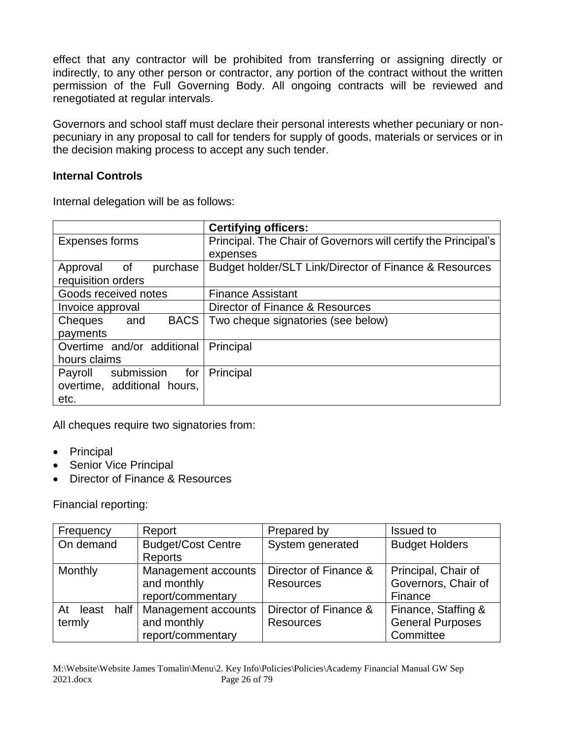effect that any contractor will be prohibited from transferring or assigning directly or indirectly, to any other person or contractor, any portion of the contract without the written permission of the Full Governing Body. All ongoing contracts will be reviewed and renegotiated at regular intervals.

Governors and school staff must declare their personal interests whether pecuniary or nonpecuniary in any proposal to call for tenders for supply of goods, materials or services or in the decision making process to accept any such tender.

#### **Internal Controls**

Internal delegation will be as follows:

|                               | <b>Certifying officers:</b>                                    |
|-------------------------------|----------------------------------------------------------------|
| Expenses forms                | Principal. The Chair of Governors will certify the Principal's |
|                               | expenses                                                       |
| purchase<br>Approval of       | Budget holder/SLT Link/Director of Finance & Resources         |
| requisition orders            |                                                                |
| Goods received notes          | <b>Finance Assistant</b>                                       |
| Invoice approval              | Director of Finance & Resources                                |
| <b>BACS</b><br>Cheques<br>and | Two cheque signatories (see below)                             |
| payments                      |                                                                |
| Overtime and/or additional    | Principal                                                      |
| hours claims                  |                                                                |
| Payroll submission<br>for     | Principal                                                      |
| overtime, additional hours,   |                                                                |
| etc.                          |                                                                |

All cheques require two signatories from:

- Principal
- Senior Vice Principal
- Director of Finance & Resources

Financial reporting:

| Frequency                     | Report                                                  | Prepared by                               | <b>Issued to</b>                                            |
|-------------------------------|---------------------------------------------------------|-------------------------------------------|-------------------------------------------------------------|
| On demand                     | <b>Budget/Cost Centre</b><br>Reports                    | System generated                          | <b>Budget Holders</b>                                       |
| Monthly                       | Management accounts<br>and monthly<br>report/commentary | Director of Finance &<br><b>Resources</b> | Principal, Chair of<br>Governors, Chair of<br>Finance       |
| least<br>half<br>At<br>termly | Management accounts<br>and monthly<br>report/commentary | Director of Finance &<br><b>Resources</b> | Finance, Staffing &<br><b>General Purposes</b><br>Committee |

M:\Website\Website James Tomalin\Menu\2. Key Info\Policies\Policies\Academy Financial Manual GW Sep 2021.docx Page 26 of 79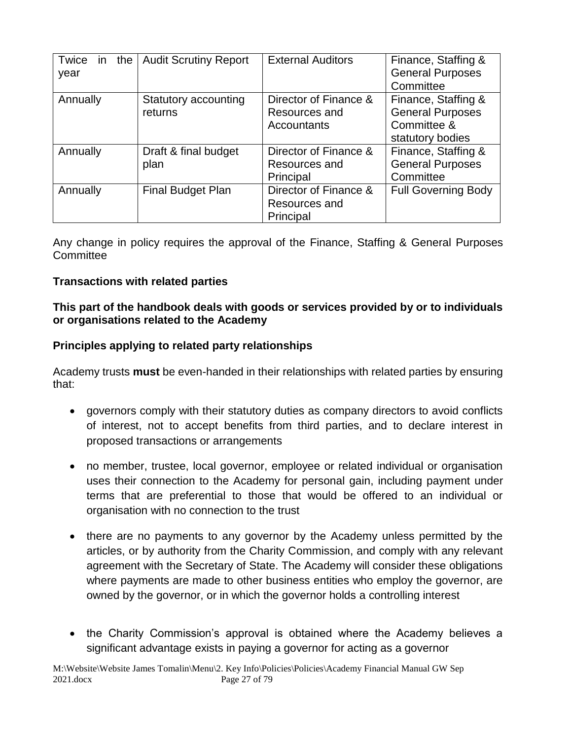| Twice in<br>the | <b>Audit Scrutiny Report</b> | <b>External Auditors</b> | Finance, Staffing &        |
|-----------------|------------------------------|--------------------------|----------------------------|
| year            |                              |                          | <b>General Purposes</b>    |
|                 |                              |                          | Committee                  |
| Annually        | Statutory accounting         | Director of Finance &    | Finance, Staffing &        |
|                 | returns                      | Resources and            | <b>General Purposes</b>    |
|                 |                              | Accountants              | Committee &                |
|                 |                              |                          | statutory bodies           |
| Annually        | Draft & final budget         | Director of Finance &    | Finance, Staffing &        |
|                 | plan                         | Resources and            | <b>General Purposes</b>    |
|                 |                              | Principal                | Committee                  |
| Annually        | Final Budget Plan            | Director of Finance &    | <b>Full Governing Body</b> |
|                 |                              | Resources and            |                            |
|                 |                              | Principal                |                            |

Any change in policy requires the approval of the Finance, Staffing & General Purposes **Committee** 

#### **Transactions with related parties**

#### **This part of the handbook deals with goods or services provided by or to individuals or organisations related to the Academy**

#### **Principles applying to related party relationships**

Academy trusts **must** be even-handed in their relationships with related parties by ensuring that:

- governors comply with their statutory duties as company directors to avoid conflicts of interest, not to accept benefits from third parties, and to declare interest in proposed transactions or arrangements
- no member, trustee, local governor, employee or related individual or organisation uses their connection to the Academy for personal gain, including payment under terms that are preferential to those that would be offered to an individual or organisation with no connection to the trust
- there are no payments to any governor by the Academy unless permitted by the articles, or by authority from the Charity Commission, and comply with any relevant agreement with the Secretary of State. The Academy will consider these obligations where payments are made to other business entities who employ the governor, are owned by the governor, or in which the governor holds a controlling interest
- the Charity Commission's approval is obtained where the Academy believes a significant advantage exists in paying a governor for acting as a governor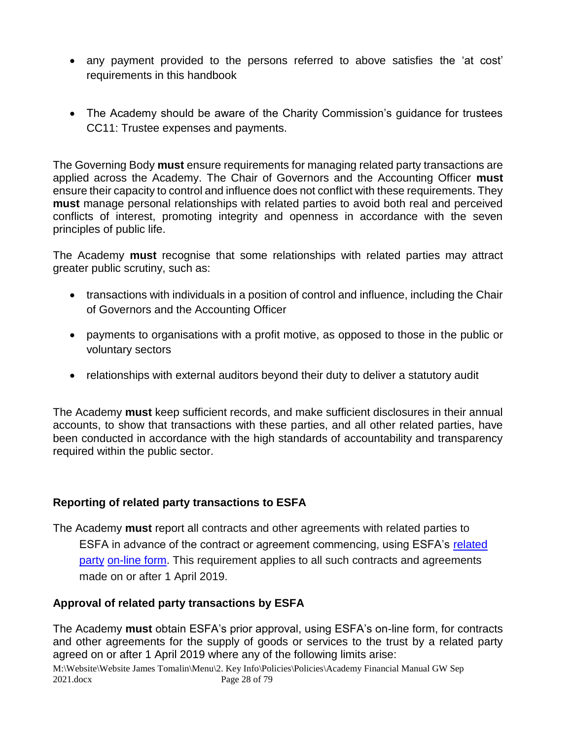- any payment provided to the persons referred to above satisfies the 'at cost' requirements in this handbook
- The Academy should be aware of the Charity Commission's guidance for trustees CC11: Trustee expenses and payments.

The Governing Body **must** ensure requirements for managing related party transactions are applied across the Academy. The Chair of Governors and the Accounting Officer **must**  ensure their capacity to control and influence does not conflict with these requirements. They **must** manage personal relationships with related parties to avoid both real and perceived conflicts of interest, promoting integrity and openness in accordance with the seven principles of public life.

The Academy **must** recognise that some relationships with related parties may attract greater public scrutiny, such as:

- transactions with individuals in a position of control and influence, including the Chair of Governors and the Accounting Officer
- payments to organisations with a profit motive, as opposed to those in the public or voluntary sectors
- relationships with external auditors beyond their duty to deliver a statutory audit

The Academy **must** keep sufficient records, and make sufficient disclosures in their annual accounts, to show that transactions with these parties, and all other related parties, have been conducted in accordance with the high standards of accountability and transparency required within the public sector.

#### **Reporting of related party transactions to ESFA**

The Academy **must** report all contracts and other agreements with related parties to ESFA in advance of the contract or agreement commencing, using ESFA's [related](https://onlinecollections.des.fasst.org.uk/onlinecollections/)  [party](https://onlinecollections.des.fasst.org.uk/onlinecollections/) [on-line form.](https://onlinecollections.des.fasst.org.uk/onlinecollections/) This requirement applies to all such contracts and agreements made on or after 1 April 2019.

#### **Approval of related party transactions by ESFA**

The Academy **must** obtain ESFA's prior approval, using ESFA's on-line form, for contracts and other agreements for the supply of goods or services to the trust by a related party agreed on or after 1 April 2019 where any of the following limits arise:

M:\Website\Website James Tomalin\Menu\2. Key Info\Policies\Policies\Academy Financial Manual GW Sep 2021.docx Page 28 of 79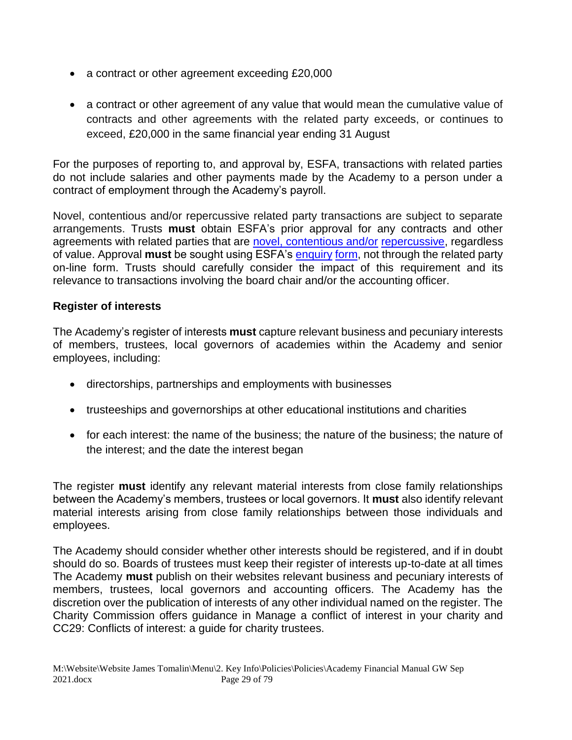- a contract or other agreement exceeding £20,000
- a contract or other agreement of any value that would mean the cumulative value of contracts and other agreements with the related party exceeds, or continues to exceed, £20,000 in the same financial year ending 31 August

For the purposes of reporting to, and approval by, ESFA, transactions with related parties do not include salaries and other payments made by the Academy to a person under a contract of employment through the Academy's payroll.

Novel, contentious and/or repercussive related party transactions are subject to separate arrangements. Trusts **must** obtain ESFA's prior approval for any contracts and other agreements with related parties that are novel, contentious and/or repercussive, regardless of value. Approval **must** be sought using ESFA's [enquiry](https://form.education.gov.uk/en/AchieveForms/?form_uri=sandbox-publish://AF-Process-f9f4f5a1-936f-448b-bbeb-9dcdd595f468/AF-Stage-8aa41278-3cdd-45a3-ad87-80cbffb8b992/definition.json&redirectlink=%2Fen&cancelRedirectLink=%2Fen) [form,](https://form.education.gov.uk/en/AchieveForms/?form_uri=sandbox-publish://AF-Process-f9f4f5a1-936f-448b-bbeb-9dcdd595f468/AF-Stage-8aa41278-3cdd-45a3-ad87-80cbffb8b992/definition.json&redirectlink=%2Fen&cancelRedirectLink=%2Fen) not through the related party on-line form. Trusts should carefully consider the impact of this requirement and its relevance to transactions involving the board chair and/or the accounting officer.

#### **Register of interests**

The Academy's register of interests **must** capture relevant business and pecuniary interests of members, trustees, local governors of academies within the Academy and senior employees, including:

- directorships, partnerships and employments with businesses
- trusteeships and governorships at other educational institutions and charities
- for each interest: the name of the business; the nature of the business; the nature of the interest; and the date the interest began

The register **must** identify any relevant material interests from close family relationships between the Academy's members, trustees or local governors. It **must** also identify relevant material interests arising from close family relationships between those individuals and employees.

The Academy should consider whether other interests should be registered, and if in doubt should do so. Boards of trustees must keep their register of interests up-to-date at all times The Academy **must** publish on their websites relevant business and pecuniary interests of members, trustees, local governors and accounting officers. The Academy has the discretion over the publication of interests of any other individual named on the register. The Charity Commission offers guidance in Manage a conflict of interest in your charity and CC29: Conflicts of interest: a guide for charity trustees.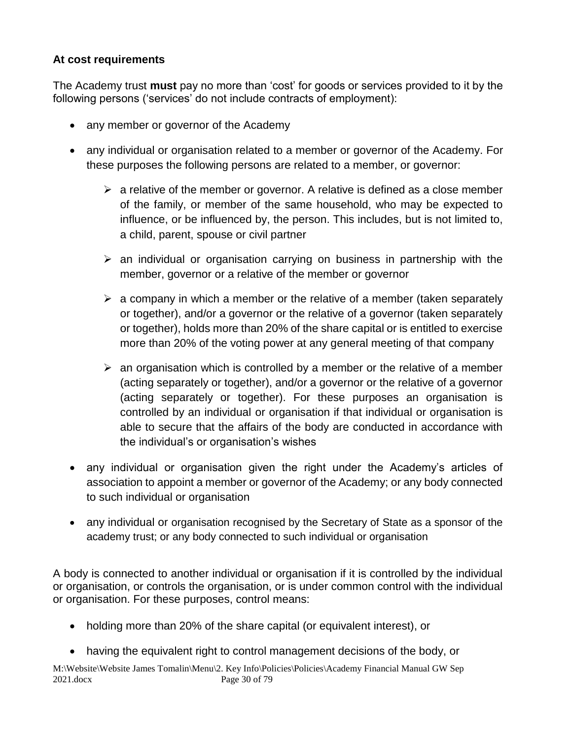#### **At cost requirements**

The Academy trust **must** pay no more than 'cost' for goods or services provided to it by the following persons ('services' do not include contracts of employment):

- any member or governor of the Academy
- any individual or organisation related to a member or governor of the Academy. For these purposes the following persons are related to a member, or governor:
	- $\triangleright$  a relative of the member or governor. A relative is defined as a close member of the family, or member of the same household, who may be expected to influence, or be influenced by, the person. This includes, but is not limited to, a child, parent, spouse or civil partner
	- $\triangleright$  an individual or organisation carrying on business in partnership with the member, governor or a relative of the member or governor
	- $\triangleright$  a company in which a member or the relative of a member (taken separately or together), and/or a governor or the relative of a governor (taken separately or together), holds more than 20% of the share capital or is entitled to exercise more than 20% of the voting power at any general meeting of that company
	- $\triangleright$  an organisation which is controlled by a member or the relative of a member (acting separately or together), and/or a governor or the relative of a governor (acting separately or together). For these purposes an organisation is controlled by an individual or organisation if that individual or organisation is able to secure that the affairs of the body are conducted in accordance with the individual's or organisation's wishes
- any individual or organisation given the right under the Academy's articles of association to appoint a member or governor of the Academy; or any body connected to such individual or organisation
- any individual or organisation recognised by the Secretary of State as a sponsor of the academy trust; or any body connected to such individual or organisation

A body is connected to another individual or organisation if it is controlled by the individual or organisation, or controls the organisation, or is under common control with the individual or organisation. For these purposes, control means:

- holding more than 20% of the share capital (or equivalent interest), or
- having the equivalent right to control management decisions of the body, or

M:\Website\Website James Tomalin\Menu\2. Key Info\Policies\Policies\Academy Financial Manual GW Sep 2021.docx Page 30 of 79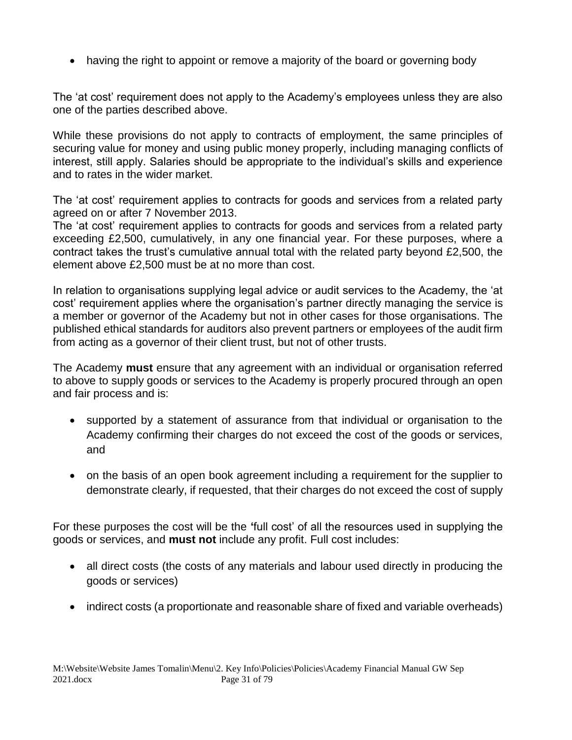• having the right to appoint or remove a majority of the board or governing body

The 'at cost' requirement does not apply to the Academy's employees unless they are also one of the parties described above.

While these provisions do not apply to contracts of employment, the same principles of securing value for money and using public money properly, including managing conflicts of interest, still apply. Salaries should be appropriate to the individual's skills and experience and to rates in the wider market.

The 'at cost' requirement applies to contracts for goods and services from a related party agreed on or after 7 November 2013.

The 'at cost' requirement applies to contracts for goods and services from a related party exceeding £2,500, cumulatively, in any one financial year. For these purposes, where a contract takes the trust's cumulative annual total with the related party beyond £2,500, the element above £2,500 must be at no more than cost.

In relation to organisations supplying legal advice or audit services to the Academy, the 'at cost' requirement applies where the organisation's partner directly managing the service is a member or governor of the Academy but not in other cases for those organisations. The published ethical standards for auditors also prevent partners or employees of the audit firm from acting as a governor of their client trust, but not of other trusts.

The Academy **must** ensure that any agreement with an individual or organisation referred to above to supply goods or services to the Academy is properly procured through an open and fair process and is:

- supported by a statement of assurance from that individual or organisation to the Academy confirming their charges do not exceed the cost of the goods or services, and
- on the basis of an open book agreement including a requirement for the supplier to demonstrate clearly, if requested, that their charges do not exceed the cost of supply

For these purposes the cost will be the **'**full cost' of all the resources used in supplying the goods or services, and **must not** include any profit. Full cost includes:

- all direct costs (the costs of any materials and labour used directly in producing the goods or services)
- indirect costs (a proportionate and reasonable share of fixed and variable overheads)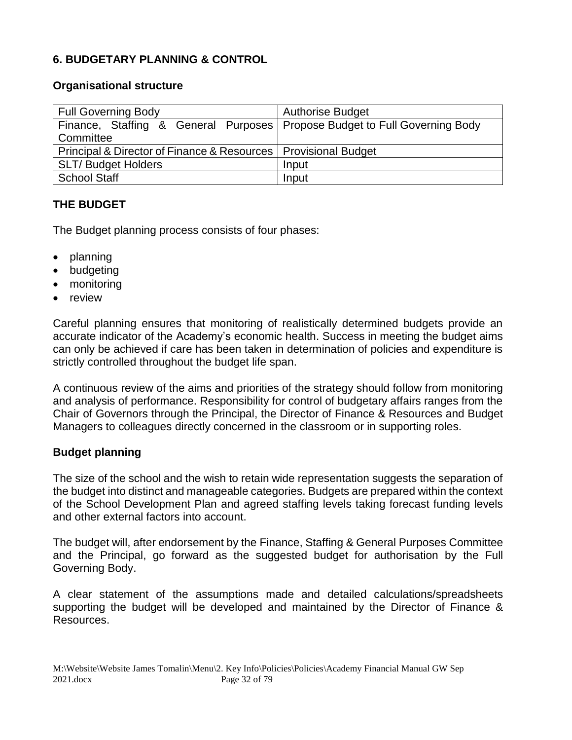#### **6. BUDGETARY PLANNING & CONTROL**

#### **Organisational structure**

| <b>Full Governing Body</b>                                                   | <b>Authorise Budget</b> |
|------------------------------------------------------------------------------|-------------------------|
| Finance, Staffing & General Purposes   Propose Budget to Full Governing Body |                         |
| Committee                                                                    |                         |
| Principal & Director of Finance & Resources   Provisional Budget             |                         |
| <b>SLT/Budget Holders</b>                                                    | Input                   |
| <b>School Staff</b>                                                          | Input                   |

#### **THE BUDGET**

The Budget planning process consists of four phases:

- planning
- budgeting
- monitoring
- review

Careful planning ensures that monitoring of realistically determined budgets provide an accurate indicator of the Academy's economic health. Success in meeting the budget aims can only be achieved if care has been taken in determination of policies and expenditure is strictly controlled throughout the budget life span.

A continuous review of the aims and priorities of the strategy should follow from monitoring and analysis of performance. Responsibility for control of budgetary affairs ranges from the Chair of Governors through the Principal, the Director of Finance & Resources and Budget Managers to colleagues directly concerned in the classroom or in supporting roles.

#### **Budget planning**

The size of the school and the wish to retain wide representation suggests the separation of the budget into distinct and manageable categories. Budgets are prepared within the context of the School Development Plan and agreed staffing levels taking forecast funding levels and other external factors into account.

The budget will, after endorsement by the Finance, Staffing & General Purposes Committee and the Principal, go forward as the suggested budget for authorisation by the Full Governing Body.

A clear statement of the assumptions made and detailed calculations/spreadsheets supporting the budget will be developed and maintained by the Director of Finance & Resources.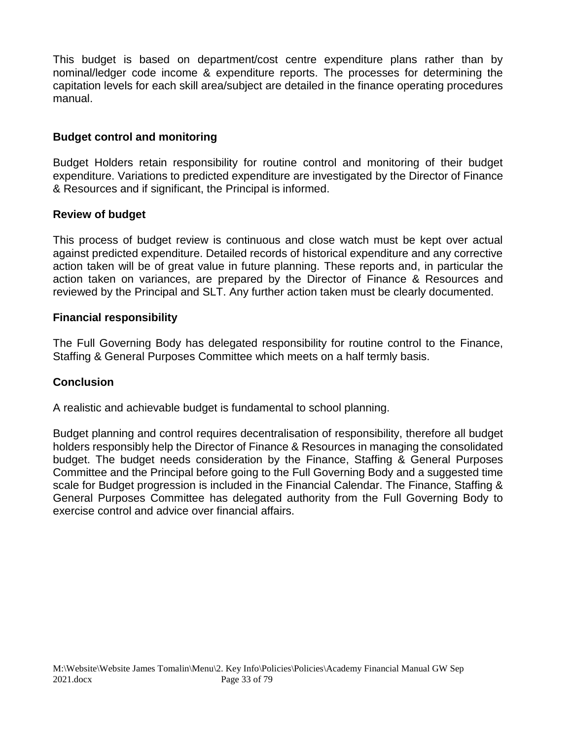This budget is based on department/cost centre expenditure plans rather than by nominal/ledger code income & expenditure reports. The processes for determining the capitation levels for each skill area/subject are detailed in the finance operating procedures manual.

#### **Budget control and monitoring**

Budget Holders retain responsibility for routine control and monitoring of their budget expenditure. Variations to predicted expenditure are investigated by the Director of Finance & Resources and if significant, the Principal is informed.

#### **Review of budget**

This process of budget review is continuous and close watch must be kept over actual against predicted expenditure. Detailed records of historical expenditure and any corrective action taken will be of great value in future planning. These reports and, in particular the action taken on variances, are prepared by the Director of Finance & Resources and reviewed by the Principal and SLT. Any further action taken must be clearly documented.

#### **Financial responsibility**

The Full Governing Body has delegated responsibility for routine control to the Finance, Staffing & General Purposes Committee which meets on a half termly basis.

#### **Conclusion**

A realistic and achievable budget is fundamental to school planning.

Budget planning and control requires decentralisation of responsibility, therefore all budget holders responsibly help the Director of Finance & Resources in managing the consolidated budget. The budget needs consideration by the Finance, Staffing & General Purposes Committee and the Principal before going to the Full Governing Body and a suggested time scale for Budget progression is included in the Financial Calendar. The Finance, Staffing & General Purposes Committee has delegated authority from the Full Governing Body to exercise control and advice over financial affairs.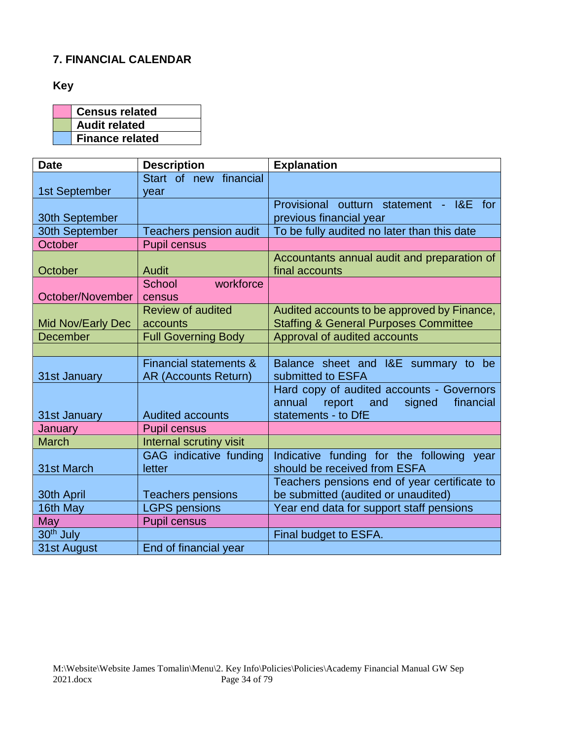#### **7. FINANCIAL CALENDAR**

**Key**

| <b>Census related</b>  |  |
|------------------------|--|
| <b>Audit related</b>   |  |
| <b>Finance related</b> |  |

| <b>Date</b>           | <b>Description</b>          | <b>Explanation</b>                               |
|-----------------------|-----------------------------|--------------------------------------------------|
|                       | Start of new financial      |                                                  |
| 1st September         | year                        |                                                  |
|                       |                             | Provisional outturn statement - I&E for          |
| 30th September        |                             | previous financial year                          |
| 30th September        | Teachers pension audit      | To be fully audited no later than this date      |
| October               | <b>Pupil census</b>         |                                                  |
|                       |                             | Accountants annual audit and preparation of      |
| October               | <b>Audit</b>                | final accounts                                   |
|                       | School<br>workforce         |                                                  |
| October/November      | census                      |                                                  |
|                       | <b>Review of audited</b>    | Audited accounts to be approved by Finance,      |
| Mid Nov/Early Dec     | accounts                    | <b>Staffing &amp; General Purposes Committee</b> |
| <b>December</b>       | <b>Full Governing Body</b>  | Approval of audited accounts                     |
|                       |                             |                                                  |
|                       | Financial statements &      | Balance sheet and I&E summary to be              |
| 31st January          | <b>AR (Accounts Return)</b> | submitted to ESFA                                |
|                       |                             | Hard copy of audited accounts - Governors        |
|                       |                             | annual<br>report<br>and<br>signed<br>financial   |
| 31st January          | <b>Audited accounts</b>     | statements - to DfE                              |
| January               | <b>Pupil census</b>         |                                                  |
| <b>March</b>          | Internal scrutiny visit     |                                                  |
|                       | GAG indicative funding      | Indicative funding for the following<br>year     |
| 31st March            | letter                      | should be received from ESFA                     |
|                       |                             | Teachers pensions end of year certificate to     |
| 30th April            | <b>Teachers pensions</b>    | be submitted (audited or unaudited)              |
| 16th May              | <b>LGPS pensions</b>        | Year end data for support staff pensions         |
| May                   | <b>Pupil census</b>         |                                                  |
| 30 <sup>th</sup> July |                             | Final budget to ESFA.                            |
| 31st August           | End of financial year       |                                                  |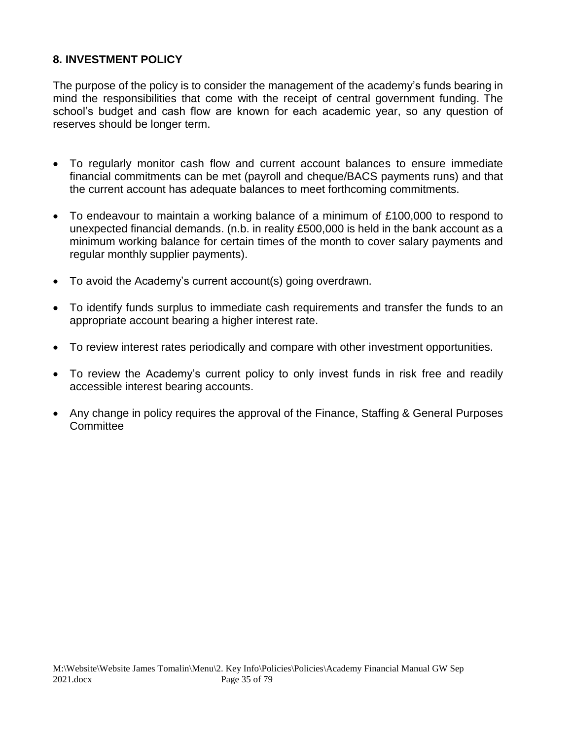#### **8. INVESTMENT POLICY**

The purpose of the policy is to consider the management of the academy's funds bearing in mind the responsibilities that come with the receipt of central government funding. The school's budget and cash flow are known for each academic year, so any question of reserves should be longer term.

- To regularly monitor cash flow and current account balances to ensure immediate financial commitments can be met (payroll and cheque/BACS payments runs) and that the current account has adequate balances to meet forthcoming commitments.
- To endeavour to maintain a working balance of a minimum of £100,000 to respond to unexpected financial demands. (n.b. in reality £500,000 is held in the bank account as a minimum working balance for certain times of the month to cover salary payments and regular monthly supplier payments).
- To avoid the Academy's current account(s) going overdrawn.
- To identify funds surplus to immediate cash requirements and transfer the funds to an appropriate account bearing a higher interest rate.
- To review interest rates periodically and compare with other investment opportunities.
- To review the Academy's current policy to only invest funds in risk free and readily accessible interest bearing accounts.
- Any change in policy requires the approval of the Finance, Staffing & General Purposes **Committee**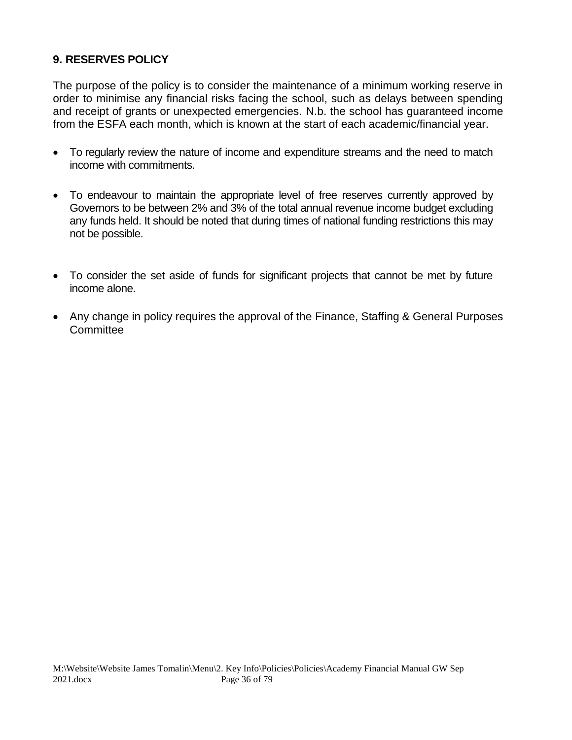#### **9. RESERVES POLICY**

The purpose of the policy is to consider the maintenance of a minimum working reserve in order to minimise any financial risks facing the school, such as delays between spending and receipt of grants or unexpected emergencies. N.b. the school has guaranteed income from the ESFA each month, which is known at the start of each academic/financial year.

- To regularly review the nature of income and expenditure streams and the need to match income with commitments.
- To endeavour to maintain the appropriate level of free reserves currently approved by Governors to be between 2% and 3% of the total annual revenue income budget excluding any funds held. It should be noted that during times of national funding restrictions this may not be possible.
- To consider the set aside of funds for significant projects that cannot be met by future income alone.
- Any change in policy requires the approval of the Finance, Staffing & General Purposes **Committee**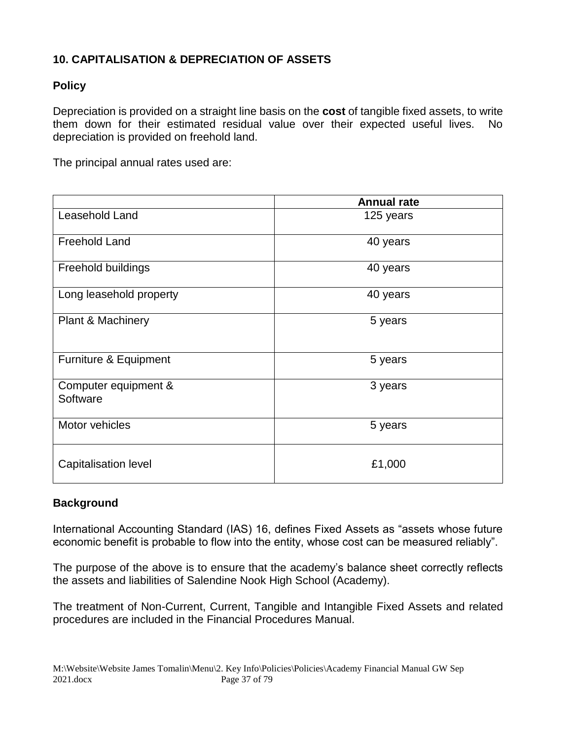## **10. CAPITALISATION & DEPRECIATION OF ASSETS**

## **Policy**

Depreciation is provided on a straight line basis on the **cost** of tangible fixed assets, to write them down for their estimated residual value over their expected useful lives. No depreciation is provided on freehold land.

The principal annual rates used are:

|                                  | <b>Annual rate</b> |
|----------------------------------|--------------------|
| Leasehold Land                   | 125 years          |
| <b>Freehold Land</b>             | 40 years           |
| Freehold buildings               | 40 years           |
| Long leasehold property          | 40 years           |
| <b>Plant &amp; Machinery</b>     | 5 years            |
| Furniture & Equipment            | 5 years            |
| Computer equipment &<br>Software | 3 years            |
| Motor vehicles                   | 5 years            |
| <b>Capitalisation level</b>      | £1,000             |

## **Background**

International Accounting Standard (IAS) 16, defines Fixed Assets as "assets whose future economic benefit is probable to flow into the entity, whose cost can be measured reliably".

The purpose of the above is to ensure that the academy's balance sheet correctly reflects the assets and liabilities of Salendine Nook High School (Academy).

The treatment of Non-Current, Current, Tangible and Intangible Fixed Assets and related procedures are included in the Financial Procedures Manual.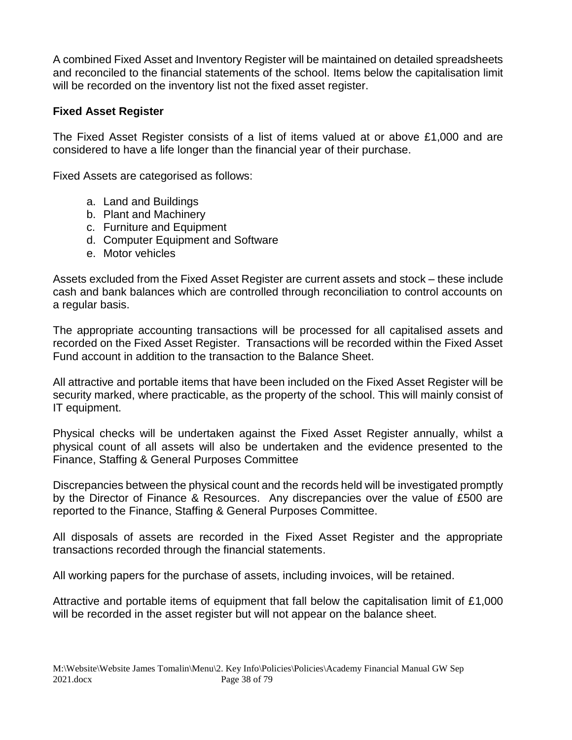A combined Fixed Asset and Inventory Register will be maintained on detailed spreadsheets and reconciled to the financial statements of the school. Items below the capitalisation limit will be recorded on the inventory list not the fixed asset register.

#### **Fixed Asset Register**

The Fixed Asset Register consists of a list of items valued at or above £1,000 and are considered to have a life longer than the financial year of their purchase.

Fixed Assets are categorised as follows:

- a. Land and Buildings
- b. Plant and Machinery
- c. Furniture and Equipment
- d. Computer Equipment and Software
- e. Motor vehicles

Assets excluded from the Fixed Asset Register are current assets and stock – these include cash and bank balances which are controlled through reconciliation to control accounts on a regular basis.

The appropriate accounting transactions will be processed for all capitalised assets and recorded on the Fixed Asset Register. Transactions will be recorded within the Fixed Asset Fund account in addition to the transaction to the Balance Sheet.

All attractive and portable items that have been included on the Fixed Asset Register will be security marked, where practicable, as the property of the school. This will mainly consist of IT equipment.

Physical checks will be undertaken against the Fixed Asset Register annually, whilst a physical count of all assets will also be undertaken and the evidence presented to the Finance, Staffing & General Purposes Committee

Discrepancies between the physical count and the records held will be investigated promptly by the Director of Finance & Resources. Any discrepancies over the value of £500 are reported to the Finance, Staffing & General Purposes Committee.

All disposals of assets are recorded in the Fixed Asset Register and the appropriate transactions recorded through the financial statements.

All working papers for the purchase of assets, including invoices, will be retained.

Attractive and portable items of equipment that fall below the capitalisation limit of £1,000 will be recorded in the asset register but will not appear on the balance sheet.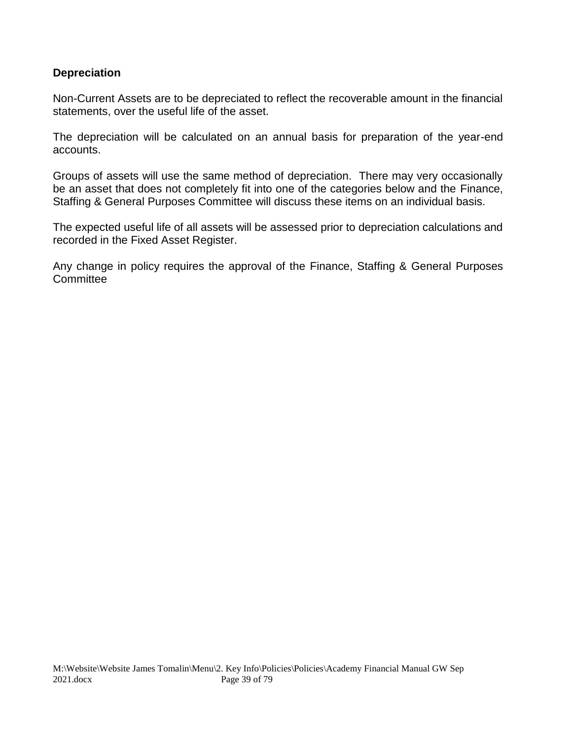#### **Depreciation**

Non-Current Assets are to be depreciated to reflect the recoverable amount in the financial statements, over the useful life of the asset.

The depreciation will be calculated on an annual basis for preparation of the year-end accounts.

Groups of assets will use the same method of depreciation. There may very occasionally be an asset that does not completely fit into one of the categories below and the Finance, Staffing & General Purposes Committee will discuss these items on an individual basis.

The expected useful life of all assets will be assessed prior to depreciation calculations and recorded in the Fixed Asset Register.

Any change in policy requires the approval of the Finance, Staffing & General Purposes **Committee**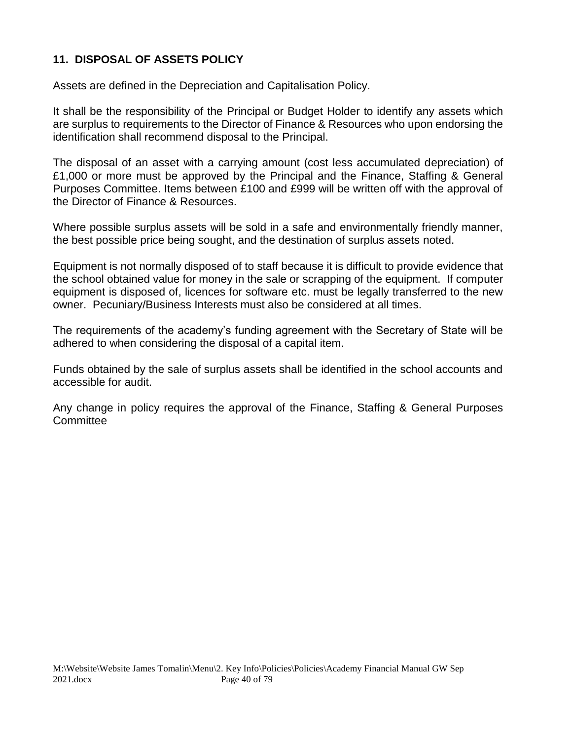## **11. DISPOSAL OF ASSETS POLICY**

Assets are defined in the Depreciation and Capitalisation Policy.

It shall be the responsibility of the Principal or Budget Holder to identify any assets which are surplus to requirements to the Director of Finance & Resources who upon endorsing the identification shall recommend disposal to the Principal.

The disposal of an asset with a carrying amount (cost less accumulated depreciation) of £1,000 or more must be approved by the Principal and the Finance, Staffing & General Purposes Committee. Items between £100 and £999 will be written off with the approval of the Director of Finance & Resources.

Where possible surplus assets will be sold in a safe and environmentally friendly manner, the best possible price being sought, and the destination of surplus assets noted.

Equipment is not normally disposed of to staff because it is difficult to provide evidence that the school obtained value for money in the sale or scrapping of the equipment. If computer equipment is disposed of, licences for software etc. must be legally transferred to the new owner. Pecuniary/Business Interests must also be considered at all times.

The requirements of the academy's funding agreement with the Secretary of State will be adhered to when considering the disposal of a capital item.

Funds obtained by the sale of surplus assets shall be identified in the school accounts and accessible for audit.

Any change in policy requires the approval of the Finance, Staffing & General Purposes **Committee**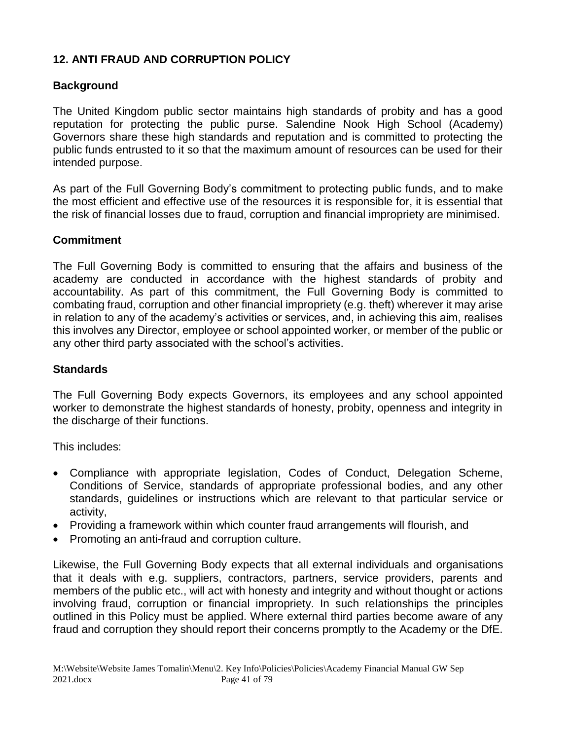## **12. ANTI FRAUD AND CORRUPTION POLICY**

## **Background**

The United Kingdom public sector maintains high standards of probity and has a good reputation for protecting the public purse. Salendine Nook High School (Academy) Governors share these high standards and reputation and is committed to protecting the public funds entrusted to it so that the maximum amount of resources can be used for their intended purpose.

As part of the Full Governing Body's commitment to protecting public funds, and to make the most efficient and effective use of the resources it is responsible for, it is essential that the risk of financial losses due to fraud, corruption and financial impropriety are minimised.

## **Commitment**

The Full Governing Body is committed to ensuring that the affairs and business of the academy are conducted in accordance with the highest standards of probity and accountability. As part of this commitment, the Full Governing Body is committed to combating fraud, corruption and other financial impropriety (e.g. theft) wherever it may arise in relation to any of the academy's activities or services, and, in achieving this aim, realises this involves any Director, employee or school appointed worker, or member of the public or any other third party associated with the school's activities.

#### **Standards**

The Full Governing Body expects Governors, its employees and any school appointed worker to demonstrate the highest standards of honesty, probity, openness and integrity in the discharge of their functions.

This includes:

- Compliance with appropriate legislation, Codes of Conduct, Delegation Scheme, Conditions of Service, standards of appropriate professional bodies, and any other standards, guidelines or instructions which are relevant to that particular service or activity,
- Providing a framework within which counter fraud arrangements will flourish, and
- Promoting an anti-fraud and corruption culture.

Likewise, the Full Governing Body expects that all external individuals and organisations that it deals with e.g. suppliers, contractors, partners, service providers, parents and members of the public etc., will act with honesty and integrity and without thought or actions involving fraud, corruption or financial impropriety. In such relationships the principles outlined in this Policy must be applied. Where external third parties become aware of any fraud and corruption they should report their concerns promptly to the Academy or the DfE.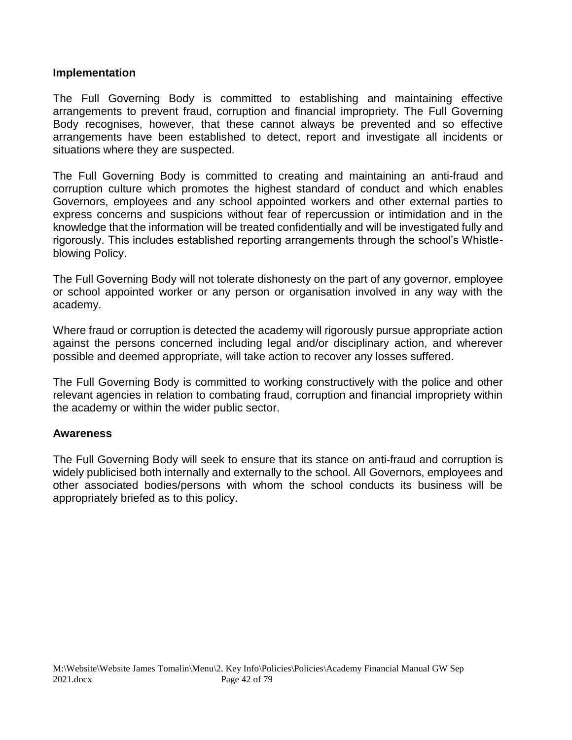#### **Implementation**

The Full Governing Body is committed to establishing and maintaining effective arrangements to prevent fraud, corruption and financial impropriety. The Full Governing Body recognises, however, that these cannot always be prevented and so effective arrangements have been established to detect, report and investigate all incidents or situations where they are suspected.

The Full Governing Body is committed to creating and maintaining an anti-fraud and corruption culture which promotes the highest standard of conduct and which enables Governors, employees and any school appointed workers and other external parties to express concerns and suspicions without fear of repercussion or intimidation and in the knowledge that the information will be treated confidentially and will be investigated fully and rigorously. This includes established reporting arrangements through the school's Whistleblowing Policy.

The Full Governing Body will not tolerate dishonesty on the part of any governor, employee or school appointed worker or any person or organisation involved in any way with the academy.

Where fraud or corruption is detected the academy will rigorously pursue appropriate action against the persons concerned including legal and/or disciplinary action, and wherever possible and deemed appropriate, will take action to recover any losses suffered.

The Full Governing Body is committed to working constructively with the police and other relevant agencies in relation to combating fraud, corruption and financial impropriety within the academy or within the wider public sector.

#### **Awareness**

The Full Governing Body will seek to ensure that its stance on anti-fraud and corruption is widely publicised both internally and externally to the school. All Governors, employees and other associated bodies/persons with whom the school conducts its business will be appropriately briefed as to this policy.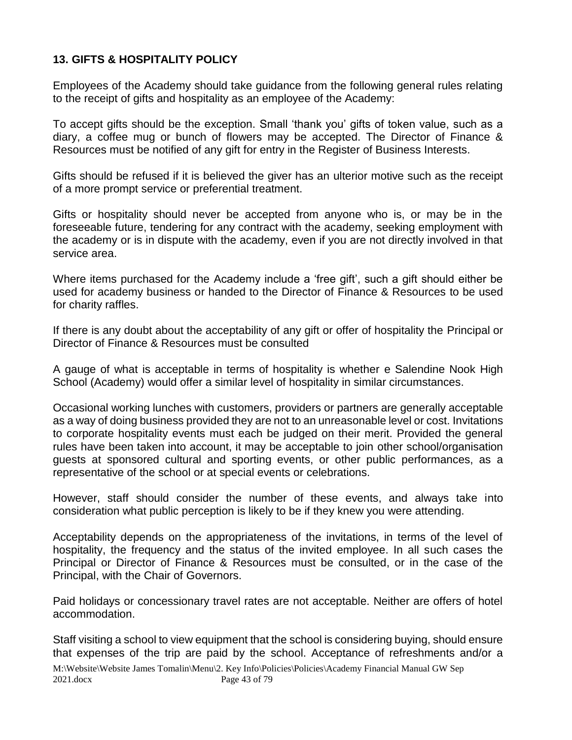## **13. GIFTS & HOSPITALITY POLICY**

Employees of the Academy should take guidance from the following general rules relating to the receipt of gifts and hospitality as an employee of the Academy:

To accept gifts should be the exception. Small 'thank you' gifts of token value, such as a diary, a coffee mug or bunch of flowers may be accepted. The Director of Finance & Resources must be notified of any gift for entry in the Register of Business Interests.

Gifts should be refused if it is believed the giver has an ulterior motive such as the receipt of a more prompt service or preferential treatment.

Gifts or hospitality should never be accepted from anyone who is, or may be in the foreseeable future, tendering for any contract with the academy, seeking employment with the academy or is in dispute with the academy, even if you are not directly involved in that service area.

Where items purchased for the Academy include a 'free gift', such a gift should either be used for academy business or handed to the Director of Finance & Resources to be used for charity raffles.

If there is any doubt about the acceptability of any gift or offer of hospitality the Principal or Director of Finance & Resources must be consulted

A gauge of what is acceptable in terms of hospitality is whether e Salendine Nook High School (Academy) would offer a similar level of hospitality in similar circumstances.

Occasional working lunches with customers, providers or partners are generally acceptable as a way of doing business provided they are not to an unreasonable level or cost. Invitations to corporate hospitality events must each be judged on their merit. Provided the general rules have been taken into account, it may be acceptable to join other school/organisation guests at sponsored cultural and sporting events, or other public performances, as a representative of the school or at special events or celebrations.

However, staff should consider the number of these events, and always take into consideration what public perception is likely to be if they knew you were attending.

Acceptability depends on the appropriateness of the invitations, in terms of the level of hospitality, the frequency and the status of the invited employee. In all such cases the Principal or Director of Finance & Resources must be consulted, or in the case of the Principal, with the Chair of Governors.

Paid holidays or concessionary travel rates are not acceptable. Neither are offers of hotel accommodation.

Staff visiting a school to view equipment that the school is considering buying, should ensure that expenses of the trip are paid by the school. Acceptance of refreshments and/or a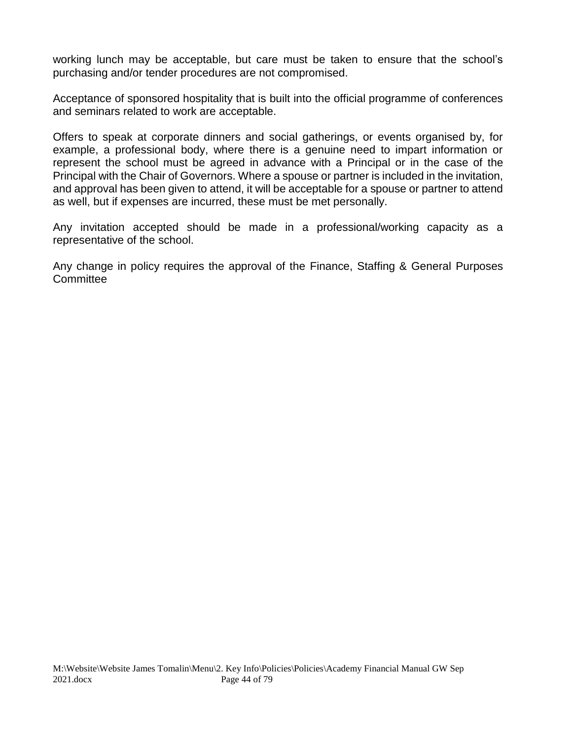working lunch may be acceptable, but care must be taken to ensure that the school's purchasing and/or tender procedures are not compromised.

Acceptance of sponsored hospitality that is built into the official programme of conferences and seminars related to work are acceptable.

Offers to speak at corporate dinners and social gatherings, or events organised by, for example, a professional body, where there is a genuine need to impart information or represent the school must be agreed in advance with a Principal or in the case of the Principal with the Chair of Governors. Where a spouse or partner is included in the invitation, and approval has been given to attend, it will be acceptable for a spouse or partner to attend as well, but if expenses are incurred, these must be met personally.

Any invitation accepted should be made in a professional/working capacity as a representative of the school.

Any change in policy requires the approval of the Finance, Staffing & General Purposes **Committee**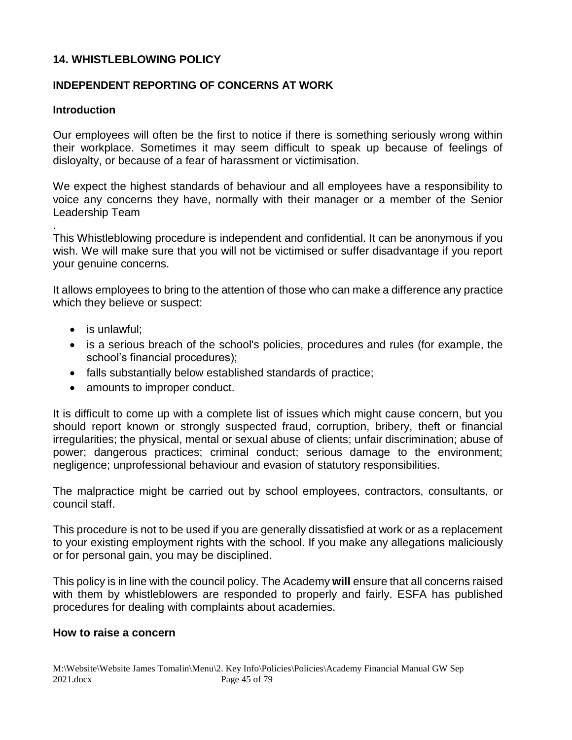#### **14. WHISTLEBLOWING POLICY**

#### **INDEPENDENT REPORTING OF CONCERNS AT WORK**

#### **Introduction**

Our employees will often be the first to notice if there is something seriously wrong within their workplace. Sometimes it may seem difficult to speak up because of feelings of disloyalty, or because of a fear of harassment or victimisation.

We expect the highest standards of behaviour and all employees have a responsibility to voice any concerns they have, normally with their manager or a member of the Senior Leadership Team

. This Whistleblowing procedure is independent and confidential. It can be anonymous if you wish. We will make sure that you will not be victimised or suffer disadvantage if you report your genuine concerns.

It allows employees to bring to the attention of those who can make a difference any practice which they believe or suspect:

- is unlawful;
- is a serious breach of the school's policies, procedures and rules (for example, the school's financial procedures);
- falls substantially below established standards of practice;
- amounts to improper conduct.

It is difficult to come up with a complete list of issues which might cause concern, but you should report known or strongly suspected fraud, corruption, bribery, theft or financial irregularities; the physical, mental or sexual abuse of clients; unfair discrimination; abuse of power; dangerous practices; criminal conduct; serious damage to the environment; negligence; unprofessional behaviour and evasion of statutory responsibilities.

The malpractice might be carried out by school employees, contractors, consultants, or council staff.

This procedure is not to be used if you are generally dissatisfied at work or as a replacement to your existing employment rights with the school. If you make any allegations maliciously or for personal gain, you may be disciplined.

This policy is in line with the council policy. The Academy **will** ensure that all concerns raised with them by whistleblowers are responded to properly and fairly. ESFA has published procedures for dealing with complaints about academies.

#### **How to raise a concern**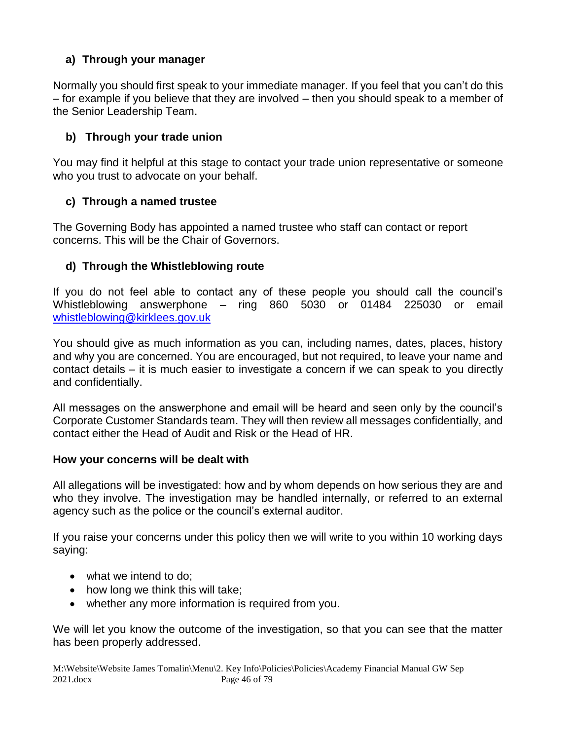## **a) Through your manager**

Normally you should first speak to your immediate manager. If you feel that you can't do this – for example if you believe that they are involved – then you should speak to a member of the Senior Leadership Team.

## **b) Through your trade union**

You may find it helpful at this stage to contact your trade union representative or someone who you trust to advocate on your behalf.

## **c) Through a named trustee**

The Governing Body has appointed a named trustee who staff can contact or report concerns. This will be the Chair of Governors.

## **d) Through the Whistleblowing route**

If you do not feel able to contact any of these people you should call the council's Whistleblowing answerphone – ring 860 5030 or 01484 225030 or email [whistleblowing@kirklees.gov.uk](mailto:whistleblowing@kirklees.gov.uk)

You should give as much information as you can, including names, dates, places, history and why you are concerned. You are encouraged, but not required, to leave your name and contact details – it is much easier to investigate a concern if we can speak to you directly and confidentially.

All messages on the answerphone and email will be heard and seen only by the council's Corporate Customer Standards team. They will then review all messages confidentially, and contact either the Head of Audit and Risk or the Head of HR.

## **How your concerns will be dealt with**

All allegations will be investigated: how and by whom depends on how serious they are and who they involve. The investigation may be handled internally, or referred to an external agency such as the police or the council's external auditor.

If you raise your concerns under this policy then we will write to you within 10 working days saying:

- what we intend to do:
- how long we think this will take;
- whether any more information is required from you.

We will let you know the outcome of the investigation, so that you can see that the matter has been properly addressed.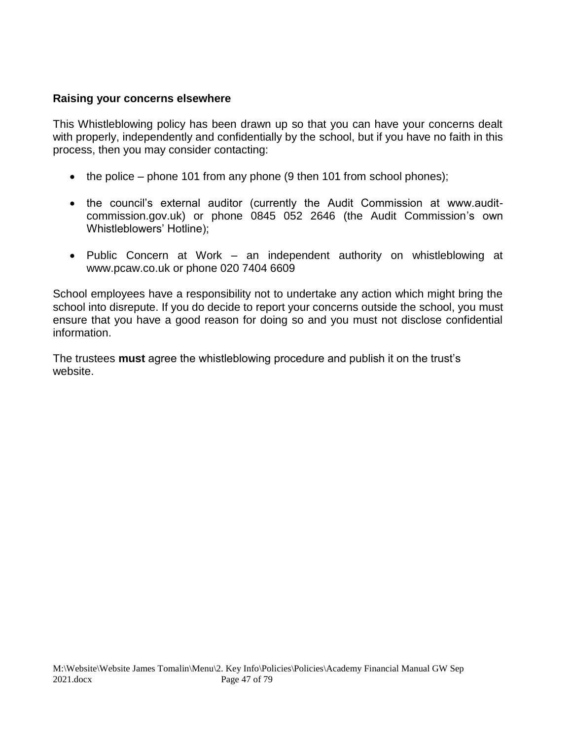#### **Raising your concerns elsewhere**

This Whistleblowing policy has been drawn up so that you can have your concerns dealt with properly, independently and confidentially by the school, but if you have no faith in this process, then you may consider contacting:

- the police phone 101 from any phone  $(9$  then 101 from school phones);
- the council's external auditor (currently the Audit Commission at www.auditcommission.gov.uk) or phone 0845 052 2646 (the Audit Commission's own Whistleblowers' Hotline);
- Public Concern at Work an independent authority on whistleblowing at www.pcaw.co.uk or phone 020 7404 6609

School employees have a responsibility not to undertake any action which might bring the school into disrepute. If you do decide to report your concerns outside the school, you must ensure that you have a good reason for doing so and you must not disclose confidential information.

The trustees **must** agree the whistleblowing procedure and publish it on the trust's website.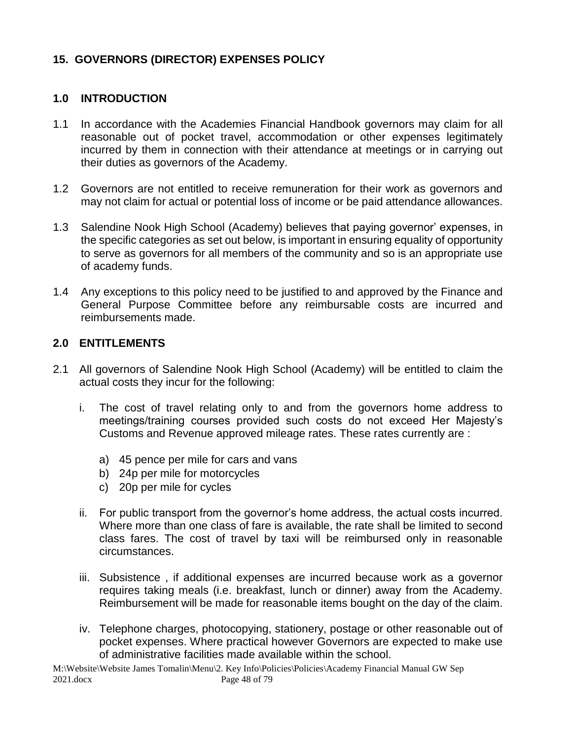## **15. GOVERNORS (DIRECTOR) EXPENSES POLICY**

#### **1.0 INTRODUCTION**

- 1.1 In accordance with the Academies Financial Handbook governors may claim for all reasonable out of pocket travel, accommodation or other expenses legitimately incurred by them in connection with their attendance at meetings or in carrying out their duties as governors of the Academy.
- 1.2 Governors are not entitled to receive remuneration for their work as governors and may not claim for actual or potential loss of income or be paid attendance allowances.
- 1.3 Salendine Nook High School (Academy) believes that paying governor' expenses, in the specific categories as set out below, is important in ensuring equality of opportunity to serve as governors for all members of the community and so is an appropriate use of academy funds.
- 1.4 Any exceptions to this policy need to be justified to and approved by the Finance and General Purpose Committee before any reimbursable costs are incurred and reimbursements made.

#### **2.0 ENTITLEMENTS**

- 2.1 All governors of Salendine Nook High School (Academy) will be entitled to claim the actual costs they incur for the following:
	- i. The cost of travel relating only to and from the governors home address to meetings/training courses provided such costs do not exceed Her Majesty's Customs and Revenue approved mileage rates. These rates currently are :
		- a) 45 pence per mile for cars and vans
		- b) 24p per mile for motorcycles
		- c) 20p per mile for cycles
	- ii. For public transport from the governor's home address, the actual costs incurred. Where more than one class of fare is available, the rate shall be limited to second class fares. The cost of travel by taxi will be reimbursed only in reasonable circumstances.
	- iii. Subsistence , if additional expenses are incurred because work as a governor requires taking meals (i.e. breakfast, lunch or dinner) away from the Academy. Reimbursement will be made for reasonable items bought on the day of the claim.
	- iv. Telephone charges, photocopying, stationery, postage or other reasonable out of pocket expenses. Where practical however Governors are expected to make use of administrative facilities made available within the school.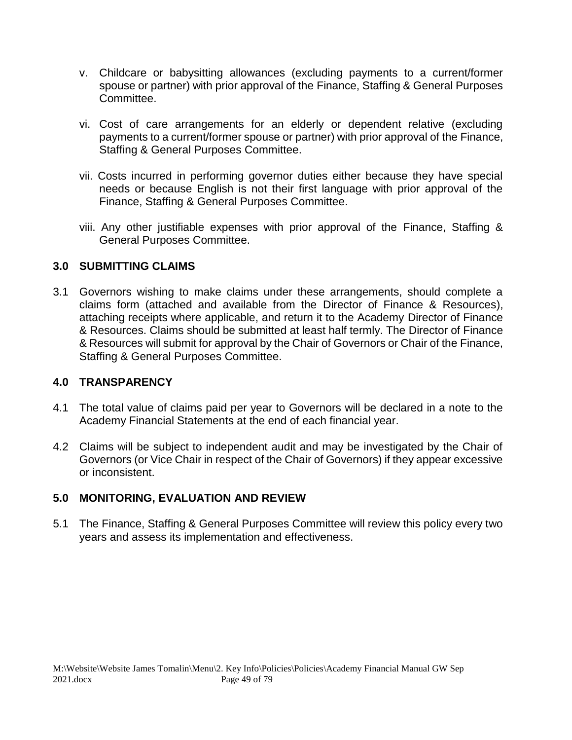- v. Childcare or babysitting allowances (excluding payments to a current/former spouse or partner) with prior approval of the Finance, Staffing & General Purposes Committee.
- vi. Cost of care arrangements for an elderly or dependent relative (excluding payments to a current/former spouse or partner) with prior approval of the Finance, Staffing & General Purposes Committee.
- vii. Costs incurred in performing governor duties either because they have special needs or because English is not their first language with prior approval of the Finance, Staffing & General Purposes Committee.
- viii. Any other justifiable expenses with prior approval of the Finance, Staffing & General Purposes Committee.

## **3.0 SUBMITTING CLAIMS**

3.1 Governors wishing to make claims under these arrangements, should complete a claims form (attached and available from the Director of Finance & Resources), attaching receipts where applicable, and return it to the Academy Director of Finance & Resources. Claims should be submitted at least half termly. The Director of Finance & Resources will submit for approval by the Chair of Governors or Chair of the Finance, Staffing & General Purposes Committee.

## **4.0 TRANSPARENCY**

- 4.1 The total value of claims paid per year to Governors will be declared in a note to the Academy Financial Statements at the end of each financial year.
- 4.2 Claims will be subject to independent audit and may be investigated by the Chair of Governors (or Vice Chair in respect of the Chair of Governors) if they appear excessive or inconsistent.

## **5.0 MONITORING, EVALUATION AND REVIEW**

5.1 The Finance, Staffing & General Purposes Committee will review this policy every two years and assess its implementation and effectiveness.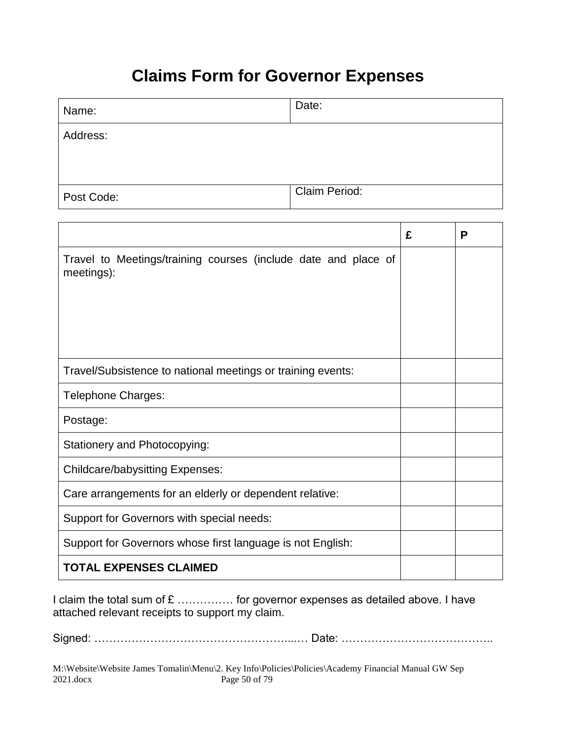# **Claims Form for Governor Expenses**

| Name:      | Date:                |
|------------|----------------------|
| Address:   |                      |
|            |                      |
| Post Code: | <b>Claim Period:</b> |

|                                                                              | £ | P |
|------------------------------------------------------------------------------|---|---|
| Travel to Meetings/training courses (include date and place of<br>meetings): |   |   |
|                                                                              |   |   |
| Travel/Subsistence to national meetings or training events:                  |   |   |
| <b>Telephone Charges:</b>                                                    |   |   |
| Postage:                                                                     |   |   |
| <b>Stationery and Photocopying:</b>                                          |   |   |
| <b>Childcare/babysitting Expenses:</b>                                       |   |   |
| Care arrangements for an elderly or dependent relative:                      |   |   |
| Support for Governors with special needs:                                    |   |   |
| Support for Governors whose first language is not English:                   |   |   |
| <b>TOTAL EXPENSES CLAIMED</b>                                                |   |   |

I claim the total sum of £ ............... for governor expenses as detailed above. I have attached relevant receipts to support my claim.

Signed: ……………………………………………....… Date: …………………………………..

M:\Website\Website James Tomalin\Menu\2. Key Info\Policies\Policies\Academy Financial Manual GW Sep<br>2021.docx Page 50 of 79 Page 50 of 79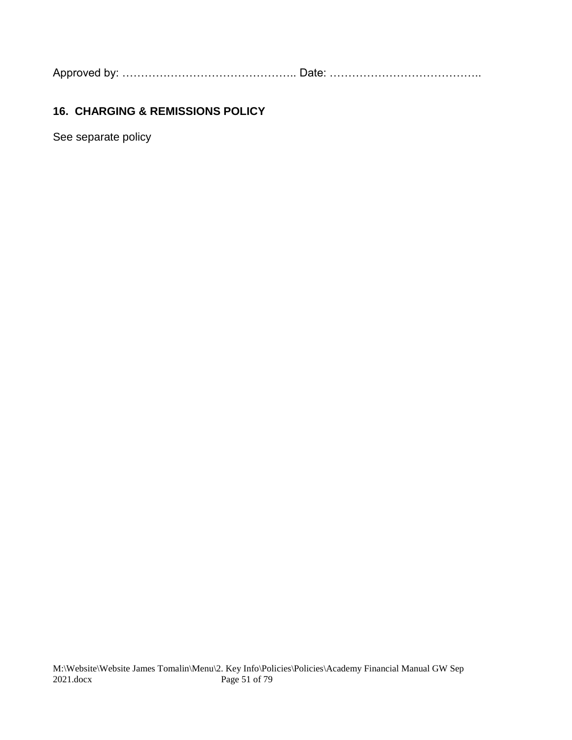Approved by: ……………………………………….. Date: …………………………………..

## **16. CHARGING & REMISSIONS POLICY**

See separate policy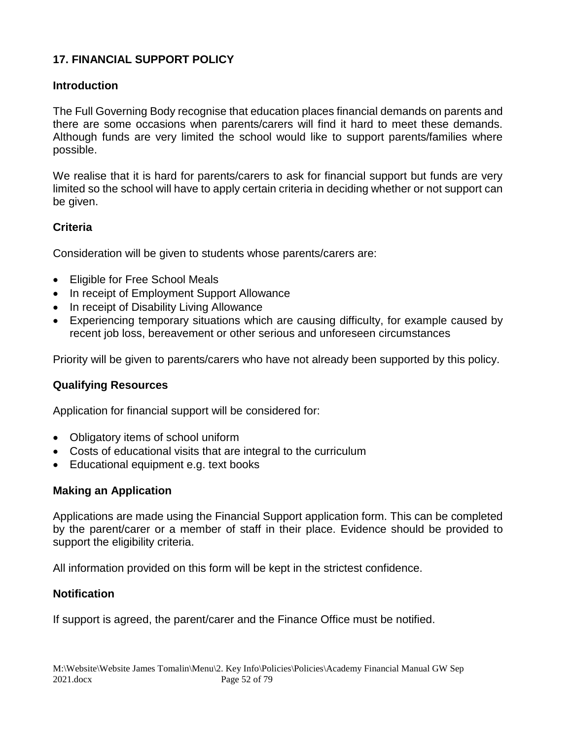## **17. FINANCIAL SUPPORT POLICY**

## **Introduction**

The Full Governing Body recognise that education places financial demands on parents and there are some occasions when parents/carers will find it hard to meet these demands. Although funds are very limited the school would like to support parents/families where possible.

We realise that it is hard for parents/carers to ask for financial support but funds are very limited so the school will have to apply certain criteria in deciding whether or not support can be given.

## **Criteria**

Consideration will be given to students whose parents/carers are:

- Eligible for Free School Meals
- In receipt of Employment Support Allowance
- In receipt of Disability Living Allowance
- Experiencing temporary situations which are causing difficulty, for example caused by recent job loss, bereavement or other serious and unforeseen circumstances

Priority will be given to parents/carers who have not already been supported by this policy.

## **Qualifying Resources**

Application for financial support will be considered for:

- Obligatory items of school uniform
- Costs of educational visits that are integral to the curriculum
- Educational equipment e.g. text books

## **Making an Application**

Applications are made using the Financial Support application form. This can be completed by the parent/carer or a member of staff in their place. Evidence should be provided to support the eligibility criteria.

All information provided on this form will be kept in the strictest confidence.

## **Notification**

If support is agreed, the parent/carer and the Finance Office must be notified.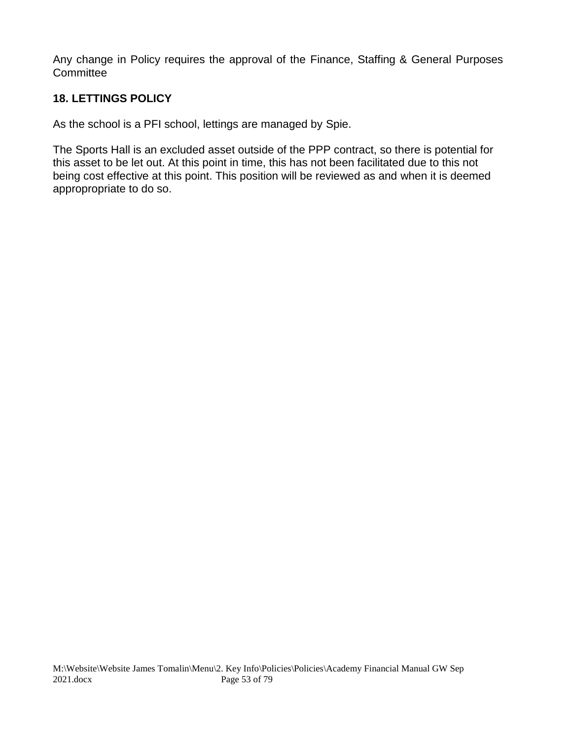Any change in Policy requires the approval of the Finance, Staffing & General Purposes **Committee** 

## **18. LETTINGS POLICY**

As the school is a PFI school, lettings are managed by Spie.

The Sports Hall is an excluded asset outside of the PPP contract, so there is potential for this asset to be let out. At this point in time, this has not been facilitated due to this not being cost effective at this point. This position will be reviewed as and when it is deemed appropropriate to do so.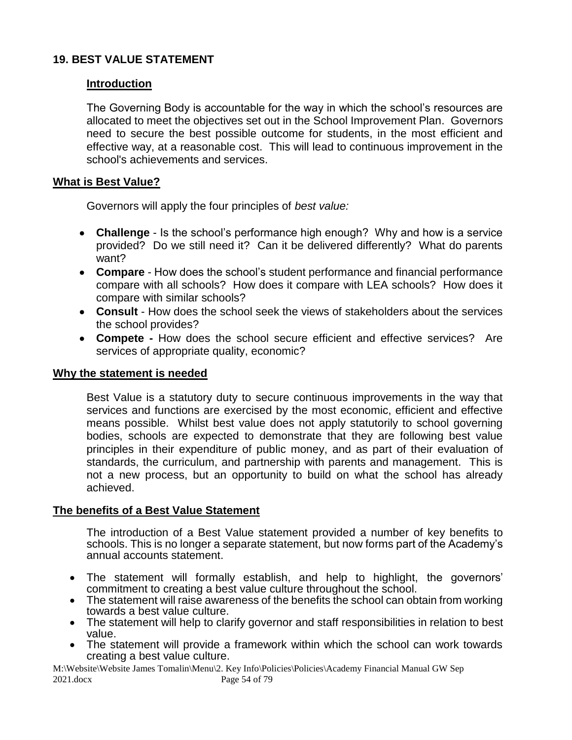#### **19. BEST VALUE STATEMENT**

#### **Introduction**

The Governing Body is accountable for the way in which the school's resources are allocated to meet the objectives set out in the School Improvement Plan. Governors need to secure the best possible outcome for students, in the most efficient and effective way, at a reasonable cost. This will lead to continuous improvement in the school's achievements and services.

#### **What is Best Value?**

Governors will apply the four principles of *best value:*

- **Challenge** Is the school's performance high enough? Why and how is a service provided? Do we still need it? Can it be delivered differently? What do parents want?
- **Compare**  How does the school's student performance and financial performance compare with all schools? How does it compare with LEA schools? How does it compare with similar schools?
- **Consult**  How does the school seek the views of stakeholders about the services the school provides?
- **Compete -** How does the school secure efficient and effective services? Are services of appropriate quality, economic?

#### **Why the statement is needed**

Best Value is a statutory duty to secure continuous improvements in the way that services and functions are exercised by the most economic, efficient and effective means possible. Whilst best value does not apply statutorily to school governing bodies, schools are expected to demonstrate that they are following best value principles in their expenditure of public money, and as part of their evaluation of standards, the curriculum, and partnership with parents and management. This is not a new process, but an opportunity to build on what the school has already achieved.

#### **The benefits of a Best Value Statement**

The introduction of a Best Value statement provided a number of key benefits to schools. This is no longer a separate statement, but now forms part of the Academy's annual accounts statement.

- The statement will formally establish, and help to highlight, the governors' commitment to creating a best value culture throughout the school.
- The statement will raise awareness of the benefits the school can obtain from working towards a best value culture.
- The statement will help to clarify governor and staff responsibilities in relation to best value.
- The statement will provide a framework within which the school can work towards creating a best value culture.

M:\Website\Website James Tomalin\Menu\2. Key Info\Policies\Policies\Academy Financial Manual GW Sep 2021.docx Page 54 of 79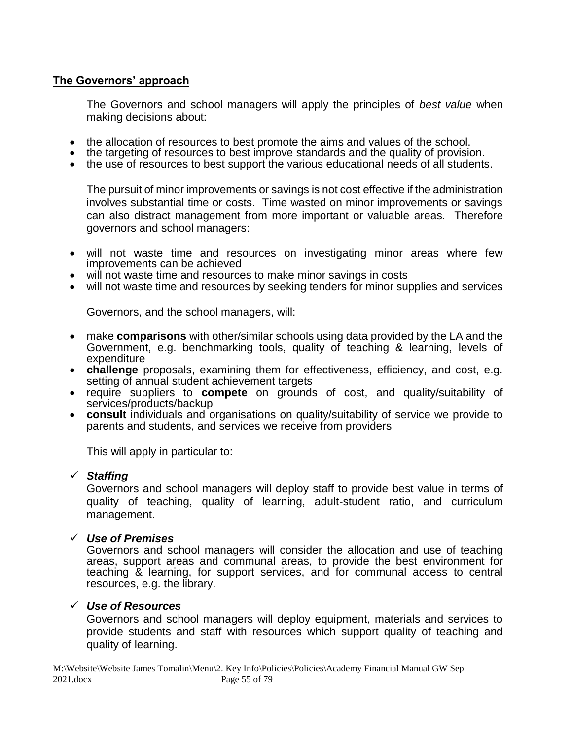#### **The Governors' approach**

The Governors and school managers will apply the principles of *best value* when making decisions about:

- the allocation of resources to best promote the aims and values of the school.
- the targeting of resources to best improve standards and the quality of provision.
- the use of resources to best support the various educational needs of all students.

The pursuit of minor improvements or savings is not cost effective if the administration involves substantial time or costs. Time wasted on minor improvements or savings can also distract management from more important or valuable areas. Therefore governors and school managers:

- will not waste time and resources on investigating minor areas where few improvements can be achieved
- will not waste time and resources to make minor savings in costs
- will not waste time and resources by seeking tenders for minor supplies and services

Governors, and the school managers, will:

- make **comparisons** with other/similar schools using data provided by the LA and the Government, e.g. benchmarking tools, quality of teaching & learning, levels of expenditure
- **challenge** proposals, examining them for effectiveness, efficiency, and cost, e.g. setting of annual student achievement targets
- require suppliers to **compete** on grounds of cost, and quality/suitability of services/products/backup
- **consult** individuals and organisations on quality/suitability of service we provide to parents and students, and services we receive from providers

This will apply in particular to:

#### ✓ *Staffing*

Governors and school managers will deploy staff to provide best value in terms of quality of teaching, quality of learning, adult-student ratio, and curriculum management.

#### ✓ *Use of Premises*

Governors and school managers will consider the allocation and use of teaching areas, support areas and communal areas, to provide the best environment for teaching & learning, for support services, and for communal access to central resources, e.g. the library.

#### ✓ *Use of Resources*

Governors and school managers will deploy equipment, materials and services to provide students and staff with resources which support quality of teaching and quality of learning.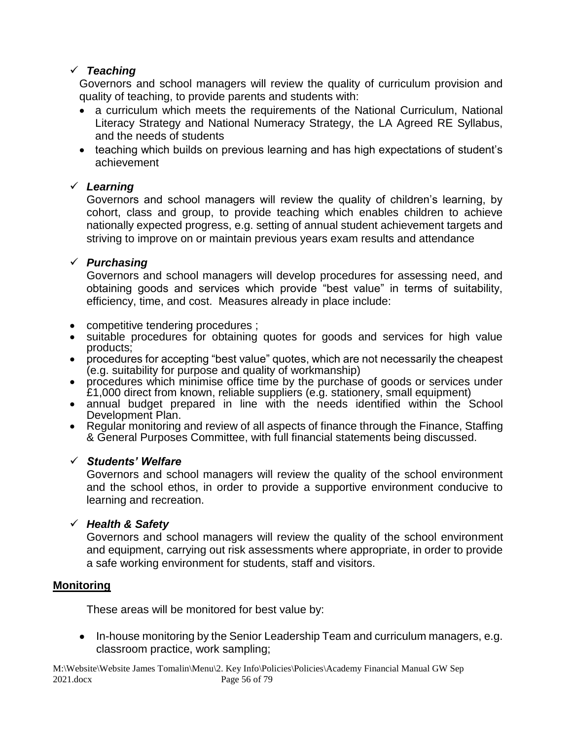## ✓ *Teaching*

Governors and school managers will review the quality of curriculum provision and quality of teaching, to provide parents and students with:

- a curriculum which meets the requirements of the National Curriculum, National Literacy Strategy and National Numeracy Strategy, the LA Agreed RE Syllabus, and the needs of students
- teaching which builds on previous learning and has high expectations of student's achievement

## ✓ *Learning*

Governors and school managers will review the quality of children's learning, by cohort, class and group, to provide teaching which enables children to achieve nationally expected progress, e.g. setting of annual student achievement targets and striving to improve on or maintain previous years exam results and attendance

## ✓ *Purchasing*

Governors and school managers will develop procedures for assessing need, and obtaining goods and services which provide "best value" in terms of suitability, efficiency, time, and cost. Measures already in place include:

- competitive tendering procedures ;
- suitable procedures for obtaining quotes for goods and services for high value products;
- procedures for accepting "best value" quotes, which are not necessarily the cheapest (e.g. suitability for purpose and quality of workmanship)
- procedures which minimise office time by the purchase of goods or services under £1,000 direct from known, reliable suppliers (e.g. stationery, small equipment)
- annual budget prepared in line with the needs identified within the School Development Plan.
- Regular monitoring and review of all aspects of finance through the Finance, Staffing & General Purposes Committee, with full financial statements being discussed.

## ✓ *Students' Welfare*

Governors and school managers will review the quality of the school environment and the school ethos, in order to provide a supportive environment conducive to learning and recreation.

## ✓ *Health & Safety*

Governors and school managers will review the quality of the school environment and equipment, carrying out risk assessments where appropriate, in order to provide a safe working environment for students, staff and visitors.

## **Monitoring**

These areas will be monitored for best value by:

• In-house monitoring by the Senior Leadership Team and curriculum managers, e.g. classroom practice, work sampling;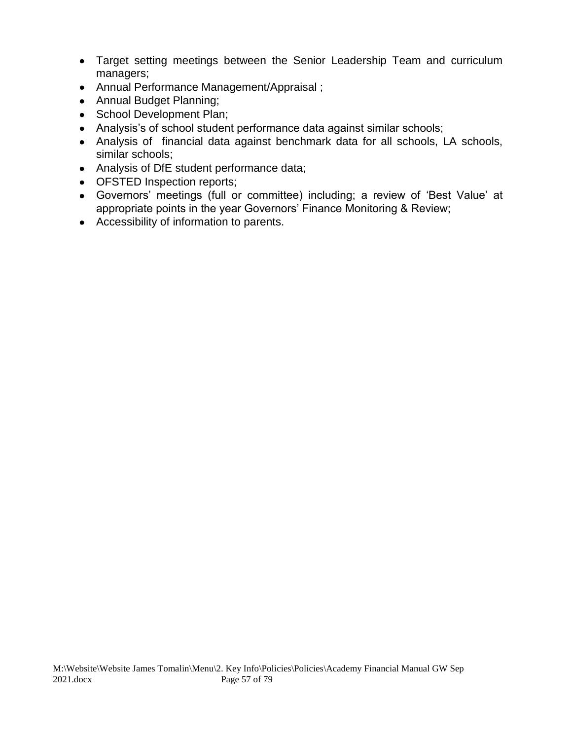- Target setting meetings between the Senior Leadership Team and curriculum managers;
- Annual Performance Management/Appraisal ;
- Annual Budget Planning;
- School Development Plan;
- Analysis's of school student performance data against similar schools;
- Analysis of financial data against benchmark data for all schools, LA schools, similar schools;
- Analysis of DfE student performance data;
- **OFSTED Inspection reports;**
- Governors' meetings (full or committee) including; a review of 'Best Value' at appropriate points in the year Governors' Finance Monitoring & Review;
- Accessibility of information to parents.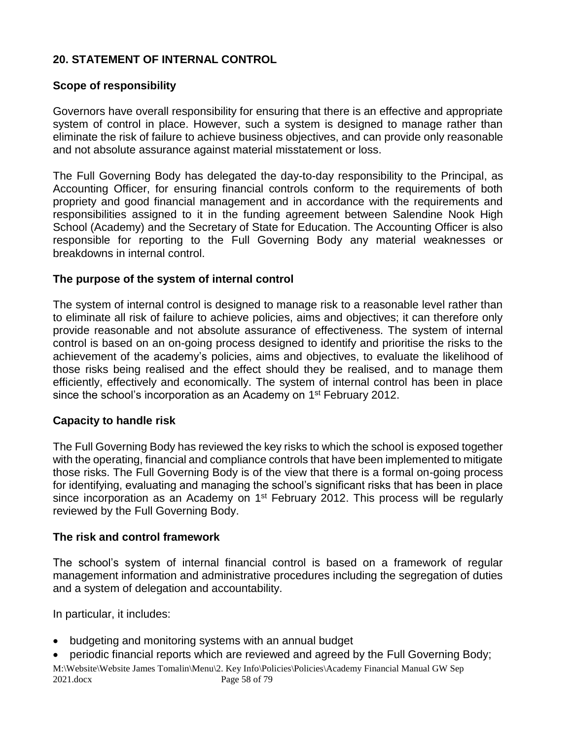## **20. STATEMENT OF INTERNAL CONTROL**

#### **Scope of responsibility**

Governors have overall responsibility for ensuring that there is an effective and appropriate system of control in place. However, such a system is designed to manage rather than eliminate the risk of failure to achieve business objectives, and can provide only reasonable and not absolute assurance against material misstatement or loss.

The Full Governing Body has delegated the day-to-day responsibility to the Principal, as Accounting Officer, for ensuring financial controls conform to the requirements of both propriety and good financial management and in accordance with the requirements and responsibilities assigned to it in the funding agreement between Salendine Nook High School (Academy) and the Secretary of State for Education. The Accounting Officer is also responsible for reporting to the Full Governing Body any material weaknesses or breakdowns in internal control.

#### **The purpose of the system of internal control**

The system of internal control is designed to manage risk to a reasonable level rather than to eliminate all risk of failure to achieve policies, aims and objectives; it can therefore only provide reasonable and not absolute assurance of effectiveness. The system of internal control is based on an on-going process designed to identify and prioritise the risks to the achievement of the academy's policies, aims and objectives, to evaluate the likelihood of those risks being realised and the effect should they be realised, and to manage them efficiently, effectively and economically. The system of internal control has been in place since the school's incorporation as an Academy on 1<sup>st</sup> February 2012.

#### **Capacity to handle risk**

The Full Governing Body has reviewed the key risks to which the school is exposed together with the operating, financial and compliance controls that have been implemented to mitigate those risks. The Full Governing Body is of the view that there is a formal on-going process for identifying, evaluating and managing the school's significant risks that has been in place since incorporation as an Academy on  $1<sup>st</sup>$  February 2012. This process will be regularly reviewed by the Full Governing Body.

#### **The risk and control framework**

The school's system of internal financial control is based on a framework of regular management information and administrative procedures including the segregation of duties and a system of delegation and accountability.

In particular, it includes:

- budgeting and monitoring systems with an annual budget
- periodic financial reports which are reviewed and agreed by the Full Governing Body;

M:\Website\Website James Tomalin\Menu\2. Key Info\Policies\Policies\Academy Financial Manual GW Sep 2021.docx Page 58 of 79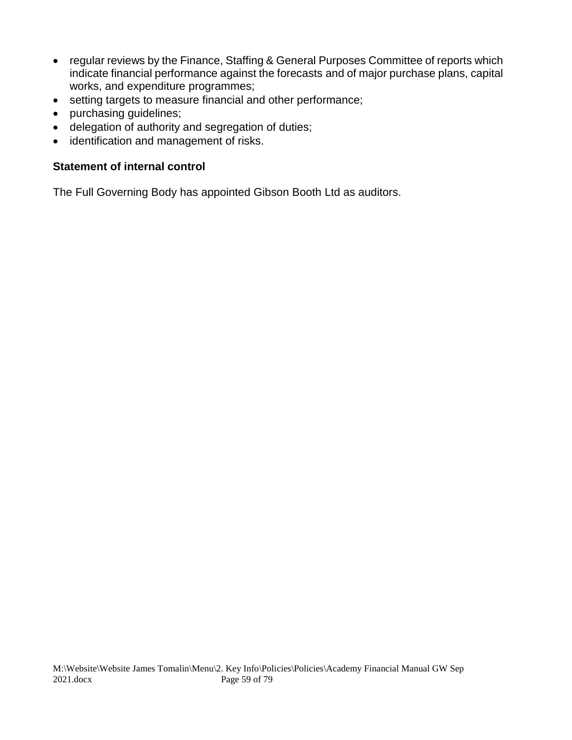- regular reviews by the Finance, Staffing & General Purposes Committee of reports which indicate financial performance against the forecasts and of major purchase plans, capital works, and expenditure programmes;
- setting targets to measure financial and other performance;
- purchasing guidelines;
- delegation of authority and segregation of duties;
- identification and management of risks.

#### **Statement of internal control**

The Full Governing Body has appointed Gibson Booth Ltd as auditors.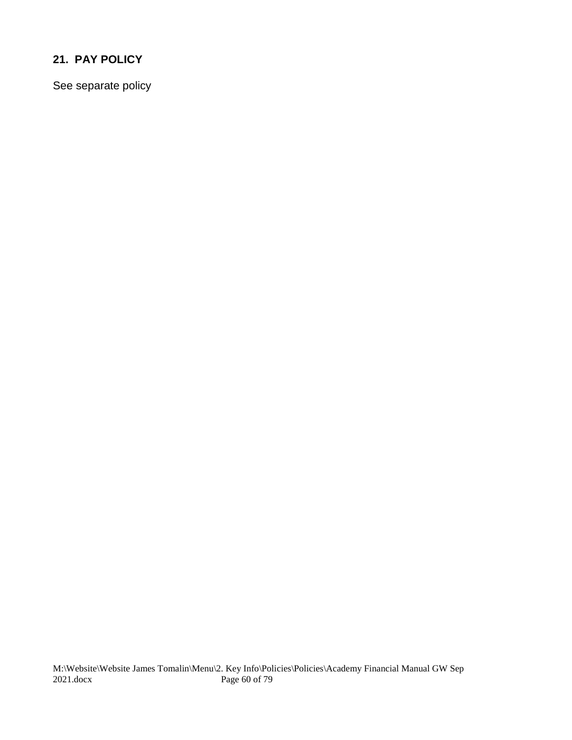## **21. PAY POLICY**

See separate policy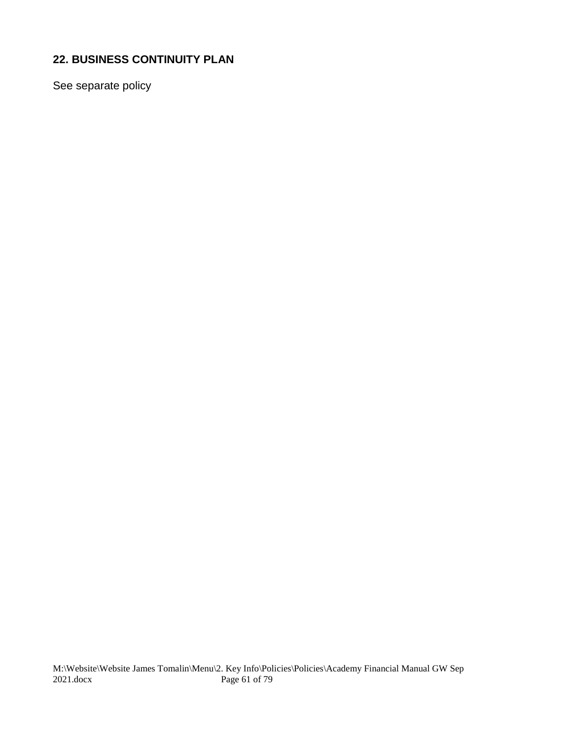## **22. BUSINESS CONTINUITY PLAN**

See separate policy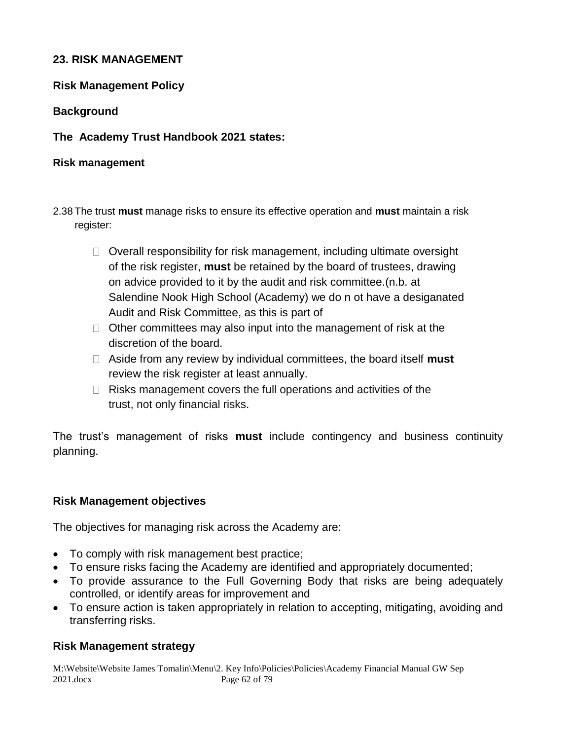#### **23. RISK MANAGEMENT**

#### **Risk Management Policy**

#### **Background**

#### **The Academy Trust Handbook 2021 states:**

#### **Risk management**

- 2.38 The trust **must** manage risks to ensure its effective operation and **must** maintain a risk register:
	- $\Box$  Overall responsibility for risk management, including ultimate oversight of the risk register, **must** be retained by the board of trustees, drawing on advice provided to it by the audit and risk committee.(n.b. at Salendine Nook High School (Academy) we do n ot have a desiganated Audit and Risk Committee, as this is part of
	- $\Box$  Other committees may also input into the management of risk at the discretion of the board.
	- Aside from any review by individual committees, the board itself **must**  review the risk register at least annually.
	- $\Box$  Risks management covers the full operations and activities of the trust, not only financial risks.

The trust's management of risks **must** include contingency and business continuity planning.

## **Risk Management objectives**

The objectives for managing risk across the Academy are:

- To comply with risk management best practice;
- To ensure risks facing the Academy are identified and appropriately documented;
- To provide assurance to the Full Governing Body that risks are being adequately controlled, or identify areas for improvement and
- To ensure action is taken appropriately in relation to accepting, mitigating, avoiding and transferring risks.

## **Risk Management strategy**

M:\Website\Website James Tomalin\Menu\2. Key Info\Policies\Policies\Academy Financial Manual GW Sep 2021.docx Page 62 of 79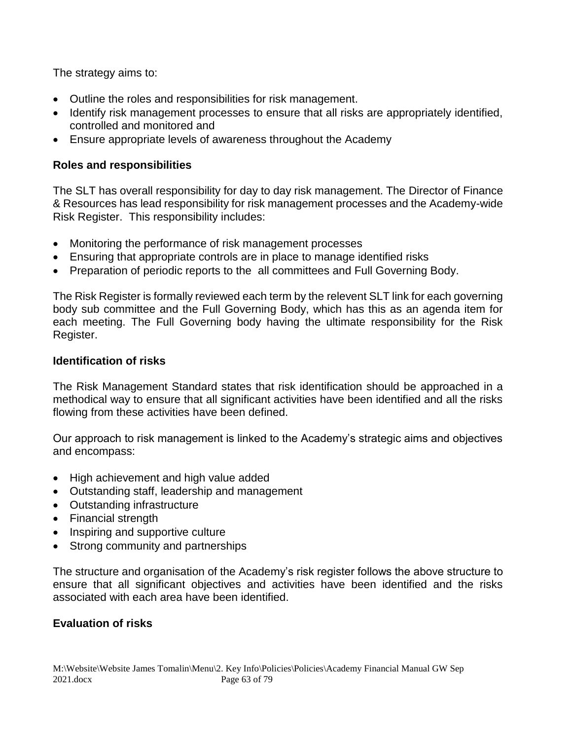The strategy aims to:

- Outline the roles and responsibilities for risk management.
- Identify risk management processes to ensure that all risks are appropriately identified, controlled and monitored and
- Ensure appropriate levels of awareness throughout the Academy

## **Roles and responsibilities**

The SLT has overall responsibility for day to day risk management. The Director of Finance & Resources has lead responsibility for risk management processes and the Academy-wide Risk Register. This responsibility includes:

- Monitoring the performance of risk management processes
- Ensuring that appropriate controls are in place to manage identified risks
- Preparation of periodic reports to the all committees and Full Governing Body.

The Risk Register is formally reviewed each term by the relevent SLT link for each governing body sub committee and the Full Governing Body, which has this as an agenda item for each meeting. The Full Governing body having the ultimate responsibility for the Risk Register.

## **Identification of risks**

The Risk Management Standard states that risk identification should be approached in a methodical way to ensure that all significant activities have been identified and all the risks flowing from these activities have been defined.

Our approach to risk management is linked to the Academy's strategic aims and objectives and encompass:

- High achievement and high value added
- Outstanding staff, leadership and management
- Outstanding infrastructure
- Financial strength
- Inspiring and supportive culture
- Strong community and partnerships

The structure and organisation of the Academy's risk register follows the above structure to ensure that all significant objectives and activities have been identified and the risks associated with each area have been identified.

## **Evaluation of risks**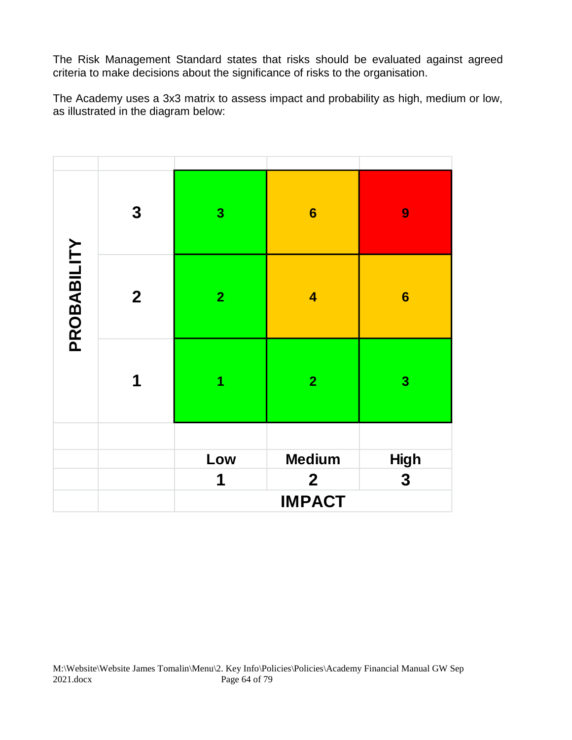The Risk Management Standard states that risks should be evaluated against agreed criteria to make decisions about the significance of risks to the organisation.

The Academy uses a 3x3 matrix to assess impact and probability as high, medium or low, as illustrated in the diagram below:

|             | $\boldsymbol{3}$ | $\overline{\mathbf{3}}$ | $6\phantom{1}6$         | $\boldsymbol{9}$ |
|-------------|------------------|-------------------------|-------------------------|------------------|
| PROBABILITY | $\mathbf{2}$     | $\overline{2}$          | $\overline{\mathbf{4}}$ | $6\phantom{1}6$  |
|             | 1                | 1                       | $\overline{2}$          | $\mathbf{3}$     |
|             |                  |                         |                         |                  |
|             |                  | Low                     | <b>Medium</b>           | High             |
|             |                  | 1                       | $\mathbf 2$             | 3                |
|             |                  | <b>IMPACT</b>           |                         |                  |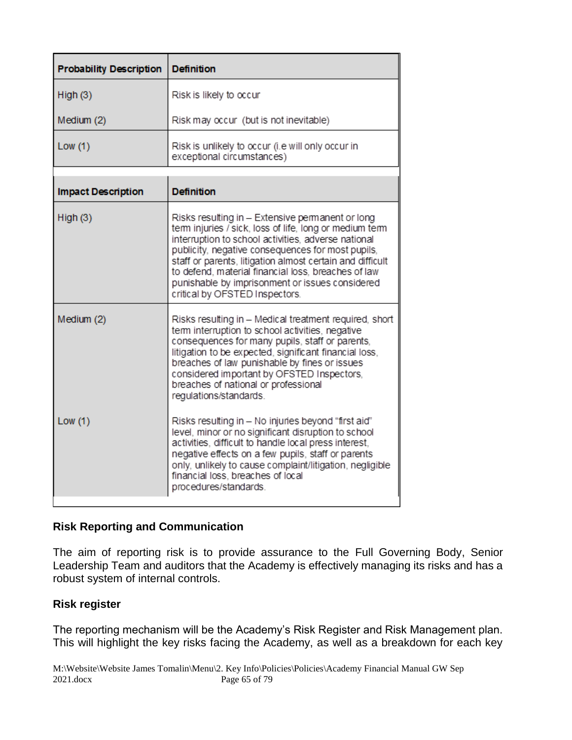| <b>Probability Description</b> | <b>Definition</b>                                                                                                                                                                                                                                                                                                                                                                                                                |
|--------------------------------|----------------------------------------------------------------------------------------------------------------------------------------------------------------------------------------------------------------------------------------------------------------------------------------------------------------------------------------------------------------------------------------------------------------------------------|
| High(3)                        | Risk is likely to occur                                                                                                                                                                                                                                                                                                                                                                                                          |
| Medium (2)                     | Risk may occur (but is not inevitable)                                                                                                                                                                                                                                                                                                                                                                                           |
| Low(1)                         | Risk is unlikely to occur (i.e will only occur in<br>exceptional circumstances)                                                                                                                                                                                                                                                                                                                                                  |
| <b>Impact Description</b>      | <b>Definition</b>                                                                                                                                                                                                                                                                                                                                                                                                                |
| High(3)                        | Risks resulting in - Extensive permanent or long<br>term injuries / sick, loss of life, long or medium term<br>interruption to school activities, adverse national<br>publicity, negative consequences for most pupils,<br>staff or parents, litigation almost certain and difficult<br>to defend, material financial loss, breaches of law<br>punishable by imprisonment or issues considered<br>critical by OFSTED Inspectors. |
| Medium (2)                     | Risks resulting in - Medical treatment required, short<br>term interruption to school activities, negative<br>consequences for many pupils, staff or parents,<br>litigation to be expected, significant financial loss,<br>breaches of law punishable by fines or issues<br>considered important by OFSTED Inspectors,<br>breaches of national or professional<br>regulations/standards.                                         |
| Low(1)                         | Risks resulting in - No injuries beyond "first aid"<br>level, minor or no significant disruption to school<br>activities, difficult to handle local press interest,<br>negative effects on a few pupils, staff or parents<br>only, unlikely to cause complaint/litigation, negligible<br>financial loss, breaches of local<br>procedures/standards.                                                                              |

## **Risk Reporting and Communication**

The aim of reporting risk is to provide assurance to the Full Governing Body, Senior Leadership Team and auditors that the Academy is effectively managing its risks and has a robust system of internal controls.

## **Risk register**

The reporting mechanism will be the Academy's Risk Register and Risk Management plan. This will highlight the key risks facing the Academy, as well as a breakdown for each key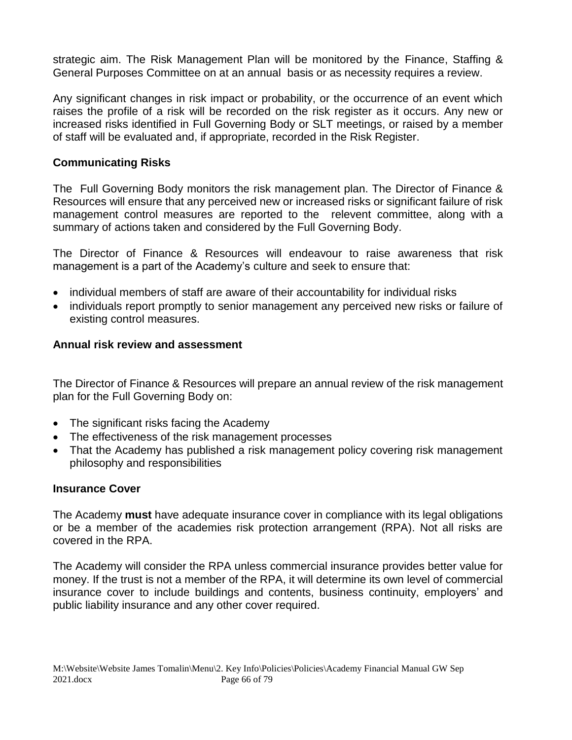strategic aim. The Risk Management Plan will be monitored by the Finance, Staffing & General Purposes Committee on at an annual basis or as necessity requires a review.

Any significant changes in risk impact or probability, or the occurrence of an event which raises the profile of a risk will be recorded on the risk register as it occurs. Any new or increased risks identified in Full Governing Body or SLT meetings, or raised by a member of staff will be evaluated and, if appropriate, recorded in the Risk Register.

#### **Communicating Risks**

The Full Governing Body monitors the risk management plan. The Director of Finance & Resources will ensure that any perceived new or increased risks or significant failure of risk management control measures are reported to the relevent committee, along with a summary of actions taken and considered by the Full Governing Body.

The Director of Finance & Resources will endeavour to raise awareness that risk management is a part of the Academy's culture and seek to ensure that:

- individual members of staff are aware of their accountability for individual risks
- individuals report promptly to senior management any perceived new risks or failure of existing control measures.

#### **Annual risk review and assessment**

The Director of Finance & Resources will prepare an annual review of the risk management plan for the Full Governing Body on:

- The significant risks facing the Academy
- The effectiveness of the risk management processes
- That the Academy has published a risk management policy covering risk management philosophy and responsibilities

## **Insurance Cover**

The Academy **must** have adequate insurance cover in compliance with its legal obligations or be a member of the academies risk protection arrangement (RPA). Not all risks are covered in the RPA.

The Academy will consider the RPA unless commercial insurance provides better value for money. If the trust is not a member of the RPA, it will determine its own level of commercial insurance cover to include buildings and contents, business continuity, employers' and public liability insurance and any other cover required.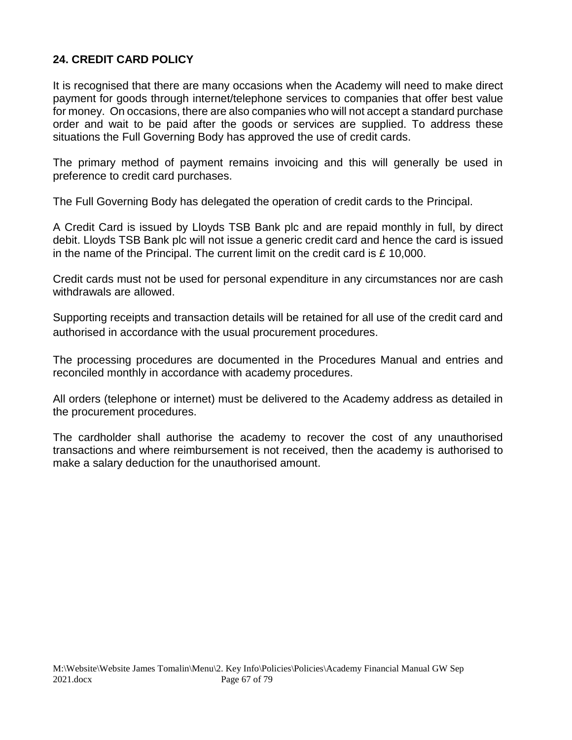## **24. CREDIT CARD POLICY**

It is recognised that there are many occasions when the Academy will need to make direct payment for goods through internet/telephone services to companies that offer best value for money. On occasions, there are also companies who will not accept a standard purchase order and wait to be paid after the goods or services are supplied. To address these situations the Full Governing Body has approved the use of credit cards.

The primary method of payment remains invoicing and this will generally be used in preference to credit card purchases.

The Full Governing Body has delegated the operation of credit cards to the Principal.

A Credit Card is issued by Lloyds TSB Bank plc and are repaid monthly in full, by direct debit. Lloyds TSB Bank plc will not issue a generic credit card and hence the card is issued in the name of the Principal. The current limit on the credit card is £ 10,000.

Credit cards must not be used for personal expenditure in any circumstances nor are cash withdrawals are allowed.

Supporting receipts and transaction details will be retained for all use of the credit card and authorised in accordance with the usual procurement procedures.

The processing procedures are documented in the Procedures Manual and entries and reconciled monthly in accordance with academy procedures.

All orders (telephone or internet) must be delivered to the Academy address as detailed in the procurement procedures.

The cardholder shall authorise the academy to recover the cost of any unauthorised transactions and where reimbursement is not received, then the academy is authorised to make a salary deduction for the unauthorised amount.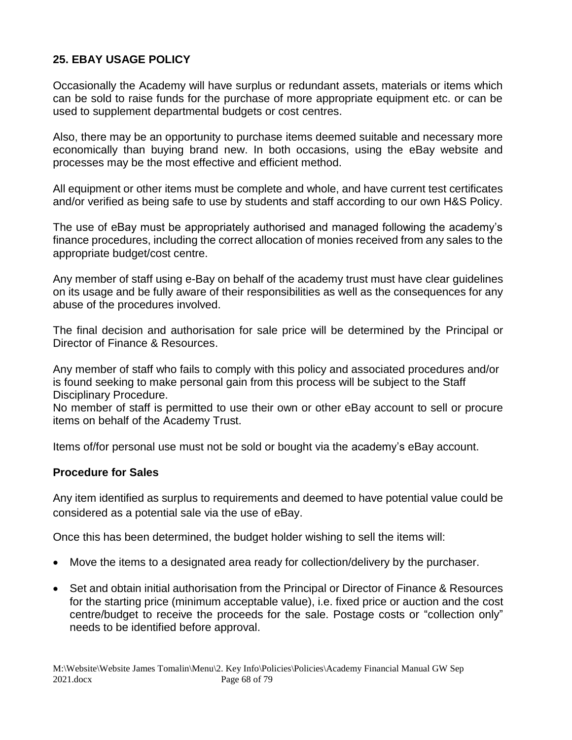## **25. EBAY USAGE POLICY**

Occasionally the Academy will have surplus or redundant assets, materials or items which can be sold to raise funds for the purchase of more appropriate equipment etc. or can be used to supplement departmental budgets or cost centres.

Also, there may be an opportunity to purchase items deemed suitable and necessary more economically than buying brand new. In both occasions, using the eBay website and processes may be the most effective and efficient method.

All equipment or other items must be complete and whole, and have current test certificates and/or verified as being safe to use by students and staff according to our own H&S Policy.

The use of eBay must be appropriately authorised and managed following the academy's finance procedures, including the correct allocation of monies received from any sales to the appropriate budget/cost centre.

Any member of staff using e-Bay on behalf of the academy trust must have clear guidelines on its usage and be fully aware of their responsibilities as well as the consequences for any abuse of the procedures involved.

The final decision and authorisation for sale price will be determined by the Principal or Director of Finance & Resources.

Any member of staff who fails to comply with this policy and associated procedures and/or is found seeking to make personal gain from this process will be subject to the Staff Disciplinary Procedure.

No member of staff is permitted to use their own or other eBay account to sell or procure items on behalf of the Academy Trust.

Items of/for personal use must not be sold or bought via the academy's eBay account.

## **Procedure for Sales**

Any item identified as surplus to requirements and deemed to have potential value could be considered as a potential sale via the use of eBay.

Once this has been determined, the budget holder wishing to sell the items will:

- Move the items to a designated area ready for collection/delivery by the purchaser.
- Set and obtain initial authorisation from the Principal or Director of Finance & Resources for the starting price (minimum acceptable value), i.e. fixed price or auction and the cost centre/budget to receive the proceeds for the sale. Postage costs or "collection only" needs to be identified before approval.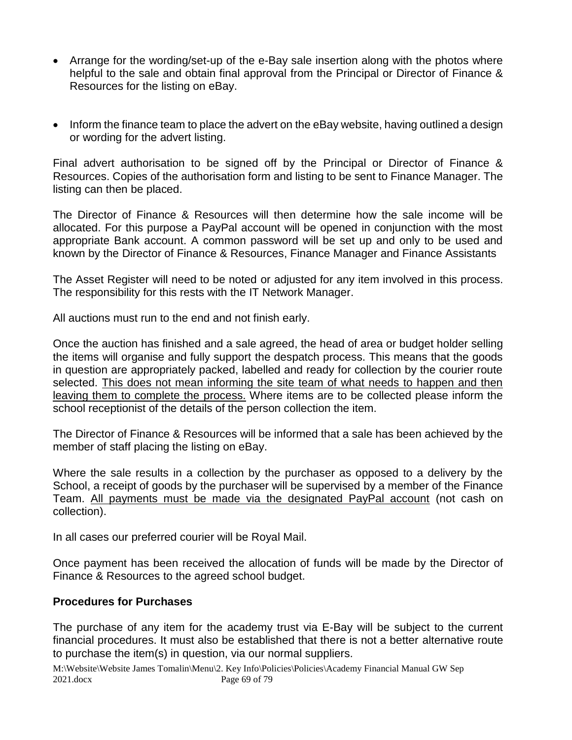- Arrange for the wording/set-up of the e-Bay sale insertion along with the photos where helpful to the sale and obtain final approval from the Principal or Director of Finance & Resources for the listing on eBay.
- Inform the finance team to place the advert on the eBay website, having outlined a design or wording for the advert listing.

Final advert authorisation to be signed off by the Principal or Director of Finance & Resources. Copies of the authorisation form and listing to be sent to Finance Manager. The listing can then be placed.

The Director of Finance & Resources will then determine how the sale income will be allocated. For this purpose a PayPal account will be opened in conjunction with the most appropriate Bank account. A common password will be set up and only to be used and known by the Director of Finance & Resources, Finance Manager and Finance Assistants

The Asset Register will need to be noted or adjusted for any item involved in this process. The responsibility for this rests with the IT Network Manager.

All auctions must run to the end and not finish early.

Once the auction has finished and a sale agreed, the head of area or budget holder selling the items will organise and fully support the despatch process. This means that the goods in question are appropriately packed, labelled and ready for collection by the courier route selected. This does not mean informing the site team of what needs to happen and then leaving them to complete the process. Where items are to be collected please inform the school receptionist of the details of the person collection the item.

The Director of Finance & Resources will be informed that a sale has been achieved by the member of staff placing the listing on eBay.

Where the sale results in a collection by the purchaser as opposed to a delivery by the School, a receipt of goods by the purchaser will be supervised by a member of the Finance Team. All payments must be made via the designated PayPal account (not cash on collection).

In all cases our preferred courier will be Royal Mail.

Once payment has been received the allocation of funds will be made by the Director of Finance & Resources to the agreed school budget.

## **Procedures for Purchases**

The purchase of any item for the academy trust via E-Bay will be subject to the current financial procedures. It must also be established that there is not a better alternative route to purchase the item(s) in question, via our normal suppliers.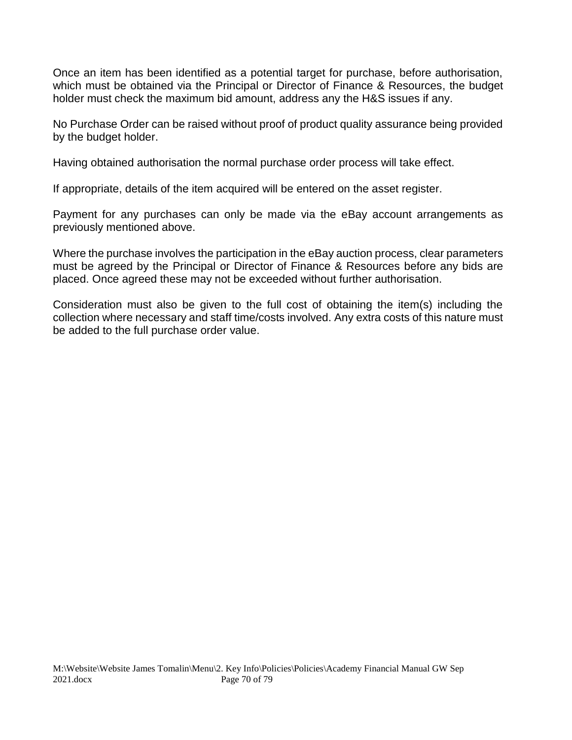Once an item has been identified as a potential target for purchase, before authorisation, which must be obtained via the Principal or Director of Finance & Resources, the budget holder must check the maximum bid amount, address any the H&S issues if any.

No Purchase Order can be raised without proof of product quality assurance being provided by the budget holder.

Having obtained authorisation the normal purchase order process will take effect.

If appropriate, details of the item acquired will be entered on the asset register.

Payment for any purchases can only be made via the eBay account arrangements as previously mentioned above.

Where the purchase involves the participation in the eBay auction process, clear parameters must be agreed by the Principal or Director of Finance & Resources before any bids are placed. Once agreed these may not be exceeded without further authorisation.

Consideration must also be given to the full cost of obtaining the item(s) including the collection where necessary and staff time/costs involved. Any extra costs of this nature must be added to the full purchase order value.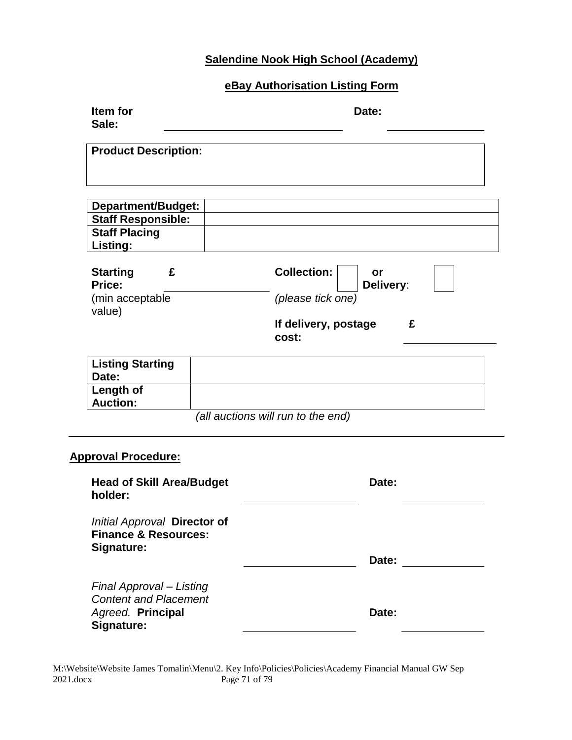# **Salendine Nook High School (Academy)**

# **eBay Authorisation Listing Form**

| Item for<br>Sale:                                                                                  | Date:                                                                                            |
|----------------------------------------------------------------------------------------------------|--------------------------------------------------------------------------------------------------|
| <b>Product Description:</b>                                                                        |                                                                                                  |
| Department/Budget:<br><b>Staff Responsible:</b><br><b>Staff Placing</b><br>Listing:                |                                                                                                  |
| <b>Starting</b><br>£<br>Price:<br>(min acceptable<br>value)                                        | <b>Collection:</b><br>or<br>Delivery:<br>(please tick one)<br>£<br>If delivery, postage<br>cost: |
| <b>Listing Starting</b><br>Date:<br>Length of<br><b>Auction:</b>                                   |                                                                                                  |
|                                                                                                    | (all auctions will run to the end)                                                               |
| <b>Approval Procedure:</b><br><b>Head of Skill Area/Budget</b>                                     | Date:                                                                                            |
| holder:                                                                                            |                                                                                                  |
| Initial Approval Director of<br><b>Finance &amp; Resources:</b><br>Signature:                      | Date:                                                                                            |
| Final Approval - Listing<br><b>Content and Placement</b><br>Agreed. Principal<br><b>Signature:</b> | Date:                                                                                            |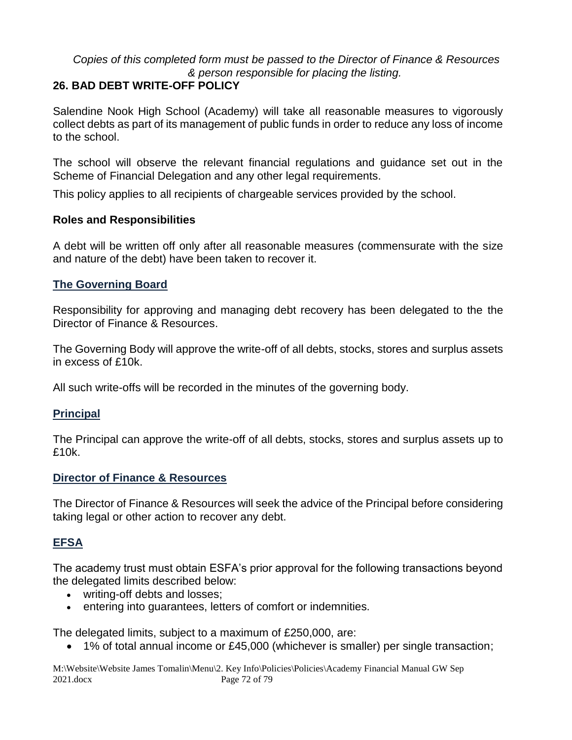## *Copies of this completed form must be passed to the Director of Finance & Resources & person responsible for placing the listing.*

## **26. BAD DEBT WRITE-OFF POLICY**

Salendine Nook High School (Academy) will take all reasonable measures to vigorously collect debts as part of its management of public funds in order to reduce any loss of income to the school.

The school will observe the relevant financial regulations and guidance set out in the Scheme of Financial Delegation and any other legal requirements.

This policy applies to all recipients of chargeable services provided by the school.

#### **Roles and Responsibilities**

A debt will be written off only after all reasonable measures (commensurate with the size and nature of the debt) have been taken to recover it.

#### **The Governing Board**

Responsibility for approving and managing debt recovery has been delegated to the the Director of Finance & Resources.

The Governing Body will approve the write-off of all debts, stocks, stores and surplus assets in excess of £10k.

All such write-offs will be recorded in the minutes of the governing body.

## **Principal**

The Principal can approve the write-off of all debts, stocks, stores and surplus assets up to £10k.

#### **Director of Finance & Resources**

The Director of Finance & Resources will seek the advice of the Principal before considering taking legal or other action to recover any debt.

## **EFSA**

The academy trust must obtain ESFA's prior approval for the following transactions beyond the delegated limits described below:

- writing-off debts and losses;
- entering into guarantees, letters of comfort or indemnities.

The delegated limits, subject to a maximum of £250,000, are:

• 1% of total annual income or £45,000 (whichever is smaller) per single transaction;

M:\Website\Website James Tomalin\Menu\2. Key Info\Policies\Policies\Academy Financial Manual GW Sep 2021.docx Page 72 of 79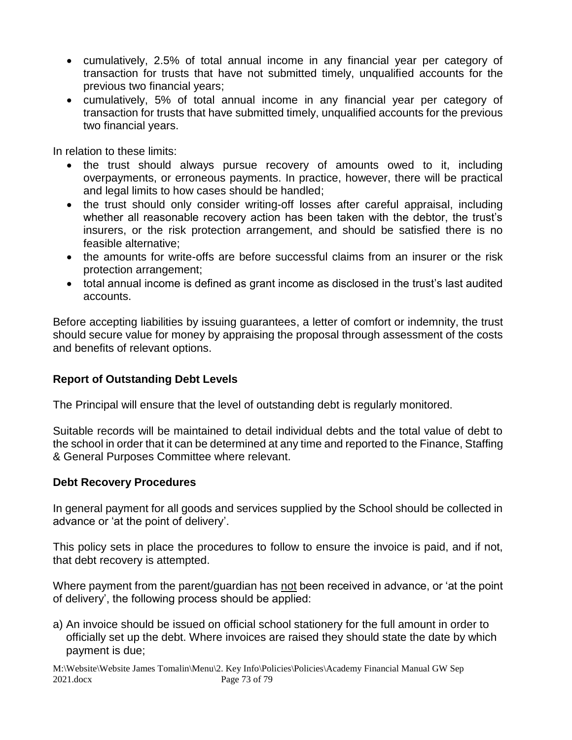- cumulatively, 2.5% of total annual income in any financial year per category of transaction for trusts that have not submitted timely, unqualified accounts for the previous two financial years;
- cumulatively, 5% of total annual income in any financial year per category of transaction for trusts that have submitted timely, unqualified accounts for the previous two financial years.

In relation to these limits:

- the trust should always pursue recovery of amounts owed to it, including overpayments, or erroneous payments. In practice, however, there will be practical and legal limits to how cases should be handled;
- the trust should only consider writing-off losses after careful appraisal, including whether all reasonable recovery action has been taken with the debtor, the trust's insurers, or the risk protection arrangement, and should be satisfied there is no feasible alternative;
- the amounts for write-offs are before successful claims from an insurer or the risk protection arrangement;
- total annual income is defined as grant income as disclosed in the trust's last audited accounts.

Before accepting liabilities by issuing guarantees, a letter of comfort or indemnity, the trust should secure value for money by appraising the proposal through assessment of the costs and benefits of relevant options.

#### **Report of Outstanding Debt Levels**

The Principal will ensure that the level of outstanding debt is regularly monitored.

Suitable records will be maintained to detail individual debts and the total value of debt to the school in order that it can be determined at any time and reported to the Finance, Staffing & General Purposes Committee where relevant.

#### **Debt Recovery Procedures**

In general payment for all goods and services supplied by the School should be collected in advance or 'at the point of delivery'.

This policy sets in place the procedures to follow to ensure the invoice is paid, and if not, that debt recovery is attempted.

Where payment from the parent/guardian has not been received in advance, or 'at the point of delivery', the following process should be applied:

a) An invoice should be issued on official school stationery for the full amount in order to officially set up the debt. Where invoices are raised they should state the date by which payment is due;

M:\Website\Website James Tomalin\Menu\2. Key Info\Policies\Policies\Academy Financial Manual GW Sep 2021.docx Page 73 of 79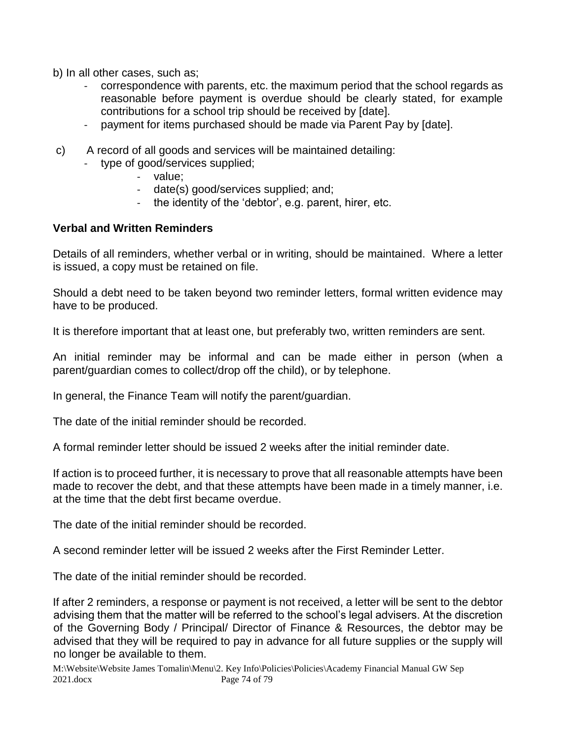b) In all other cases, such as;

- correspondence with parents, etc. the maximum period that the school regards as reasonable before payment is overdue should be clearly stated, for example contributions for a school trip should be received by [date].
- payment for items purchased should be made via Parent Pay by [date].
- c) A record of all goods and services will be maintained detailing:
	- type of good/services supplied;
		- value:
		- date(s) good/services supplied; and;
		- the identity of the 'debtor', e.g. parent, hirer, etc.

#### **Verbal and Written Reminders**

Details of all reminders, whether verbal or in writing, should be maintained. Where a letter is issued, a copy must be retained on file.

Should a debt need to be taken beyond two reminder letters, formal written evidence may have to be produced.

It is therefore important that at least one, but preferably two, written reminders are sent.

An initial reminder may be informal and can be made either in person (when a parent/guardian comes to collect/drop off the child), or by telephone.

In general, the Finance Team will notify the parent/guardian.

The date of the initial reminder should be recorded.

A formal reminder letter should be issued 2 weeks after the initial reminder date.

If action is to proceed further, it is necessary to prove that all reasonable attempts have been made to recover the debt, and that these attempts have been made in a timely manner, i.e. at the time that the debt first became overdue.

The date of the initial reminder should be recorded.

A second reminder letter will be issued 2 weeks after the First Reminder Letter.

The date of the initial reminder should be recorded.

If after 2 reminders, a response or payment is not received, a letter will be sent to the debtor advising them that the matter will be referred to the school's legal advisers. At the discretion of the Governing Body / Principal/ Director of Finance & Resources, the debtor may be advised that they will be required to pay in advance for all future supplies or the supply will no longer be available to them.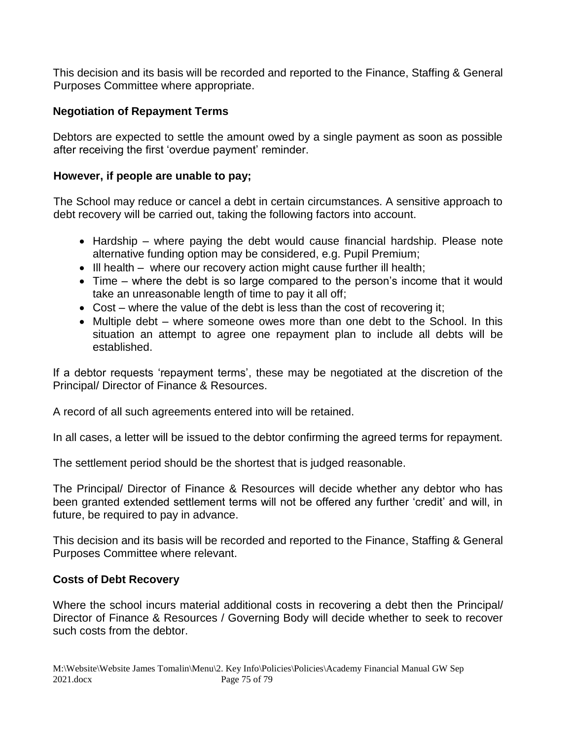This decision and its basis will be recorded and reported to the Finance, Staffing & General Purposes Committee where appropriate.

#### **Negotiation of Repayment Terms**

Debtors are expected to settle the amount owed by a single payment as soon as possible after receiving the first 'overdue payment' reminder.

#### **However, if people are unable to pay;**

The School may reduce or cancel a debt in certain circumstances. A sensitive approach to debt recovery will be carried out, taking the following factors into account.

- Hardship where paying the debt would cause financial hardship. Please note alternative funding option may be considered, e.g. Pupil Premium;
- Ill health where our recovery action might cause further ill health;
- Time where the debt is so large compared to the person's income that it would take an unreasonable length of time to pay it all off;
- Cost where the value of the debt is less than the cost of recovering it;
- Multiple debt where someone owes more than one debt to the School. In this situation an attempt to agree one repayment plan to include all debts will be established.

If a debtor requests 'repayment terms', these may be negotiated at the discretion of the Principal/ Director of Finance & Resources.

A record of all such agreements entered into will be retained.

In all cases, a letter will be issued to the debtor confirming the agreed terms for repayment.

The settlement period should be the shortest that is judged reasonable.

The Principal/ Director of Finance & Resources will decide whether any debtor who has been granted extended settlement terms will not be offered any further 'credit' and will, in future, be required to pay in advance.

This decision and its basis will be recorded and reported to the Finance, Staffing & General Purposes Committee where relevant.

#### **Costs of Debt Recovery**

Where the school incurs material additional costs in recovering a debt then the Principal/ Director of Finance & Resources / Governing Body will decide whether to seek to recover such costs from the debtor.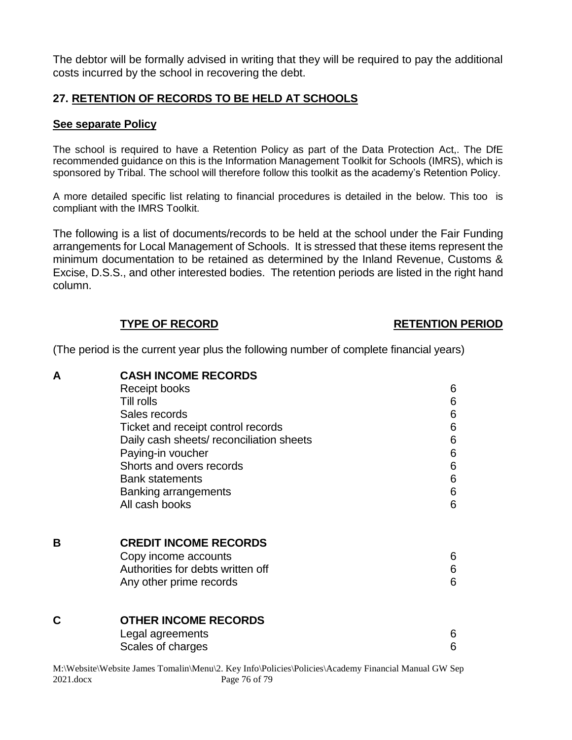The debtor will be formally advised in writing that they will be required to pay the additional costs incurred by the school in recovering the debt.

### **27. RETENTION OF RECORDS TO BE HELD AT SCHOOLS**

#### **See separate Policy**

The school is required to have a Retention Policy as part of the Data Protection Act,. The DfE recommended guidance on this is the Information Management Toolkit for Schools (IMRS), which is sponsored by Tribal. The school will therefore follow this toolkit as the academy's Retention Policy.

A more detailed specific list relating to financial procedures is detailed in the below. This too is compliant with the IMRS Toolkit.

The following is a list of documents/records to be held at the school under the Fair Funding arrangements for Local Management of Schools. It is stressed that these items represent the minimum documentation to be retained as determined by the Inland Revenue, Customs & Excise, D.S.S., and other interested bodies. The retention periods are listed in the right hand column.

#### **TYPE OF RECORD RETENTION PERIOD**

(The period is the current year plus the following number of complete financial years)

| A | <b>CASH INCOME RECORDS</b>               |   |  |
|---|------------------------------------------|---|--|
|   | Receipt books                            | 6 |  |
|   | Till rolls                               | 6 |  |
|   | Sales records                            | 6 |  |
|   | Ticket and receipt control records       | 6 |  |
|   | Daily cash sheets/ reconciliation sheets | 6 |  |
|   | Paying-in voucher                        | 6 |  |
|   | Shorts and overs records                 | 6 |  |
|   | <b>Bank statements</b>                   | 6 |  |
|   | Banking arrangements                     | 6 |  |
|   | All cash books                           | 6 |  |
|   |                                          |   |  |
|   |                                          |   |  |
| В | <b>CREDIT INCOME RECORDS</b>             |   |  |
|   | Copy income accounts                     | 6 |  |
|   | Authorities for debts written off        | 6 |  |
|   | Any other prime records                  | 6 |  |
|   |                                          |   |  |
|   |                                          |   |  |
| C | <b>OTHER INCOME RECORDS</b>              |   |  |
|   | Legal agreements                         | 6 |  |
|   | Scales of charges                        | 6 |  |
|   |                                          |   |  |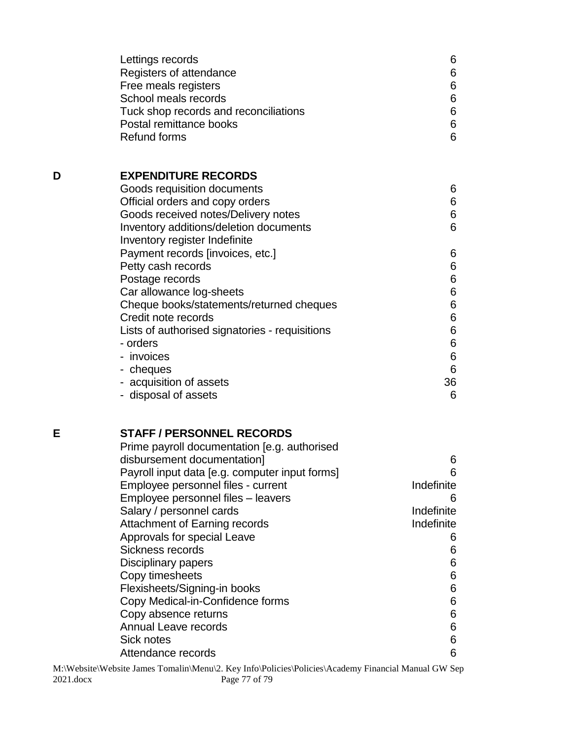|   | Lettings records<br>Registers of attendance<br>Free meals registers<br>School meals records<br>Tuck shop records and reconciliations<br>Postal remittance books<br><b>Refund forms</b>                                                                                                                                                                                                                                                                                                                                                 | 6<br>6<br>6<br>$\,6$<br>6<br>6<br>6                                                               |
|---|----------------------------------------------------------------------------------------------------------------------------------------------------------------------------------------------------------------------------------------------------------------------------------------------------------------------------------------------------------------------------------------------------------------------------------------------------------------------------------------------------------------------------------------|---------------------------------------------------------------------------------------------------|
| D | <b>EXPENDITURE RECORDS</b><br>Goods requisition documents<br>Official orders and copy orders<br>Goods received notes/Delivery notes<br>Inventory additions/deletion documents<br>Inventory register Indefinite<br>Payment records [invoices, etc.]<br>Petty cash records<br>Postage records<br>Car allowance log-sheets<br>Cheque books/statements/returned cheques<br>Credit note records<br>Lists of authorised signatories - requisitions<br>- orders<br>- invoices<br>- cheques<br>- acquisition of assets<br>- disposal of assets | 6<br>6<br>6<br>6<br>6<br>6<br>6<br>$\,6$<br>6<br>$\,6$<br>$\,6$<br>$\,6$<br>$\,6$<br>6<br>36<br>6 |
| E | <b>STAFF / PERSONNEL RECORDS</b><br>Prime payroll documentation [e.g. authorised<br>disbursement documentation]<br>Payroll input data [e.g. computer input forms]<br>Emply to a normal fileo, our<br>cont                                                                                                                                                                                                                                                                                                                              | 6<br>6<br>Indofinita                                                                              |

| Payroll input data je.g. computer input forms | n          |
|-----------------------------------------------|------------|
| Employee personnel files - current            | Indefinite |
| Employee personnel files - leavers            | 6          |
| Salary / personnel cards                      | Indefinite |
| Attachment of Earning records                 | Indefinite |
| Approvals for special Leave                   | 6          |
| Sickness records                              | 6          |
| Disciplinary papers                           | 6          |
| Copy timesheets                               | 6          |
| Flexisheets/Signing-in books                  | 6          |
| Copy Medical-in-Confidence forms              | 6          |
| Copy absence returns                          | 6          |
| Annual Leave records                          | 6          |
| Sick notes                                    | 6          |
| Attendance records                            | 6          |
|                                               |            |

M:\Website\Website James Tomalin\Menu\2. Key Info\Policies\Policies\Academy Financial Manual GW Sep 2021.docx Page 77 of 79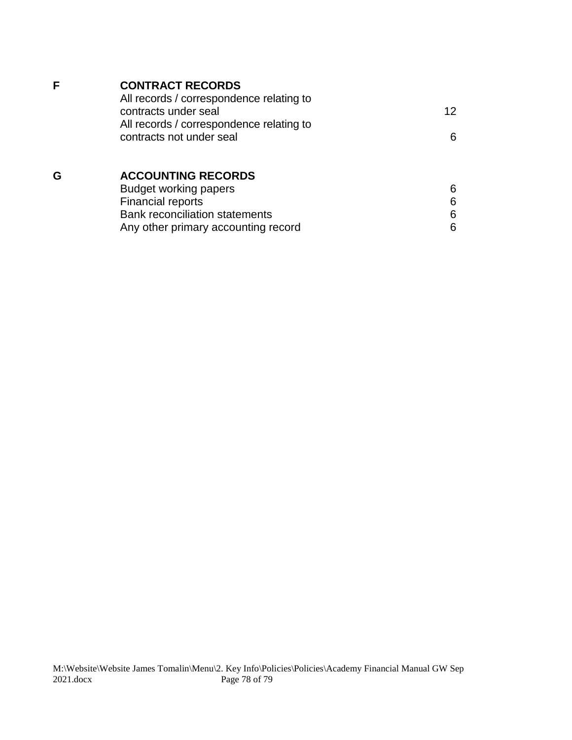## **F CONTRACT RECORDS**

| 12 |
|----|
|    |
| 6  |
|    |

# **G ACCOUNTING RECORDS**

| Budget working papers                 |  |
|---------------------------------------|--|
| <b>Financial reports</b>              |  |
| <b>Bank reconciliation statements</b> |  |
| Any other primary accounting record   |  |